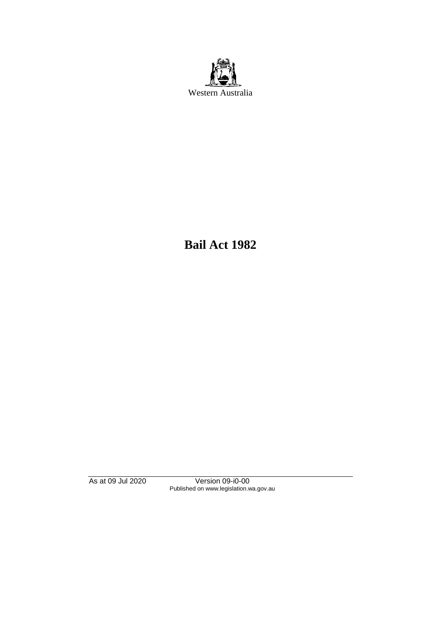

**Bail Act 1982**

As at 09 Jul 2020 Version 09-i0-00 Published on www.legislation.wa.gov.au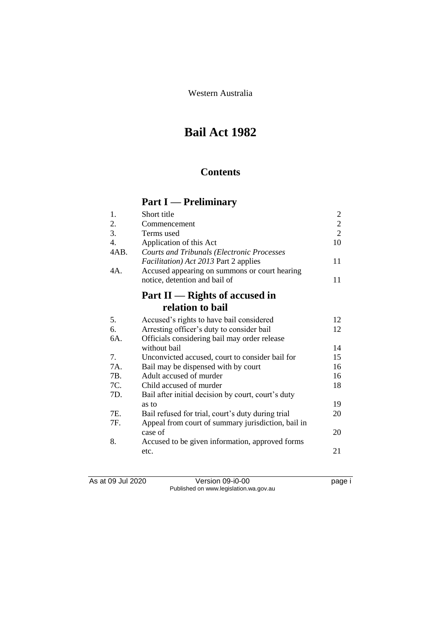Western Australia

# **Bail Act 1982**

# **Contents**

# **Part I — Preliminary**

| Short title                                        | $\overline{2}$                        |
|----------------------------------------------------|---------------------------------------|
| Commencement                                       | $\sqrt{2}$                            |
| Terms used                                         | $\overline{2}$                        |
| Application of this Act                            | 10                                    |
| <b>Courts and Tribunals (Electronic Processes</b>  |                                       |
|                                                    | 11                                    |
| Accused appearing on summons or court hearing      |                                       |
| notice, detention and bail of                      | 11                                    |
| Part $II$ — Rights of accused in                   |                                       |
| relation to bail                                   |                                       |
| Accused's rights to have bail considered           | 12                                    |
| Arresting officer's duty to consider bail          | 12                                    |
| Officials considering bail may order release       |                                       |
| without bail                                       | 14                                    |
| Unconvicted accused, court to consider bail for    | 15                                    |
| Bail may be dispensed with by court                | 16                                    |
| Adult accused of murder                            | 16                                    |
| Child accused of murder                            | 18                                    |
| Bail after initial decision by court, court's duty |                                       |
| as to                                              | 19                                    |
| Bail refused for trial, court's duty during trial  | 20                                    |
| Appeal from court of summary jurisdiction, bail in |                                       |
| case of                                            | 20                                    |
| Accused to be given information, approved forms    |                                       |
| etc.                                               | 21                                    |
|                                                    | Facilitation) Act 2013 Part 2 applies |

As at 09 Jul 2020 Version 09-i0-00 page i Published on www.legislation.wa.gov.au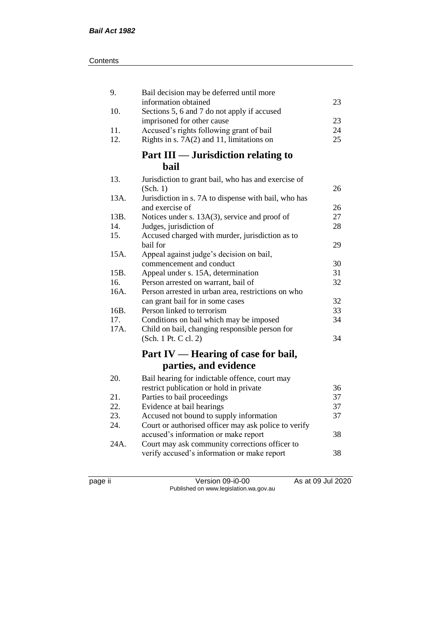| 9.   | Bail decision may be deferred until more                                              |    |
|------|---------------------------------------------------------------------------------------|----|
|      | information obtained                                                                  | 23 |
| 10.  | Sections 5, 6 and 7 do not apply if accused                                           | 23 |
| 11.  | imprisoned for other cause                                                            | 24 |
| 12.  | Accused's rights following grant of bail<br>Rights in s. 7A(2) and 11, limitations on | 25 |
|      |                                                                                       |    |
|      | Part III — Jurisdiction relating to                                                   |    |
|      | <b>bail</b>                                                                           |    |
| 13.  | Jurisdiction to grant bail, who has and exercise of                                   |    |
|      | (Sch. 1)                                                                              | 26 |
| 13A. | Jurisdiction in s. 7A to dispense with bail, who has                                  |    |
|      | and exercise of                                                                       | 26 |
| 13B. | Notices under s. 13A(3), service and proof of                                         | 27 |
| 14.  | Judges, jurisdiction of                                                               | 28 |
| 15.  | Accused charged with murder, jurisdiction as to                                       |    |
|      | bail for                                                                              | 29 |
| 15A. | Appeal against judge's decision on bail,                                              |    |
|      | commencement and conduct                                                              | 30 |
| 15B. | Appeal under s. 15A, determination                                                    | 31 |
| 16.  | Person arrested on warrant, bail of                                                   | 32 |
| 16A. | Person arrested in urban area, restrictions on who                                    |    |
|      | can grant bail for in some cases                                                      | 32 |
| 16B. | Person linked to terrorism                                                            | 33 |
| 17.  | Conditions on bail which may be imposed                                               | 34 |
| 17A. | Child on bail, changing responsible person for                                        |    |
|      | (Sch. 1 Pt. C cl. 2)                                                                  | 34 |
|      | Part IV — Hearing of case for bail,                                                   |    |
|      | parties, and evidence                                                                 |    |
| 20.  | Bail hearing for indictable offence, court may                                        |    |
|      | restrict publication or hold in private                                               | 36 |
| 21.  | Parties to bail proceedings                                                           | 37 |
| 22.  | Evidence at bail hearings                                                             | 37 |
| 23.  | Accused not bound to supply information                                               | 37 |
| 24.  | Court or authorised officer may ask police to verify                                  |    |
|      | accused's information or make report                                                  | 38 |
| 24A. | Court may ask community corrections officer to                                        |    |
|      | verify accused's information or make report                                           | 38 |
|      |                                                                                       |    |

page ii Version 09-i0-00 As at 09 Jul 2020 Published on www.legislation.wa.gov.au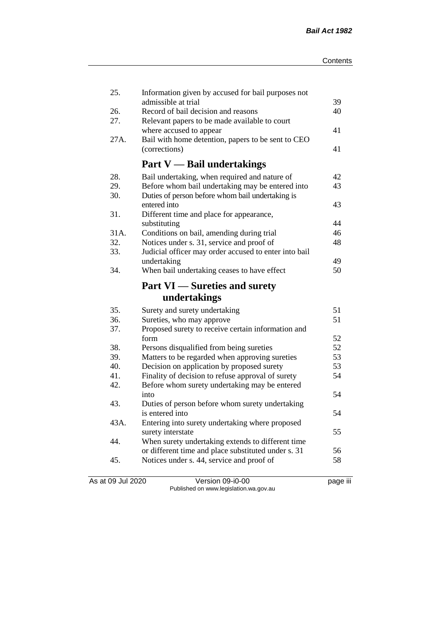| 25.        | Information given by accused for bail purposes not                              |    |
|------------|---------------------------------------------------------------------------------|----|
|            | admissible at trial<br>Record of bail decision and reasons                      | 39 |
| 26.<br>27. | Relevant papers to be made available to court                                   | 40 |
|            | where accused to appear                                                         | 41 |
| 27A.       | Bail with home detention, papers to be sent to CEO                              |    |
|            | (corrections)                                                                   | 41 |
|            |                                                                                 |    |
|            | <b>Part V</b> — Bail undertakings                                               |    |
| 28.        | Bail undertaking, when required and nature of                                   | 42 |
| 29.        | Before whom bail undertaking may be entered into                                | 43 |
| 30.        | Duties of person before whom bail undertaking is                                |    |
|            | entered into                                                                    | 43 |
| 31.        | Different time and place for appearance,                                        |    |
|            | substituting                                                                    | 44 |
| 31A.       | Conditions on bail, amending during trial                                       | 46 |
| 32.        | Notices under s. 31, service and proof of                                       | 48 |
| 33.        | Judicial officer may order accused to enter into bail                           |    |
|            | undertaking                                                                     | 49 |
| 34.        | When bail undertaking ceases to have effect                                     | 50 |
|            | <b>Part VI</b> — Sureties and surety                                            |    |
|            | undertakings                                                                    |    |
|            |                                                                                 |    |
| 35.        |                                                                                 | 51 |
| 36.        | Surety and surety undertaking                                                   | 51 |
| 37.        | Sureties, who may approve<br>Proposed surety to receive certain information and |    |
|            | form                                                                            | 52 |
| 38.        | Persons disqualified from being sureties                                        | 52 |
| 39.        | Matters to be regarded when approving sureties                                  | 53 |
| 40.        | Decision on application by proposed surety                                      | 53 |
| 41.        | Finality of decision to refuse approval of surety                               | 54 |
| 42.        | Before whom surety undertaking may be entered                                   |    |
|            | into                                                                            | 54 |
| 43.        | Duties of person before whom surety undertaking                                 |    |
|            | is entered into                                                                 | 54 |
| 43A.       | Entering into surety undertaking where proposed                                 |    |
|            | surety interstate                                                               | 55 |
| 44.        | When surety undertaking extends to different time                               |    |
|            | or different time and place substituted under s. 31                             | 56 |
| 45.        | Notices under s. 44, service and proof of                                       | 58 |

As at 09 Jul 2020 Version 09-i0-00 page iii Published on www.legislation.wa.gov.au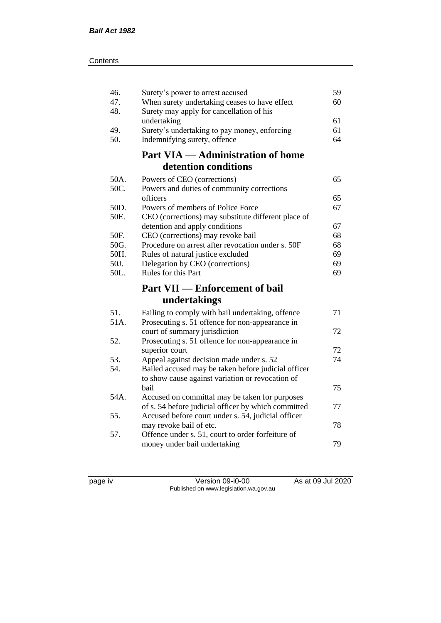| 46.<br>47.   | Surety's power to arrest accused<br>When surety undertaking ceases to have effect      | 59<br>60 |
|--------------|----------------------------------------------------------------------------------------|----------|
| 48.          | Surety may apply for cancellation of his                                               |          |
|              | undertaking                                                                            | 61       |
| 49.          | Surety's undertaking to pay money, enforcing                                           | 61       |
| 50.          | Indemnifying surety, offence                                                           | 64       |
|              | <b>Part VIA — Administration of home</b>                                               |          |
|              | detention conditions                                                                   |          |
| 50A.         | Powers of CEO (corrections)                                                            | 65       |
| 50C.         | Powers and duties of community corrections                                             |          |
|              | officers                                                                               | 65       |
| 50D.         | Powers of members of Police Force                                                      | 67       |
| 50E.         | CEO (corrections) may substitute different place of                                    |          |
|              | detention and apply conditions                                                         | 67       |
| 50F.<br>50G. | CEO (corrections) may revoke bail<br>Procedure on arrest after revocation under s. 50F | 68<br>68 |
| 50H.         | Rules of natural justice excluded                                                      | 69       |
| 50J.         | Delegation by CEO (corrections)                                                        | 69       |
| 50L.         | <b>Rules for this Part</b>                                                             | 69       |
|              | <b>Part VII — Enforcement of bail</b>                                                  |          |
|              | undertakings                                                                           |          |
| 51.          | Failing to comply with bail undertaking, offence                                       | 71       |
| 51A.         | Prosecuting s. 51 offence for non-appearance in                                        |          |
|              | court of summary jurisdiction                                                          | 72       |
| 52.          | Prosecuting s. 51 offence for non-appearance in                                        |          |
|              | superior court                                                                         | 72       |
| 53.          | Appeal against decision made under s. 52                                               | 74       |
| 54.          | Bailed accused may be taken before judicial officer                                    |          |
|              | to show cause against variation or revocation of                                       |          |
|              | bail                                                                                   | 75       |
| 54A.         | Accused on committal may be taken for purposes                                         | 77       |
| 55.          | of s. 54 before judicial officer by which committed                                    |          |
|              | Accused before court under s. 54, judicial officer<br>may revoke bail of etc.          | 78       |
| 57.          | Offence under s. 51, court to order forfeiture of                                      |          |
|              | money under bail undertaking                                                           | 79       |
|              |                                                                                        |          |

page iv Version 09-i0-00 As at 09 Jul 2020 Published on www.legislation.wa.gov.au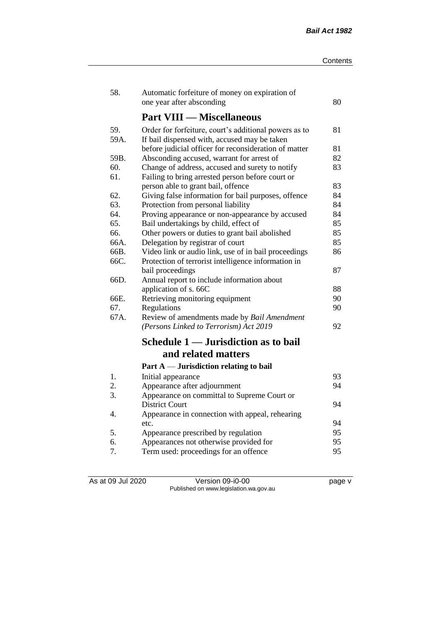| 58.  | Automatic forfeiture of money on expiration of        |    |
|------|-------------------------------------------------------|----|
|      | one year after absconding                             | 80 |
|      | <b>Part VIII — Miscellaneous</b>                      |    |
| 59.  | Order for forfeiture, court's additional powers as to | 81 |
| 59A. | If bail dispensed with, accused may be taken          |    |
|      | before judicial officer for reconsideration of matter | 81 |
| 59B. | Absconding accused, warrant for arrest of             | 82 |
| 60.  | Change of address, accused and surety to notify       | 83 |
| 61.  | Failing to bring arrested person before court or      |    |
|      | person able to grant bail, offence                    | 83 |
| 62.  | Giving false information for bail purposes, offence   | 84 |
| 63.  | Protection from personal liability                    | 84 |
| 64.  | Proving appearance or non-appearance by accused       | 84 |
| 65.  | Bail undertakings by child, effect of                 | 85 |
| 66.  | Other powers or duties to grant bail abolished        | 85 |
| 66A. | Delegation by registrar of court                      | 85 |
| 66B. | Video link or audio link, use of in bail proceedings  | 86 |
| 66C. | Protection of terrorist intelligence information in   |    |
|      | bail proceedings                                      | 87 |
| 66D. | Annual report to include information about            |    |
|      | application of s. 66C                                 | 88 |
| 66E. | Retrieving monitoring equipment                       | 90 |
| 67.  | Regulations                                           | 90 |
| 67A. | Review of amendments made by Bail Amendment           |    |
|      | (Persons Linked to Terrorism) Act 2019                | 92 |
|      | Schedule 1 — Jurisdiction as to bail                  |    |
|      | and related matters                                   |    |
|      | Part $A$ — Jurisdiction relating to bail              |    |
| 1.   | Initial appearance                                    | 93 |
| 2.   | Appearance after adjournment                          | 94 |
| 3.   | Appearance on committal to Supreme Court or           |    |
|      | <b>District Court</b>                                 | 94 |
| 4.   | Appearance in connection with appeal, rehearing       |    |
|      | etc.                                                  | 94 |
| 5.   | Appearance prescribed by regulation                   | 95 |
| 6.   | Appearances not otherwise provided for                | 95 |
| 7.   | Term used: proceedings for an offence                 | 95 |

As at 09 Jul 2020 Version 09-i0-00 page v Published on www.legislation.wa.gov.au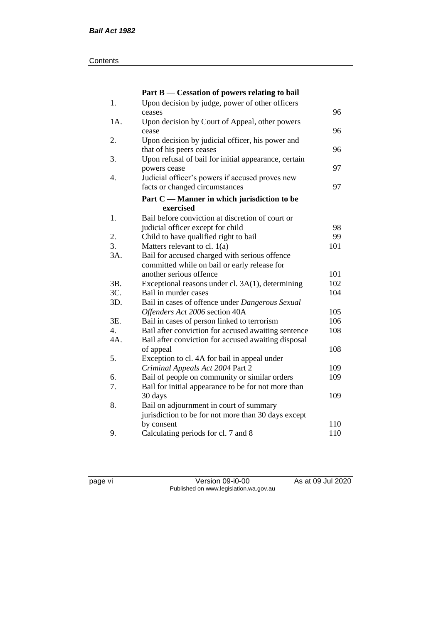#### **Contents**

|     | Part B — Cessation of powers relating to bail        |     |
|-----|------------------------------------------------------|-----|
| 1.  | Upon decision by judge, power of other officers      |     |
|     | ceases                                               | 96  |
| 1A. | Upon decision by Court of Appeal, other powers       |     |
|     | cease                                                | 96  |
| 2.  | Upon decision by judicial officer, his power and     |     |
|     | that of his peers ceases                             | 96  |
| 3.  | Upon refusal of bail for initial appearance, certain |     |
|     | powers cease                                         | 97  |
| 4.  | Judicial officer's powers if accused proves new      |     |
|     | facts or changed circumstances                       | 97  |
|     | Part C — Manner in which jurisdiction to be          |     |
|     | exercised                                            |     |
| 1.  | Bail before conviction at discretion of court or     |     |
|     | judicial officer except for child                    | 98  |
| 2.  | Child to have qualified right to bail                | 99  |
| 3.  | Matters relevant to cl. $1(a)$                       | 101 |
| 3A. | Bail for accused charged with serious offence        |     |
|     | committed while on bail or early release for         |     |
|     | another serious offence                              | 101 |
| 3B. | Exceptional reasons under cl. 3A(1), determining     | 102 |
| 3C. | Bail in murder cases                                 | 104 |
| 3D. | Bail in cases of offence under Dangerous Sexual      |     |
|     | Offenders Act 2006 section 40A                       | 105 |
| 3E. | Bail in cases of person linked to terrorism          | 106 |
| 4.  | Bail after conviction for accused awaiting sentence  | 108 |
| 4A. | Bail after conviction for accused awaiting disposal  |     |
|     | of appeal                                            | 108 |
| 5.  | Exception to cl. 4A for bail in appeal under         |     |
|     | Criminal Appeals Act 2004 Part 2                     | 109 |
| 6.  | Bail of people on community or similar orders        | 109 |
| 7.  | Bail for initial appearance to be for not more than  |     |
|     | 30 days                                              | 109 |
| 8.  | Bail on adjournment in court of summary              |     |
|     | jurisdiction to be for not more than 30 days except  |     |
|     | by consent                                           | 110 |
| 9.  | Calculating periods for cl. 7 and 8                  | 110 |

page vi Version 09-i0-00 As at 09 Jul 2020 Published on www.legislation.wa.gov.au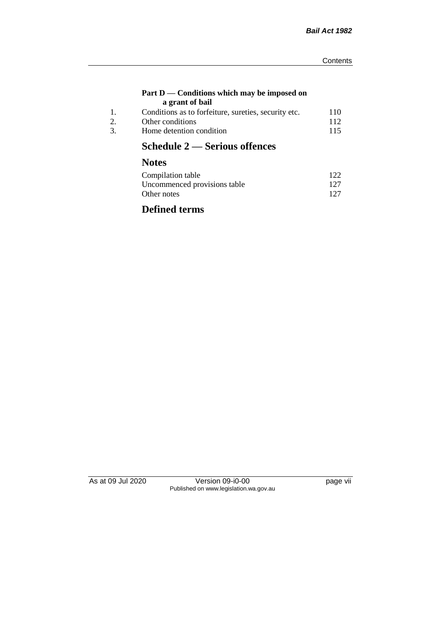#### **Part D — Conditions which may be imposed on a grant of bail**

| Conditions as to forfeiture, sureties, security etc. | 110 |
|------------------------------------------------------|-----|
| Other conditions                                     | 112 |
| Home detention condition                             | 115 |

# **Schedule 2 — Serious offences**

# **Notes**

| Compilation table            | 122 |
|------------------------------|-----|
| Uncommenced provisions table | 127 |
| Other notes                  | 127 |

# **Defined terms**

As at 09 Jul 2020 Version 09-i0-00 version 09-in-Published on www.legislation.wa.gov.au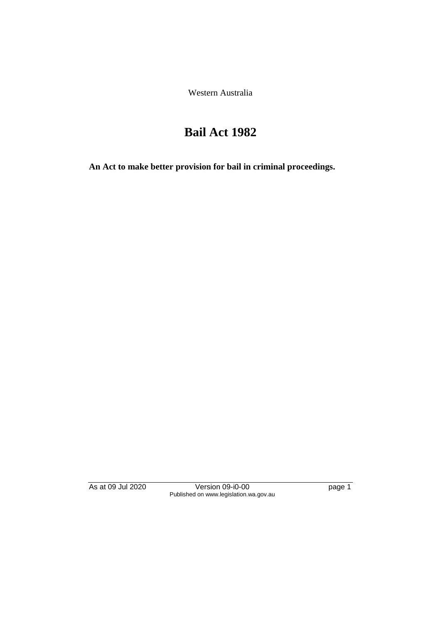Western Australia

# **Bail Act 1982**

**An Act to make better provision for bail in criminal proceedings.** 

As at 09 Jul 2020 Version 09-i0-00 page 1 Published on www.legislation.wa.gov.au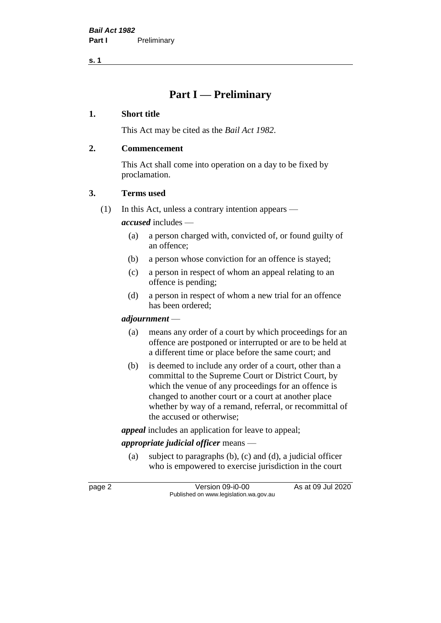**s. 1**

# **Part I — Preliminary**

### **1. Short title**

This Act may be cited as the *Bail Act 1982*.

### **2. Commencement**

This Act shall come into operation on a day to be fixed by proclamation.

### **3. Terms used**

(1) In this Act, unless a contrary intention appears —

*accused* includes —

- (a) a person charged with, convicted of, or found guilty of an offence;
- (b) a person whose conviction for an offence is stayed;
- (c) a person in respect of whom an appeal relating to an offence is pending;
- (d) a person in respect of whom a new trial for an offence has been ordered;

#### *adjournment* —

- (a) means any order of a court by which proceedings for an offence are postponed or interrupted or are to be held at a different time or place before the same court; and
- (b) is deemed to include any order of a court, other than a committal to the Supreme Court or District Court, by which the venue of any proceedings for an offence is changed to another court or a court at another place whether by way of a remand, referral, or recommittal of the accused or otherwise;

*appeal* includes an application for leave to appeal;

# *appropriate judicial officer* means —

(a) subject to paragraphs (b), (c) and (d), a judicial officer who is empowered to exercise jurisdiction in the court

page 2 Version 09-i0-00 As at 09 Jul 2020 Published on www.legislation.wa.gov.au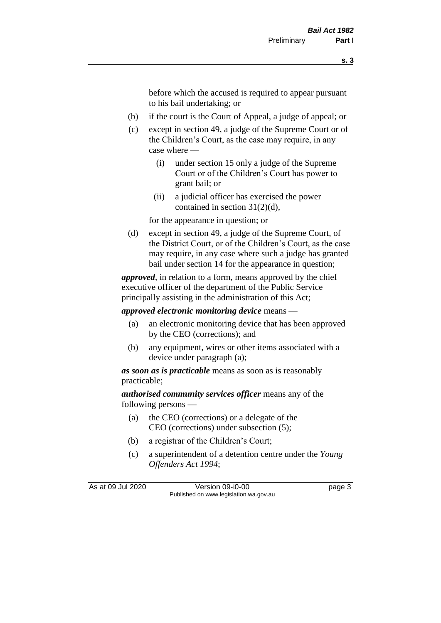before which the accused is required to appear pursuant to his bail undertaking; or

- (b) if the court is the Court of Appeal, a judge of appeal; or
- (c) except in section 49, a judge of the Supreme Court or of the Children's Court, as the case may require, in any case where —
	- (i) under section 15 only a judge of the Supreme Court or of the Children's Court has power to grant bail; or
	- (ii) a judicial officer has exercised the power contained in section 31(2)(d),

for the appearance in question; or

(d) except in section 49, a judge of the Supreme Court, of the District Court, or of the Children's Court, as the case may require, in any case where such a judge has granted bail under section 14 for the appearance in question;

*approved*, in relation to a form, means approved by the chief executive officer of the department of the Public Service principally assisting in the administration of this Act;

*approved electronic monitoring device* means —

- (a) an electronic monitoring device that has been approved by the CEO (corrections); and
- (b) any equipment, wires or other items associated with a device under paragraph (a);

*as soon as is practicable* means as soon as is reasonably practicable;

*authorised community services officer* means any of the following persons —

- (a) the CEO (corrections) or a delegate of the CEO (corrections) under subsection (5);
- (b) a registrar of the Children's Court;
- (c) a superintendent of a detention centre under the *Young Offenders Act 1994*;

As at 09 Jul 2020 Version 09-i0-00 Page 3 Published on www.legislation.wa.gov.au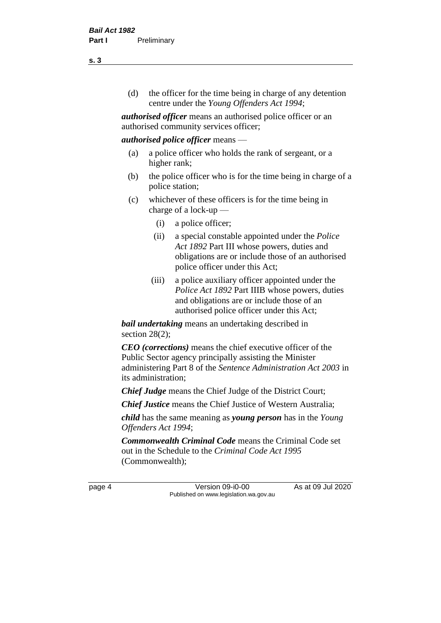(d) the officer for the time being in charge of any detention centre under the *Young Offenders Act 1994*;

*authorised officer* means an authorised police officer or an authorised community services officer;

#### *authorised police officer* means —

- (a) a police officer who holds the rank of sergeant, or a higher rank;
- (b) the police officer who is for the time being in charge of a police station;
- (c) whichever of these officers is for the time being in charge of a lock-up —
	- (i) a police officer;
	- (ii) a special constable appointed under the *Police Act 1892* Part III whose powers, duties and obligations are or include those of an authorised police officer under this Act;
	- (iii) a police auxiliary officer appointed under the *Police Act 1892* Part IIIB whose powers, duties and obligations are or include those of an authorised police officer under this Act;

*bail undertaking* means an undertaking described in section 28(2);

*CEO (corrections)* means the chief executive officer of the Public Sector agency principally assisting the Minister administering Part 8 of the *Sentence Administration Act 2003* in its administration;

*Chief Judge* means the Chief Judge of the District Court;

*Chief Justice* means the Chief Justice of Western Australia;

*child* has the same meaning as *young person* has in the *Young Offenders Act 1994*;

*Commonwealth Criminal Code* means the Criminal Code set out in the Schedule to the *Criminal Code Act 1995* (Commonwealth);

page 4 Version 09-i0-00 As at 09 Jul 2020 Published on www.legislation.wa.gov.au

**s. 3**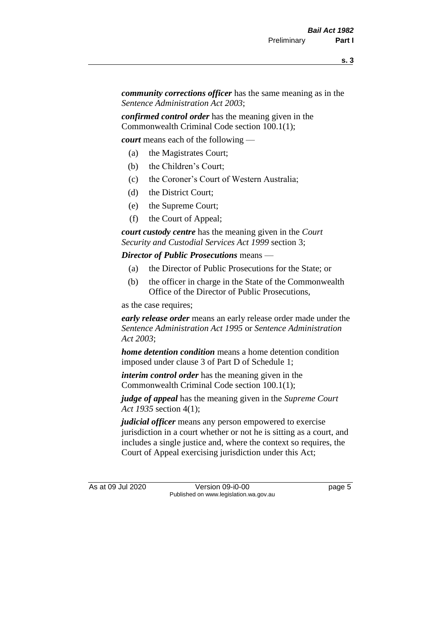*community corrections officer* has the same meaning as in the *Sentence Administration Act 2003*;

*confirmed control order* has the meaning given in the Commonwealth Criminal Code section 100.1(1);

*court* means each of the following —

- (a) the Magistrates Court;
- (b) the Children's Court;
- (c) the Coroner's Court of Western Australia;
- (d) the District Court;
- (e) the Supreme Court;
- (f) the Court of Appeal;

*court custody centre* has the meaning given in the *Court Security and Custodial Services Act 1999* section 3;

*Director of Public Prosecutions* means —

- (a) the Director of Public Prosecutions for the State; or
- (b) the officer in charge in the State of the Commonwealth Office of the Director of Public Prosecutions,

as the case requires;

*early release order* means an early release order made under the *Sentence Administration Act 1995* or *Sentence Administration Act 2003*;

*home detention condition* means a home detention condition imposed under clause 3 of Part D of Schedule 1;

*interim control order* has the meaning given in the Commonwealth Criminal Code section 100.1(1);

*judge of appeal* has the meaning given in the *Supreme Court Act 1935* section 4(1);

*judicial officer* means any person empowered to exercise jurisdiction in a court whether or not he is sitting as a court, and includes a single justice and, where the context so requires, the Court of Appeal exercising jurisdiction under this Act;

As at 09 Jul 2020 Version 09-i0-00 Page 5 Published on www.legislation.wa.gov.au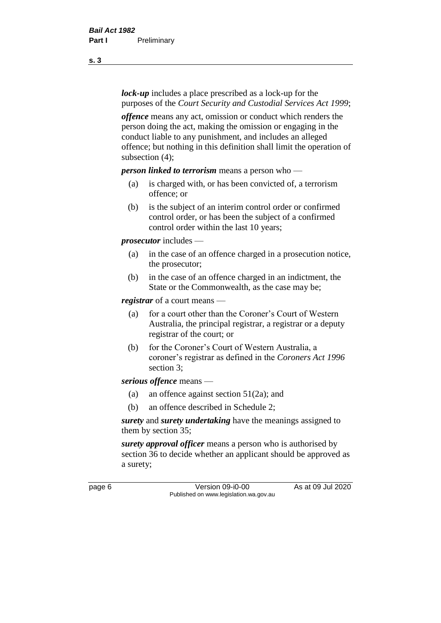*lock-up* includes a place prescribed as a lock-up for the purposes of the *Court Security and Custodial Services Act 1999*;

*offence* means any act, omission or conduct which renders the person doing the act, making the omission or engaging in the conduct liable to any punishment, and includes an alleged offence; but nothing in this definition shall limit the operation of subsection (4);

*person linked to terrorism* means a person who —

- (a) is charged with, or has been convicted of, a terrorism offence; or
- (b) is the subject of an interim control order or confirmed control order, or has been the subject of a confirmed control order within the last 10 years;

*prosecutor* includes —

- (a) in the case of an offence charged in a prosecution notice, the prosecutor;
- (b) in the case of an offence charged in an indictment, the State or the Commonwealth, as the case may be;

*registrar* of a court means —

- (a) for a court other than the Coroner's Court of Western Australia, the principal registrar, a registrar or a deputy registrar of the court; or
- (b) for the Coroner's Court of Western Australia, a coroner's registrar as defined in the *Coroners Act 1996* section 3;

*serious offence* means —

- (a) an offence against section 51(2a); and
- (b) an offence described in Schedule 2;

*surety* and *surety undertaking* have the meanings assigned to them by section 35;

*surety approval officer* means a person who is authorised by section 36 to decide whether an applicant should be approved as a surety;

page 6 Version 09-i0-00 As at 09 Jul 2020 Published on www.legislation.wa.gov.au

**s. 3**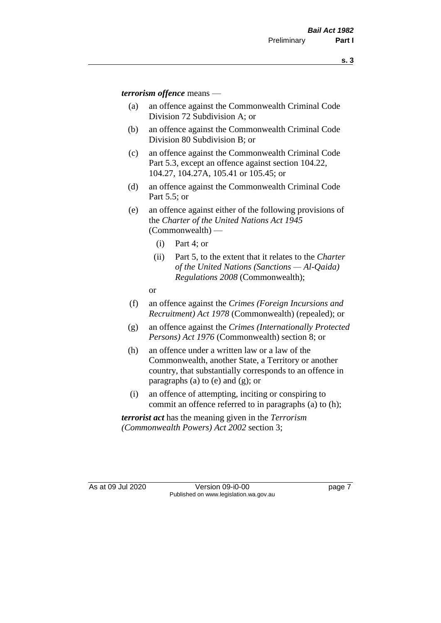*terrorism offence* means —

- (a) an offence against the Commonwealth Criminal Code Division 72 Subdivision A; or
- (b) an offence against the Commonwealth Criminal Code Division 80 Subdivision B; or
- (c) an offence against the Commonwealth Criminal Code Part 5.3, except an offence against section 104.22, 104.27, 104.27A, 105.41 or 105.45; or
- (d) an offence against the Commonwealth Criminal Code Part 5.5; or
- (e) an offence against either of the following provisions of the *Charter of the United Nations Act 1945*  (Commonwealth) —
	- (i) Part 4; or
	- (ii) Part 5, to the extent that it relates to the *Charter of the United Nations (Sanctions — Al-Qaida) Regulations 2008* (Commonwealth);
	- or
- (f) an offence against the *Crimes (Foreign Incursions and Recruitment) Act 1978* (Commonwealth) (repealed); or
- (g) an offence against the *Crimes (Internationally Protected Persons) Act 1976* (Commonwealth) section 8; or
- (h) an offence under a written law or a law of the Commonwealth, another State, a Territory or another country, that substantially corresponds to an offence in paragraphs (a) to (e) and (g); or
- (i) an offence of attempting, inciting or conspiring to commit an offence referred to in paragraphs (a) to (h);

*terrorist act* has the meaning given in the *Terrorism (Commonwealth Powers) Act 2002* section 3;

As at 09 Jul 2020 Version 09-i0-00 Page 7 Published on www.legislation.wa.gov.au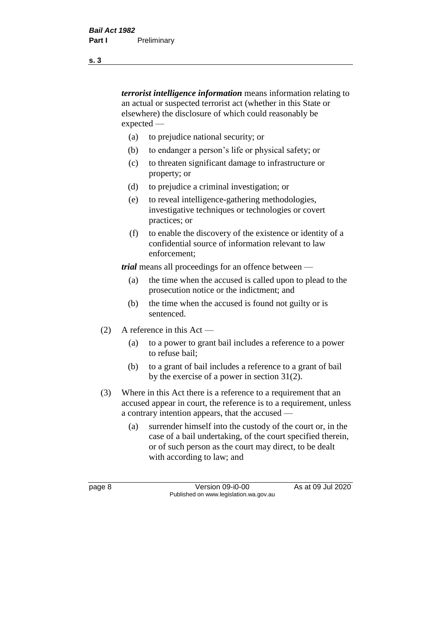*terrorist intelligence information* means information relating to an actual or suspected terrorist act (whether in this State or elsewhere) the disclosure of which could reasonably be expected —

- (a) to prejudice national security; or
- (b) to endanger a person's life or physical safety; or
- (c) to threaten significant damage to infrastructure or property; or
- (d) to prejudice a criminal investigation; or
- (e) to reveal intelligence-gathering methodologies, investigative techniques or technologies or covert practices; or
- (f) to enable the discovery of the existence or identity of a confidential source of information relevant to law enforcement;

*trial* means all proceedings for an offence between —

- (a) the time when the accused is called upon to plead to the prosecution notice or the indictment; and
- (b) the time when the accused is found not guilty or is sentenced.
- (2) A reference in this Act
	- (a) to a power to grant bail includes a reference to a power to refuse bail;
	- (b) to a grant of bail includes a reference to a grant of bail by the exercise of a power in section 31(2).
- (3) Where in this Act there is a reference to a requirement that an accused appear in court, the reference is to a requirement, unless a contrary intention appears, that the accused —
	- (a) surrender himself into the custody of the court or, in the case of a bail undertaking, of the court specified therein, or of such person as the court may direct, to be dealt with according to law; and

page 8 Version 09-i0-00 As at 09 Jul 2020 Published on www.legislation.wa.gov.au

**s. 3**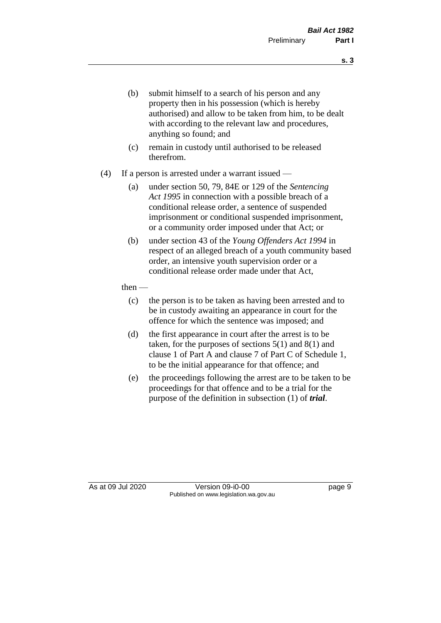- (b) submit himself to a search of his person and any property then in his possession (which is hereby authorised) and allow to be taken from him, to be dealt with according to the relevant law and procedures, anything so found; and
- (c) remain in custody until authorised to be released therefrom.
- (4) If a person is arrested under a warrant issued
	- (a) under section 50, 79, 84E or 129 of the *Sentencing Act 1995* in connection with a possible breach of a conditional release order, a sentence of suspended imprisonment or conditional suspended imprisonment, or a community order imposed under that Act; or
	- (b) under section 43 of the *Young Offenders Act 1994* in respect of an alleged breach of a youth community based order, an intensive youth supervision order or a conditional release order made under that Act,
	- then
		- (c) the person is to be taken as having been arrested and to be in custody awaiting an appearance in court for the offence for which the sentence was imposed; and
		- (d) the first appearance in court after the arrest is to be taken, for the purposes of sections  $5(1)$  and  $8(1)$  and clause 1 of Part A and clause 7 of Part C of Schedule 1, to be the initial appearance for that offence; and
		- (e) the proceedings following the arrest are to be taken to be proceedings for that offence and to be a trial for the purpose of the definition in subsection (1) of *trial*.

As at 09 Jul 2020 Version 09-i0-00 Page 9 Published on www.legislation.wa.gov.au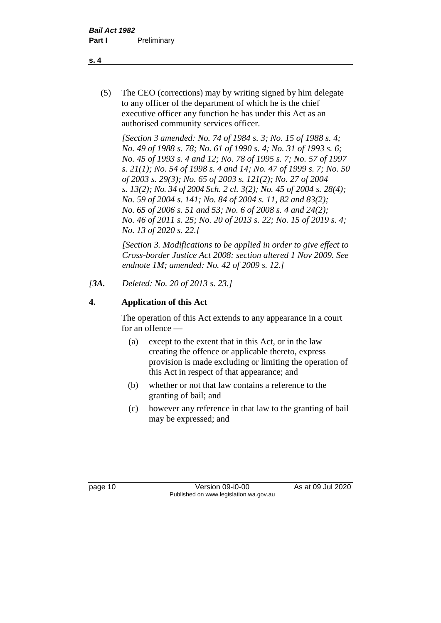(5) The CEO (corrections) may by writing signed by him delegate to any officer of the department of which he is the chief executive officer any function he has under this Act as an authorised community services officer.

*[Section 3 amended: No. 74 of 1984 s. 3; No. 15 of 1988 s. 4; No. 49 of 1988 s. 78; No. 61 of 1990 s. 4; No. 31 of 1993 s. 6; No. 45 of 1993 s. 4 and 12; No. 78 of 1995 s. 7; No. 57 of 1997 s. 21(1); No. 54 of 1998 s. 4 and 14; No. 47 of 1999 s. 7; No. 50 of 2003 s. 29(3); No. 65 of 2003 s. 121(2); No. 27 of 2004 s. 13(2); No. 34 of 2004 Sch. 2 cl. 3(2); No. 45 of 2004 s. 28(4); No. 59 of 2004 s. 141; No. 84 of 2004 s. 11, 82 and 83(2); No. 65 of 2006 s. 51 and 53; No. 6 of 2008 s. 4 and 24(2); No. 46 of 2011 s. 25; No. 20 of 2013 s. 22; No. 15 of 2019 s. 4; No. 13 of 2020 s. 22.]* 

*[Section 3. Modifications to be applied in order to give effect to Cross-border Justice Act 2008: section altered 1 Nov 2009. See endnote 1M; amended: No. 42 of 2009 s. 12.]*

*[3A. Deleted: No. 20 of 2013 s. 23.]*

# **4. Application of this Act**

The operation of this Act extends to any appearance in a court for an offence —

- (a) except to the extent that in this Act, or in the law creating the offence or applicable thereto, express provision is made excluding or limiting the operation of this Act in respect of that appearance; and
- (b) whether or not that law contains a reference to the granting of bail; and
- (c) however any reference in that law to the granting of bail may be expressed; and

page 10 Version 09-i0-00 As at 09 Jul 2020 Published on www.legislation.wa.gov.au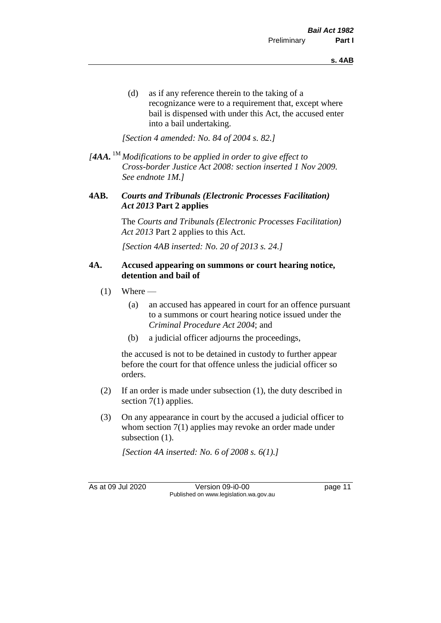(d) as if any reference therein to the taking of a recognizance were to a requirement that, except where bail is dispensed with under this Act, the accused enter into a bail undertaking.

*[Section 4 amended: No. 84 of 2004 s. 82.]*

*[4AA.* 1M *Modifications to be applied in order to give effect to Cross-border Justice Act 2008: section inserted 1 Nov 2009. See endnote 1M.]*

#### **4AB.** *Courts and Tribunals (Electronic Processes Facilitation) Act 2013* **Part 2 applies**

The *Courts and Tribunals (Electronic Processes Facilitation) Act 2013* Part 2 applies to this Act.

*[Section 4AB inserted: No. 20 of 2013 s. 24.]*

#### **4A. Accused appearing on summons or court hearing notice, detention and bail of**

- $(1)$  Where
	- (a) an accused has appeared in court for an offence pursuant to a summons or court hearing notice issued under the *Criminal Procedure Act 2004*; and
	- (b) a judicial officer adjourns the proceedings,

the accused is not to be detained in custody to further appear before the court for that offence unless the judicial officer so orders.

- (2) If an order is made under subsection (1), the duty described in section 7(1) applies.
- (3) On any appearance in court by the accused a judicial officer to whom section 7(1) applies may revoke an order made under subsection  $(1)$ .

*[Section 4A inserted: No. 6 of 2008 s. 6(1).]*

As at 09 Jul 2020 Version 09-i0-00 page 11 Published on www.legislation.wa.gov.au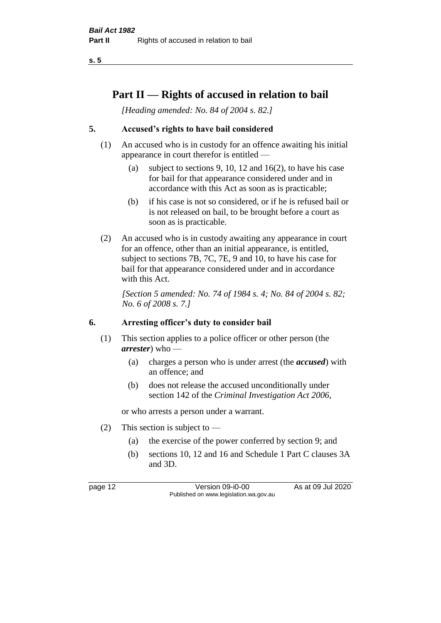**s. 5**

# **Part II — Rights of accused in relation to bail**

*[Heading amended: No. 84 of 2004 s. 82.]* 

# **5. Accused's rights to have bail considered**

- (1) An accused who is in custody for an offence awaiting his initial appearance in court therefor is entitled —
	- (a) subject to sections 9, 10, 12 and 16(2), to have his case for bail for that appearance considered under and in accordance with this Act as soon as is practicable;
	- (b) if his case is not so considered, or if he is refused bail or is not released on bail, to be brought before a court as soon as is practicable.
- (2) An accused who is in custody awaiting any appearance in court for an offence, other than an initial appearance, is entitled, subject to sections 7B, 7C, 7E, 9 and 10, to have his case for bail for that appearance considered under and in accordance with this Act.

*[Section 5 amended: No. 74 of 1984 s. 4; No. 84 of 2004 s. 82; No. 6 of 2008 s. 7.]* 

#### **6. Arresting officer's duty to consider bail**

- (1) This section applies to a police officer or other person (the *arrester*) who —
	- (a) charges a person who is under arrest (the *accused*) with an offence; and
	- (b) does not release the accused unconditionally under section 142 of the *Criminal Investigation Act 2006*,

or who arrests a person under a warrant.

- (2) This section is subject to  $-$ 
	- (a) the exercise of the power conferred by section 9; and
	- (b) sections 10, 12 and 16 and Schedule 1 Part C clauses 3A and 3D.

page 12 Version 09-i0-00 As at 09 Jul 2020 Published on www.legislation.wa.gov.au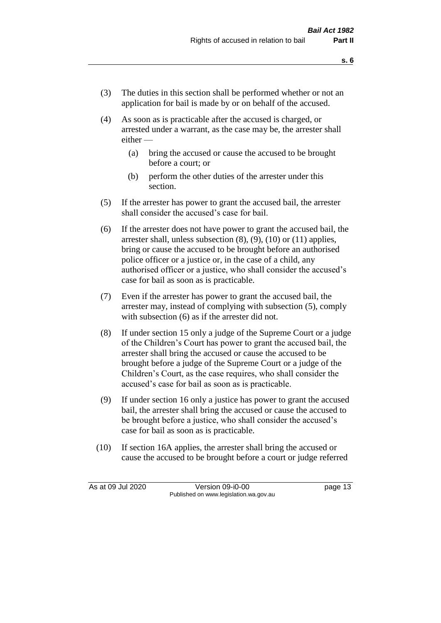- (3) The duties in this section shall be performed whether or not an application for bail is made by or on behalf of the accused.
- (4) As soon as is practicable after the accused is charged, or arrested under a warrant, as the case may be, the arrester shall either —
	- (a) bring the accused or cause the accused to be brought before a court; or
	- (b) perform the other duties of the arrester under this section.
- (5) If the arrester has power to grant the accused bail, the arrester shall consider the accused's case for bail.
- (6) If the arrester does not have power to grant the accused bail, the arrester shall, unless subsection (8), (9), (10) or (11) applies, bring or cause the accused to be brought before an authorised police officer or a justice or, in the case of a child, any authorised officer or a justice, who shall consider the accused's case for bail as soon as is practicable.
- (7) Even if the arrester has power to grant the accused bail, the arrester may, instead of complying with subsection (5), comply with subsection  $(6)$  as if the arrester did not.
- (8) If under section 15 only a judge of the Supreme Court or a judge of the Children's Court has power to grant the accused bail, the arrester shall bring the accused or cause the accused to be brought before a judge of the Supreme Court or a judge of the Children's Court, as the case requires, who shall consider the accused's case for bail as soon as is practicable.
- (9) If under section 16 only a justice has power to grant the accused bail, the arrester shall bring the accused or cause the accused to be brought before a justice, who shall consider the accused's case for bail as soon as is practicable.
- (10) If section 16A applies, the arrester shall bring the accused or cause the accused to be brought before a court or judge referred

As at 09 Jul 2020 Version 09-i0-00 page 13 Published on www.legislation.wa.gov.au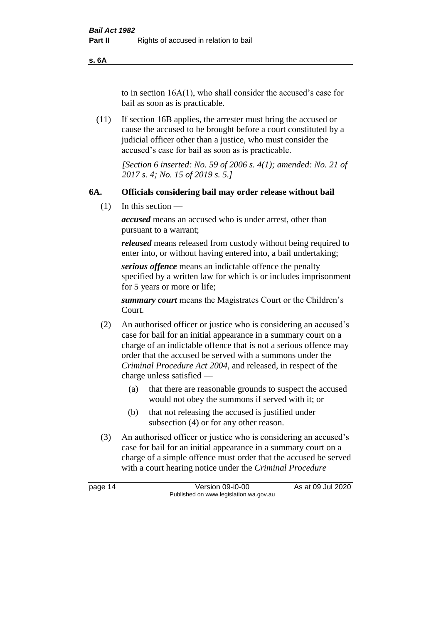**s. 6A**

to in section 16A(1), who shall consider the accused's case for bail as soon as is practicable.

(11) If section 16B applies, the arrester must bring the accused or cause the accused to be brought before a court constituted by a judicial officer other than a justice, who must consider the accused's case for bail as soon as is practicable.

> *[Section 6 inserted: No. 59 of 2006 s. 4(1); amended: No. 21 of 2017 s. 4; No. 15 of 2019 s. 5.]*

### **6A. Officials considering bail may order release without bail**

(1) In this section —

*accused* means an accused who is under arrest, other than pursuant to a warrant;

*released* means released from custody without being required to enter into, or without having entered into, a bail undertaking;

*serious offence* means an indictable offence the penalty specified by a written law for which is or includes imprisonment for 5 years or more or life;

*summary court* means the Magistrates Court or the Children's Court.

- (2) An authorised officer or justice who is considering an accused's case for bail for an initial appearance in a summary court on a charge of an indictable offence that is not a serious offence may order that the accused be served with a summons under the *Criminal Procedure Act 2004*, and released, in respect of the charge unless satisfied —
	- (a) that there are reasonable grounds to suspect the accused would not obey the summons if served with it; or
	- (b) that not releasing the accused is justified under subsection (4) or for any other reason.
- (3) An authorised officer or justice who is considering an accused's case for bail for an initial appearance in a summary court on a charge of a simple offence must order that the accused be served with a court hearing notice under the *Criminal Procedure*

page 14 Version 09-i0-00 As at 09 Jul 2020 Published on www.legislation.wa.gov.au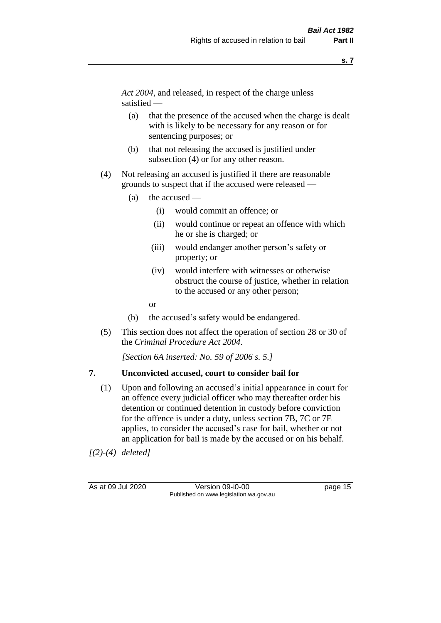*Act 2004*, and released, in respect of the charge unless satisfied —

- (a) that the presence of the accused when the charge is dealt with is likely to be necessary for any reason or for sentencing purposes; or
- (b) that not releasing the accused is justified under subsection (4) or for any other reason.
- (4) Not releasing an accused is justified if there are reasonable grounds to suspect that if the accused were released —
	- (a) the accused
		- (i) would commit an offence; or
		- (ii) would continue or repeat an offence with which he or she is charged; or
		- (iii) would endanger another person's safety or property; or
		- (iv) would interfere with witnesses or otherwise obstruct the course of justice, whether in relation to the accused or any other person;
		- or
	- (b) the accused's safety would be endangered.
- (5) This section does not affect the operation of section 28 or 30 of the *Criminal Procedure Act 2004*.

*[Section 6A inserted: No. 59 of 2006 s. 5.]* 

#### **7. Unconvicted accused, court to consider bail for**

(1) Upon and following an accused's initial appearance in court for an offence every judicial officer who may thereafter order his detention or continued detention in custody before conviction for the offence is under a duty, unless section 7B, 7C or 7E applies, to consider the accused's case for bail, whether or not an application for bail is made by the accused or on his behalf.

*[(2)-(4) deleted]*

As at 09 Jul 2020 Version 09-i0-00 page 15 Published on www.legislation.wa.gov.au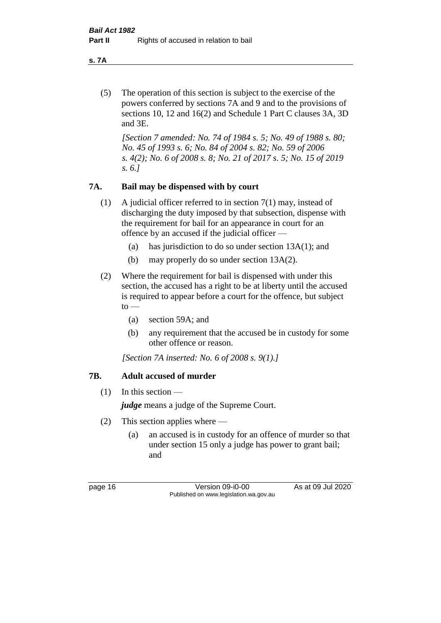**s. 7A**

(5) The operation of this section is subject to the exercise of the powers conferred by sections 7A and 9 and to the provisions of sections 10, 12 and 16(2) and Schedule 1 Part C clauses 3A, 3D and 3E.

*[Section 7 amended: No. 74 of 1984 s. 5; No. 49 of 1988 s. 80; No. 45 of 1993 s. 6; No. 84 of 2004 s. 82; No. 59 of 2006 s. 4(2); No. 6 of 2008 s. 8; No. 21 of 2017 s. 5; No. 15 of 2019 s. 6.]* 

# **7A. Bail may be dispensed with by court**

- (1) A judicial officer referred to in section 7(1) may, instead of discharging the duty imposed by that subsection, dispense with the requirement for bail for an appearance in court for an offence by an accused if the judicial officer —
	- (a) has jurisdiction to do so under section 13A(1); and
	- (b) may properly do so under section 13A(2).
- (2) Where the requirement for bail is dispensed with under this section, the accused has a right to be at liberty until the accused is required to appear before a court for the offence, but subject  $to -$ 
	- (a) section 59A; and
	- (b) any requirement that the accused be in custody for some other offence or reason.

*[Section 7A inserted: No. 6 of 2008 s. 9(1).]*

# **7B. Adult accused of murder**

 $(1)$  In this section —

*judge* means a judge of the Supreme Court.

- (2) This section applies where
	- (a) an accused is in custody for an offence of murder so that under section 15 only a judge has power to grant bail; and

page 16 Version 09-i0-00 As at 09 Jul 2020 Published on www.legislation.wa.gov.au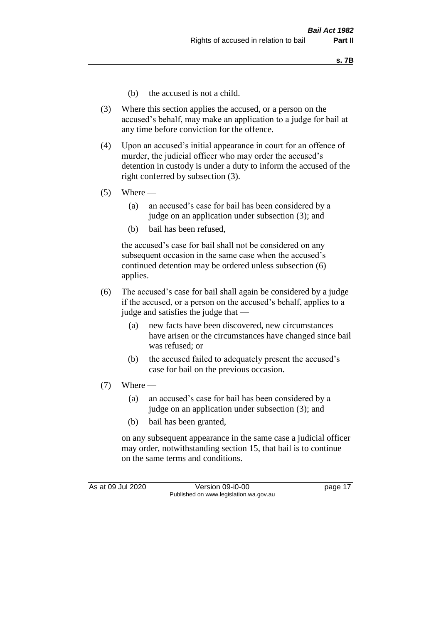- (b) the accused is not a child.
- (3) Where this section applies the accused, or a person on the accused's behalf, may make an application to a judge for bail at any time before conviction for the offence.
- (4) Upon an accused's initial appearance in court for an offence of murder, the judicial officer who may order the accused's detention in custody is under a duty to inform the accused of the right conferred by subsection (3).
- $(5)$  Where
	- (a) an accused's case for bail has been considered by a judge on an application under subsection (3); and
	- (b) bail has been refused,

the accused's case for bail shall not be considered on any subsequent occasion in the same case when the accused's continued detention may be ordered unless subsection (6) applies.

- (6) The accused's case for bail shall again be considered by a judge if the accused, or a person on the accused's behalf, applies to a judge and satisfies the judge that —
	- (a) new facts have been discovered, new circumstances have arisen or the circumstances have changed since bail was refused; or
	- (b) the accused failed to adequately present the accused's case for bail on the previous occasion.
- $(7)$  Where
	- (a) an accused's case for bail has been considered by a judge on an application under subsection (3); and
	- (b) bail has been granted,

on any subsequent appearance in the same case a judicial officer may order, notwithstanding section 15, that bail is to continue on the same terms and conditions.

As at 09 Jul 2020 Version 09-i0-00 page 17 Published on www.legislation.wa.gov.au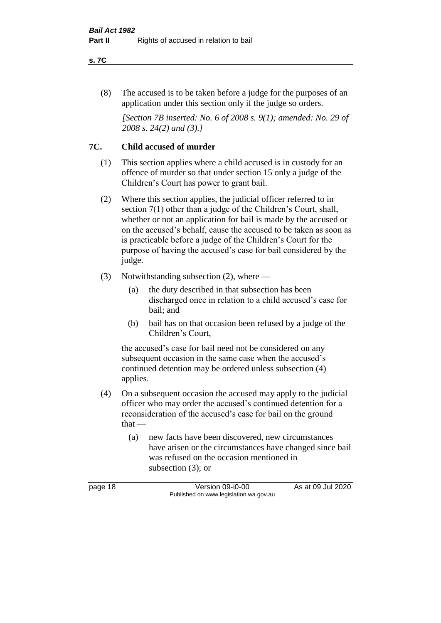#### **s. 7C**

(8) The accused is to be taken before a judge for the purposes of an application under this section only if the judge so orders.

*[Section 7B inserted: No. 6 of 2008 s. 9(1); amended: No. 29 of 2008 s. 24(2) and (3).]*

## **7C. Child accused of murder**

- (1) This section applies where a child accused is in custody for an offence of murder so that under section 15 only a judge of the Children's Court has power to grant bail.
- (2) Where this section applies, the judicial officer referred to in section 7(1) other than a judge of the Children's Court, shall, whether or not an application for bail is made by the accused or on the accused's behalf, cause the accused to be taken as soon as is practicable before a judge of the Children's Court for the purpose of having the accused's case for bail considered by the judge.
- (3) Notwithstanding subsection (2), where
	- (a) the duty described in that subsection has been discharged once in relation to a child accused's case for bail; and
	- (b) bail has on that occasion been refused by a judge of the Children's Court,

the accused's case for bail need not be considered on any subsequent occasion in the same case when the accused's continued detention may be ordered unless subsection (4) applies.

- (4) On a subsequent occasion the accused may apply to the judicial officer who may order the accused's continued detention for a reconsideration of the accused's case for bail on the ground that —
	- (a) new facts have been discovered, new circumstances have arisen or the circumstances have changed since bail was refused on the occasion mentioned in subsection (3); or

page 18 Version 09-i0-00 As at 09 Jul 2020 Published on www.legislation.wa.gov.au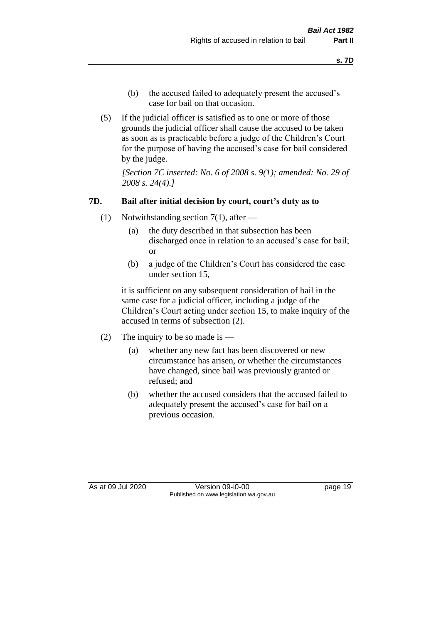- (b) the accused failed to adequately present the accused's case for bail on that occasion.
- (5) If the judicial officer is satisfied as to one or more of those grounds the judicial officer shall cause the accused to be taken as soon as is practicable before a judge of the Children's Court for the purpose of having the accused's case for bail considered by the judge.

*[Section 7C inserted: No. 6 of 2008 s. 9(1); amended: No. 29 of 2008 s. 24(4).]*

### **7D. Bail after initial decision by court, court's duty as to**

- (1) Notwithstanding section 7(1), after
	- (a) the duty described in that subsection has been discharged once in relation to an accused's case for bail; or
	- (b) a judge of the Children's Court has considered the case under section 15,

it is sufficient on any subsequent consideration of bail in the same case for a judicial officer, including a judge of the Children's Court acting under section 15, to make inquiry of the accused in terms of subsection (2).

- (2) The inquiry to be so made is  $-$ 
	- (a) whether any new fact has been discovered or new circumstance has arisen, or whether the circumstances have changed, since bail was previously granted or refused; and
	- (b) whether the accused considers that the accused failed to adequately present the accused's case for bail on a previous occasion.

As at 09 Jul 2020 Version 09-i0-00 page 19 Published on www.legislation.wa.gov.au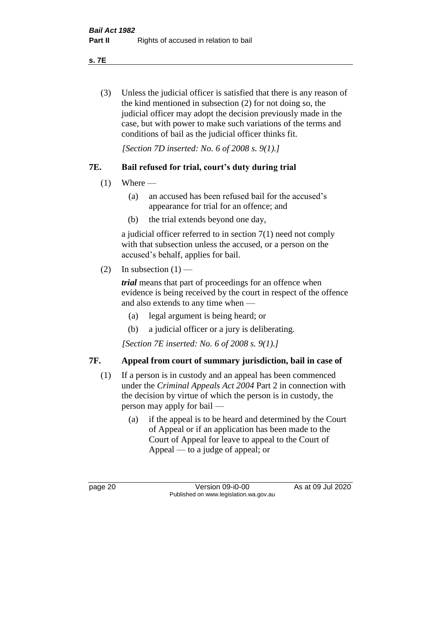**s. 7E**

(3) Unless the judicial officer is satisfied that there is any reason of the kind mentioned in subsection (2) for not doing so, the judicial officer may adopt the decision previously made in the case, but with power to make such variations of the terms and conditions of bail as the judicial officer thinks fit.

*[Section 7D inserted: No. 6 of 2008 s. 9(1).]*

# **7E. Bail refused for trial, court's duty during trial**

- $(1)$  Where
	- (a) an accused has been refused bail for the accused's appearance for trial for an offence; and
	- (b) the trial extends beyond one day,

a judicial officer referred to in section 7(1) need not comply with that subsection unless the accused, or a person on the accused's behalf, applies for bail.

(2) In subsection  $(1)$  —

*trial* means that part of proceedings for an offence when evidence is being received by the court in respect of the offence and also extends to any time when —

- (a) legal argument is being heard; or
- (b) a judicial officer or a jury is deliberating.

*[Section 7E inserted: No. 6 of 2008 s. 9(1).]*

# **7F. Appeal from court of summary jurisdiction, bail in case of**

- (1) If a person is in custody and an appeal has been commenced under the *Criminal Appeals Act 2004* Part 2 in connection with the decision by virtue of which the person is in custody, the person may apply for bail —
	- (a) if the appeal is to be heard and determined by the Court of Appeal or if an application has been made to the Court of Appeal for leave to appeal to the Court of Appeal — to a judge of appeal; or

page 20 Version 09-i0-00 As at 09 Jul 2020 Published on www.legislation.wa.gov.au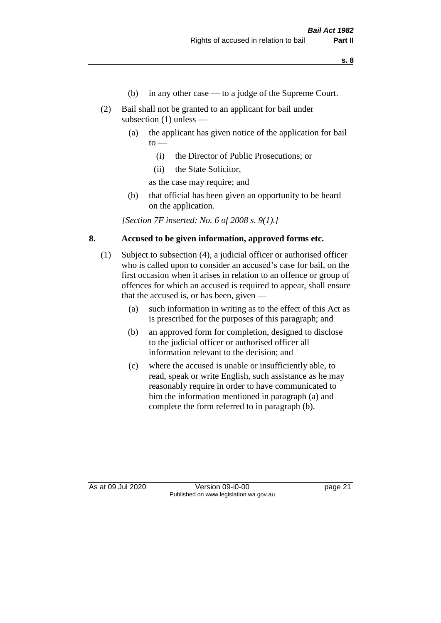- (b) in any other case to a judge of the Supreme Court.
- (2) Bail shall not be granted to an applicant for bail under subsection (1) unless —
	- (a) the applicant has given notice of the application for bail  $\mathrm{to}$  —
		- (i) the Director of Public Prosecutions; or
		- (ii) the State Solicitor,

as the case may require; and

(b) that official has been given an opportunity to be heard on the application.

*[Section 7F inserted: No. 6 of 2008 s. 9(1).]*

### **8. Accused to be given information, approved forms etc.**

- (1) Subject to subsection (4), a judicial officer or authorised officer who is called upon to consider an accused's case for bail, on the first occasion when it arises in relation to an offence or group of offences for which an accused is required to appear, shall ensure that the accused is, or has been, given —
	- (a) such information in writing as to the effect of this Act as is prescribed for the purposes of this paragraph; and
	- (b) an approved form for completion, designed to disclose to the judicial officer or authorised officer all information relevant to the decision; and
	- (c) where the accused is unable or insufficiently able, to read, speak or write English, such assistance as he may reasonably require in order to have communicated to him the information mentioned in paragraph (a) and complete the form referred to in paragraph (b).

As at 09 Jul 2020 Version 09-i0-00 page 21 Published on www.legislation.wa.gov.au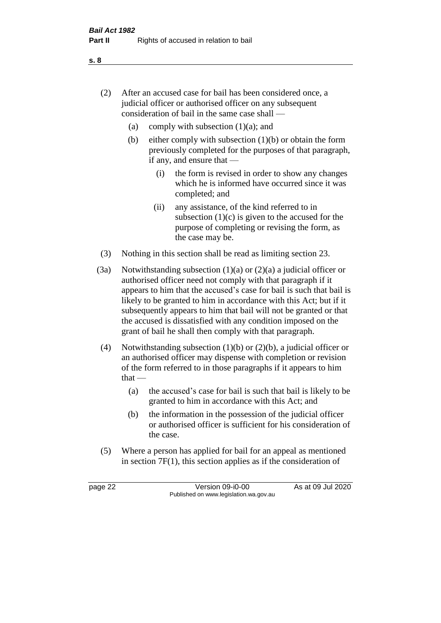- (2) After an accused case for bail has been considered once, a judicial officer or authorised officer on any subsequent consideration of bail in the same case shall —
	- (a) comply with subsection  $(1)(a)$ ; and
	- (b) either comply with subsection  $(1)(b)$  or obtain the form previously completed for the purposes of that paragraph, if any, and ensure that —
		- (i) the form is revised in order to show any changes which he is informed have occurred since it was completed; and
		- (ii) any assistance, of the kind referred to in subsection  $(1)(c)$  is given to the accused for the purpose of completing or revising the form, as the case may be.
- (3) Nothing in this section shall be read as limiting section 23.
- (3a) Notwithstanding subsection  $(1)(a)$  or  $(2)(a)$  a judicial officer or authorised officer need not comply with that paragraph if it appears to him that the accused's case for bail is such that bail is likely to be granted to him in accordance with this Act; but if it subsequently appears to him that bail will not be granted or that the accused is dissatisfied with any condition imposed on the grant of bail he shall then comply with that paragraph.
- (4) Notwithstanding subsection (1)(b) or (2)(b), a judicial officer or an authorised officer may dispense with completion or revision of the form referred to in those paragraphs if it appears to him  $that -$ 
	- (a) the accused's case for bail is such that bail is likely to be granted to him in accordance with this Act; and
	- (b) the information in the possession of the judicial officer or authorised officer is sufficient for his consideration of the case.
- (5) Where a person has applied for bail for an appeal as mentioned in section 7F(1), this section applies as if the consideration of

page 22 Version 09-i0-00 As at 09 Jul 2020 Published on www.legislation.wa.gov.au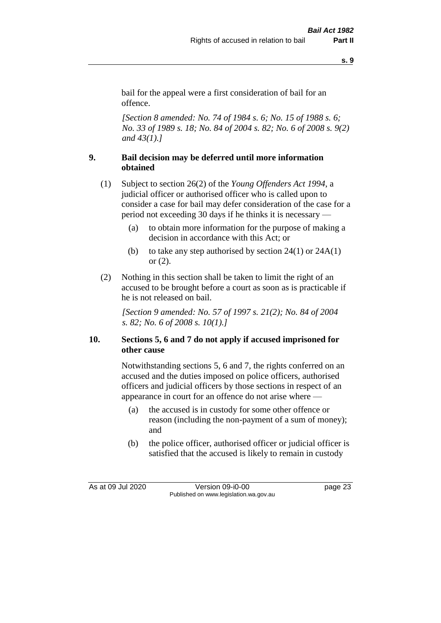**s. 9**

bail for the appeal were a first consideration of bail for an offence.

*[Section 8 amended: No. 74 of 1984 s. 6; No. 15 of 1988 s. 6; No. 33 of 1989 s. 18; No. 84 of 2004 s. 82; No. 6 of 2008 s. 9(2) and 43(1).]* 

# **9. Bail decision may be deferred until more information obtained**

- (1) Subject to section 26(2) of the *Young Offenders Act 1994*, a judicial officer or authorised officer who is called upon to consider a case for bail may defer consideration of the case for a period not exceeding 30 days if he thinks it is necessary —
	- (a) to obtain more information for the purpose of making a decision in accordance with this Act; or
	- (b) to take any step authorised by section  $24(1)$  or  $24A(1)$ or (2).
- (2) Nothing in this section shall be taken to limit the right of an accused to be brought before a court as soon as is practicable if he is not released on bail.

*[Section 9 amended: No. 57 of 1997 s. 21(2); No. 84 of 2004 s. 82; No. 6 of 2008 s. 10(1).]*

# **10. Sections 5, 6 and 7 do not apply if accused imprisoned for other cause**

Notwithstanding sections 5, 6 and 7, the rights conferred on an accused and the duties imposed on police officers, authorised officers and judicial officers by those sections in respect of an appearance in court for an offence do not arise where —

- (a) the accused is in custody for some other offence or reason (including the non-payment of a sum of money); and
- (b) the police officer, authorised officer or judicial officer is satisfied that the accused is likely to remain in custody

As at 09 Jul 2020 Version 09-i0-00 page 23 Published on www.legislation.wa.gov.au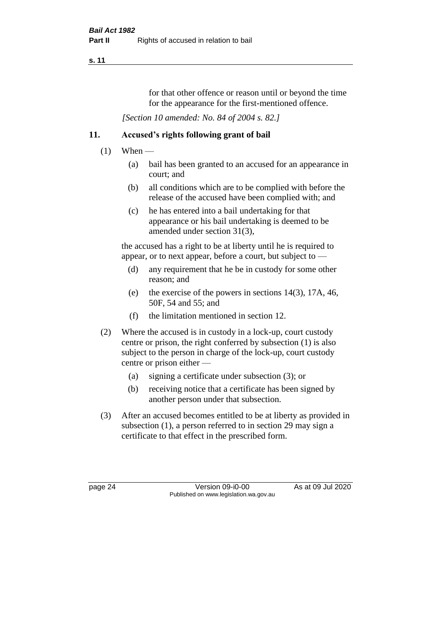#### **s. 11**

for that other offence or reason until or beyond the time for the appearance for the first-mentioned offence.

*[Section 10 amended: No. 84 of 2004 s. 82.]*

# **11. Accused's rights following grant of bail**

- $(1)$  When
	- (a) bail has been granted to an accused for an appearance in court; and
	- (b) all conditions which are to be complied with before the release of the accused have been complied with; and
	- (c) he has entered into a bail undertaking for that appearance or his bail undertaking is deemed to be amended under section 31(3),

the accused has a right to be at liberty until he is required to appear, or to next appear, before a court, but subject to —

- (d) any requirement that he be in custody for some other reason; and
- (e) the exercise of the powers in sections 14(3), 17A, 46, 50F, 54 and 55; and
- (f) the limitation mentioned in section 12.
- (2) Where the accused is in custody in a lock-up, court custody centre or prison, the right conferred by subsection (1) is also subject to the person in charge of the lock-up, court custody centre or prison either —
	- (a) signing a certificate under subsection (3); or
	- (b) receiving notice that a certificate has been signed by another person under that subsection.
- (3) After an accused becomes entitled to be at liberty as provided in subsection (1), a person referred to in section 29 may sign a certificate to that effect in the prescribed form.

page 24 Version 09-i0-00 As at 09 Jul 2020 Published on www.legislation.wa.gov.au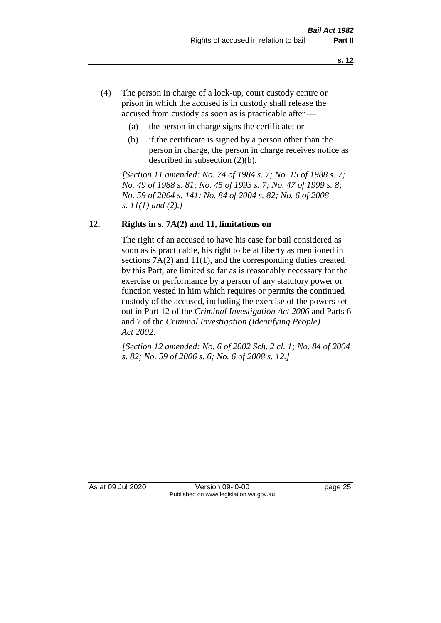- (4) The person in charge of a lock-up, court custody centre or prison in which the accused is in custody shall release the accused from custody as soon as is practicable after —
	- (a) the person in charge signs the certificate; or
	- (b) if the certificate is signed by a person other than the person in charge, the person in charge receives notice as described in subsection (2)(b).

*[Section 11 amended: No. 74 of 1984 s. 7; No. 15 of 1988 s. 7; No. 49 of 1988 s. 81; No. 45 of 1993 s. 7; No. 47 of 1999 s. 8; No. 59 of 2004 s. 141; No. 84 of 2004 s. 82; No. 6 of 2008 s. 11(1) and (2).]* 

# **12. Rights in s. 7A(2) and 11, limitations on**

The right of an accused to have his case for bail considered as soon as is practicable, his right to be at liberty as mentioned in sections 7A(2) and 11(1), and the corresponding duties created by this Part, are limited so far as is reasonably necessary for the exercise or performance by a person of any statutory power or function vested in him which requires or permits the continued custody of the accused, including the exercise of the powers set out in Part 12 of the *Criminal Investigation Act 2006* and Parts 6 and 7 of the *Criminal Investigation (Identifying People) Act 2002*.

*[Section 12 amended: No. 6 of 2002 Sch. 2 cl. 1; No. 84 of 2004 s. 82; No. 59 of 2006 s. 6; No. 6 of 2008 s. 12.]*

As at 09 Jul 2020 Version 09-i0-00 page 25 Published on www.legislation.wa.gov.au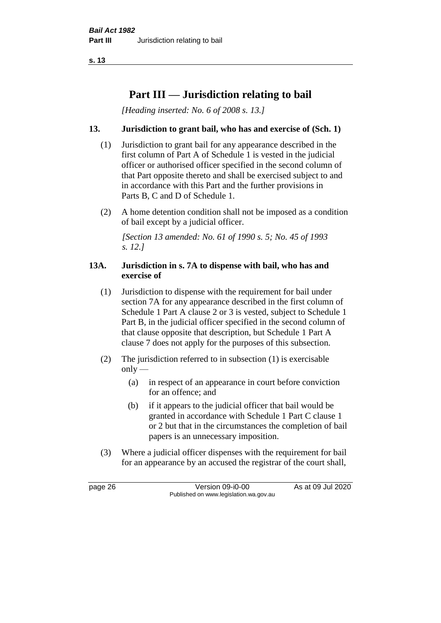**s. 13**

# **Part III — Jurisdiction relating to bail**

*[Heading inserted: No. 6 of 2008 s. 13.]*

## **13. Jurisdiction to grant bail, who has and exercise of (Sch. 1)**

- (1) Jurisdiction to grant bail for any appearance described in the first column of Part A of Schedule 1 is vested in the judicial officer or authorised officer specified in the second column of that Part opposite thereto and shall be exercised subject to and in accordance with this Part and the further provisions in Parts B, C and D of Schedule 1.
- (2) A home detention condition shall not be imposed as a condition of bail except by a judicial officer.

*[Section 13 amended: No. 61 of 1990 s. 5; No. 45 of 1993 s. 12.]* 

#### **13A. Jurisdiction in s. 7A to dispense with bail, who has and exercise of**

- (1) Jurisdiction to dispense with the requirement for bail under section 7A for any appearance described in the first column of Schedule 1 Part A clause 2 or 3 is vested, subject to Schedule 1 Part B, in the judicial officer specified in the second column of that clause opposite that description, but Schedule 1 Part A clause 7 does not apply for the purposes of this subsection.
- (2) The jurisdiction referred to in subsection (1) is exercisable  $only$ —
	- (a) in respect of an appearance in court before conviction for an offence; and
	- (b) if it appears to the judicial officer that bail would be granted in accordance with Schedule 1 Part C clause 1 or 2 but that in the circumstances the completion of bail papers is an unnecessary imposition.
- (3) Where a judicial officer dispenses with the requirement for bail for an appearance by an accused the registrar of the court shall,

page 26 Version 09-i0-00 As at 09 Jul 2020 Published on www.legislation.wa.gov.au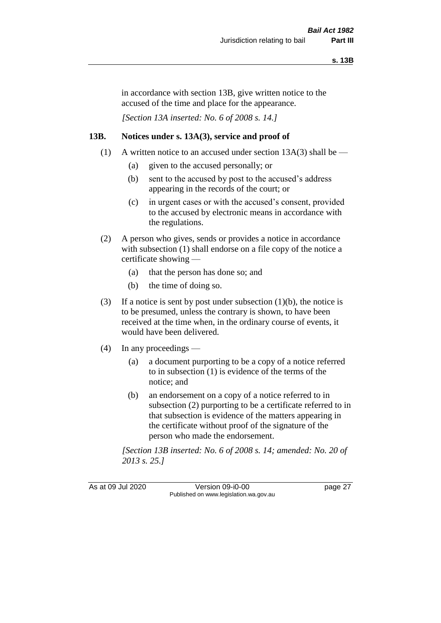in accordance with section 13B, give written notice to the accused of the time and place for the appearance.

*[Section 13A inserted: No. 6 of 2008 s. 14.]*

## **13B. Notices under s. 13A(3), service and proof of**

- (1) A written notice to an accused under section  $13A(3)$  shall be
	- (a) given to the accused personally; or
	- (b) sent to the accused by post to the accused's address appearing in the records of the court; or
	- (c) in urgent cases or with the accused's consent, provided to the accused by electronic means in accordance with the regulations.
- (2) A person who gives, sends or provides a notice in accordance with subsection (1) shall endorse on a file copy of the notice a certificate showing —
	- (a) that the person has done so; and
	- (b) the time of doing so.
- (3) If a notice is sent by post under subsection  $(1)(b)$ , the notice is to be presumed, unless the contrary is shown, to have been received at the time when, in the ordinary course of events, it would have been delivered.
- (4) In any proceedings
	- (a) a document purporting to be a copy of a notice referred to in subsection (1) is evidence of the terms of the notice; and
	- (b) an endorsement on a copy of a notice referred to in subsection (2) purporting to be a certificate referred to in that subsection is evidence of the matters appearing in the certificate without proof of the signature of the person who made the endorsement.

*[Section 13B inserted: No. 6 of 2008 s. 14; amended: No. 20 of 2013 s. 25.]*

As at 09 Jul 2020 Version 09-i0-00 page 27 Published on www.legislation.wa.gov.au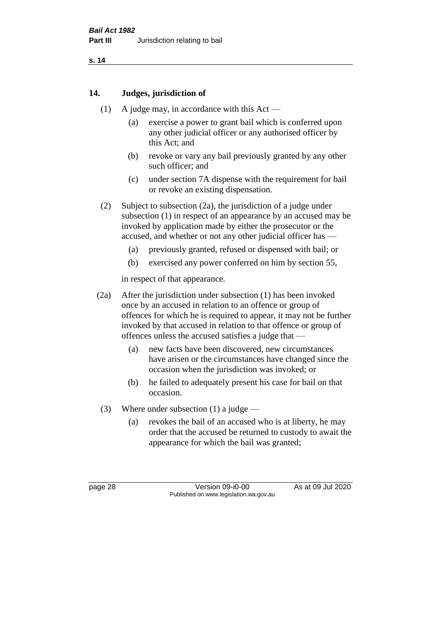# **14. Judges, jurisdiction of**

- (1) A judge may, in accordance with this Act
	- (a) exercise a power to grant bail which is conferred upon any other judicial officer or any authorised officer by this Act; and
	- (b) revoke or vary any bail previously granted by any other such officer; and
	- (c) under section 7A dispense with the requirement for bail or revoke an existing dispensation.
- (2) Subject to subsection (2a), the jurisdiction of a judge under subsection (1) in respect of an appearance by an accused may be invoked by application made by either the prosecutor or the accused, and whether or not any other judicial officer has —
	- (a) previously granted, refused or dispensed with bail; or
	- (b) exercised any power conferred on him by section 55,

in respect of that appearance.

- (2a) After the jurisdiction under subsection (1) has been invoked once by an accused in relation to an offence or group of offences for which he is required to appear, it may not be further invoked by that accused in relation to that offence or group of offences unless the accused satisfies a judge that —
	- (a) new facts have been discovered, new circumstances have arisen or the circumstances have changed since the occasion when the jurisdiction was invoked; or
	- (b) he failed to adequately present his case for bail on that occasion.
- (3) Where under subsection (1) a judge
	- (a) revokes the bail of an accused who is at liberty, he may order that the accused be returned to custody to await the appearance for which the bail was granted;

page 28 Version 09-i0-00 As at 09 Jul 2020 Published on www.legislation.wa.gov.au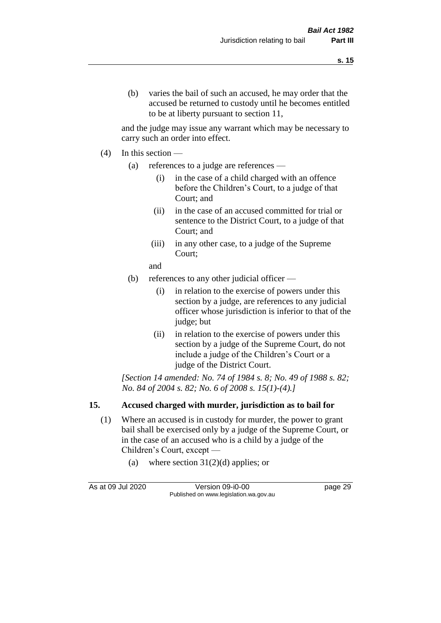and the judge may issue any warrant which may be necessary to carry such an order into effect.

- (4) In this section
	- (a) references to a judge are references
		- (i) in the case of a child charged with an offence before the Children's Court, to a judge of that Court; and
		- (ii) in the case of an accused committed for trial or sentence to the District Court, to a judge of that Court; and
		- (iii) in any other case, to a judge of the Supreme Court;
		- and
	- (b) references to any other judicial officer
		- (i) in relation to the exercise of powers under this section by a judge, are references to any judicial officer whose jurisdiction is inferior to that of the judge; but
		- (ii) in relation to the exercise of powers under this section by a judge of the Supreme Court, do not include a judge of the Children's Court or a judge of the District Court.

*[Section 14 amended: No. 74 of 1984 s. 8; No. 49 of 1988 s. 82; No. 84 of 2004 s. 82; No. 6 of 2008 s. 15(1)-(4).]* 

# **15. Accused charged with murder, jurisdiction as to bail for**

- (1) Where an accused is in custody for murder, the power to grant bail shall be exercised only by a judge of the Supreme Court, or in the case of an accused who is a child by a judge of the Children's Court, except —
	- (a) where section  $31(2)(d)$  applies; or

As at 09 Jul 2020 Version 09-i0-00 page 29 Published on www.legislation.wa.gov.au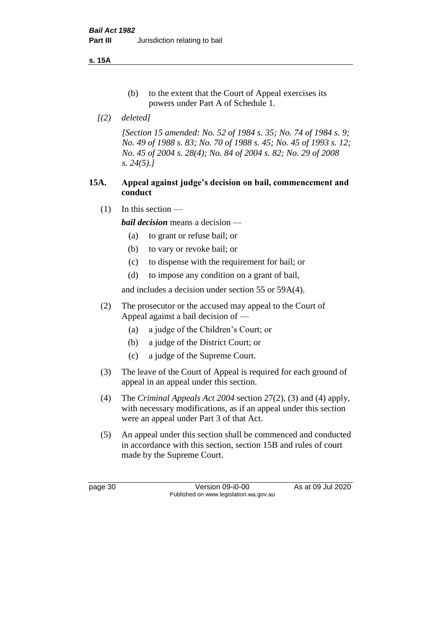**s. 15A**

- (b) to the extent that the Court of Appeal exercises its powers under Part A of Schedule 1.
- *[(2) deleted]*

*[Section 15 amended: No. 52 of 1984 s. 35; No. 74 of 1984 s. 9; No. 49 of 1988 s. 83; No. 70 of 1988 s. 45; No. 45 of 1993 s. 12; No. 45 of 2004 s. 28(4); No. 84 of 2004 s. 82; No. 29 of 2008 s. 24(5).]* 

# **15A. Appeal against judge's decision on bail, commencement and conduct**

 $(1)$  In this section —

*bail decision* means a decision —

- (a) to grant or refuse bail; or
- (b) to vary or revoke bail; or
- (c) to dispense with the requirement for bail; or
- (d) to impose any condition on a grant of bail,

and includes a decision under section 55 or 59A(4).

- (2) The prosecutor or the accused may appeal to the Court of Appeal against a bail decision of —
	- (a) a judge of the Children's Court; or
	- (b) a judge of the District Court; or
	- (c) a judge of the Supreme Court.
- (3) The leave of the Court of Appeal is required for each ground of appeal in an appeal under this section.
- (4) The *Criminal Appeals Act 2004* section 27(2), (3) and (4) apply, with necessary modifications, as if an appeal under this section were an appeal under Part 3 of that Act.
- (5) An appeal under this section shall be commenced and conducted in accordance with this section, section 15B and rules of court made by the Supreme Court.

page 30 Version 09-i0-00 As at 09 Jul 2020 Published on www.legislation.wa.gov.au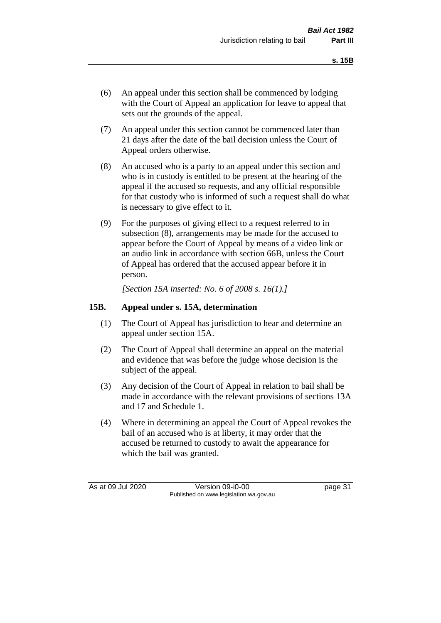- (6) An appeal under this section shall be commenced by lodging with the Court of Appeal an application for leave to appeal that sets out the grounds of the appeal.
- (7) An appeal under this section cannot be commenced later than 21 days after the date of the bail decision unless the Court of Appeal orders otherwise.
- (8) An accused who is a party to an appeal under this section and who is in custody is entitled to be present at the hearing of the appeal if the accused so requests, and any official responsible for that custody who is informed of such a request shall do what is necessary to give effect to it.
- (9) For the purposes of giving effect to a request referred to in subsection (8), arrangements may be made for the accused to appear before the Court of Appeal by means of a video link or an audio link in accordance with section 66B, unless the Court of Appeal has ordered that the accused appear before it in person.

*[Section 15A inserted: No. 6 of 2008 s. 16(1).]*

## **15B. Appeal under s. 15A, determination**

- (1) The Court of Appeal has jurisdiction to hear and determine an appeal under section 15A.
- (2) The Court of Appeal shall determine an appeal on the material and evidence that was before the judge whose decision is the subject of the appeal.
- (3) Any decision of the Court of Appeal in relation to bail shall be made in accordance with the relevant provisions of sections 13A and 17 and Schedule 1.
- (4) Where in determining an appeal the Court of Appeal revokes the bail of an accused who is at liberty, it may order that the accused be returned to custody to await the appearance for which the bail was granted.

As at 09 Jul 2020 Version 09-i0-00 Published on www.legislation.wa.gov.au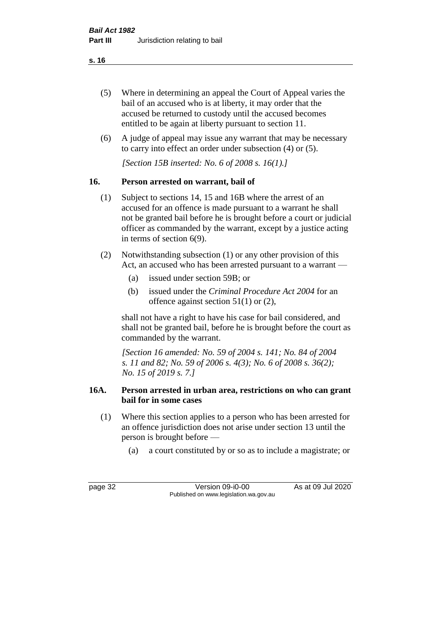- (5) Where in determining an appeal the Court of Appeal varies the bail of an accused who is at liberty, it may order that the accused be returned to custody until the accused becomes entitled to be again at liberty pursuant to section 11.
- (6) A judge of appeal may issue any warrant that may be necessary to carry into effect an order under subsection (4) or (5).

*[Section 15B inserted: No. 6 of 2008 s. 16(1).]*

# **16. Person arrested on warrant, bail of**

- (1) Subject to sections 14, 15 and 16B where the arrest of an accused for an offence is made pursuant to a warrant he shall not be granted bail before he is brought before a court or judicial officer as commanded by the warrant, except by a justice acting in terms of section 6(9).
- (2) Notwithstanding subsection (1) or any other provision of this Act, an accused who has been arrested pursuant to a warrant —
	- (a) issued under section 59B; or
	- (b) issued under the *Criminal Procedure Act 2004* for an offence against section 51(1) or (2),

shall not have a right to have his case for bail considered, and shall not be granted bail, before he is brought before the court as commanded by the warrant.

*[Section 16 amended: No. 59 of 2004 s. 141; No. 84 of 2004 s. 11 and 82; No. 59 of 2006 s. 4(3); No. 6 of 2008 s. 36(2); No. 15 of 2019 s. 7.]*

# **16A. Person arrested in urban area, restrictions on who can grant bail for in some cases**

- (1) Where this section applies to a person who has been arrested for an offence jurisdiction does not arise under section 13 until the person is brought before —
	- (a) a court constituted by or so as to include a magistrate; or

page 32 Version 09-i0-00 As at 09 Jul 2020 Published on www.legislation.wa.gov.au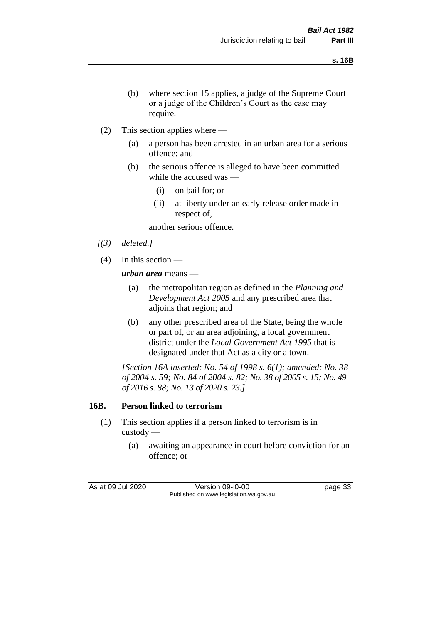- (b) where section 15 applies, a judge of the Supreme Court or a judge of the Children's Court as the case may require.
- (2) This section applies where
	- (a) a person has been arrested in an urban area for a serious offence; and
	- (b) the serious offence is alleged to have been committed while the accused was —
		- (i) on bail for; or
		- (ii) at liberty under an early release order made in respect of,

another serious offence.

- *[(3) deleted.]*
- (4) In this section —

*urban area* means —

- (a) the metropolitan region as defined in the *Planning and Development Act 2005* and any prescribed area that adjoins that region; and
- (b) any other prescribed area of the State, being the whole or part of, or an area adjoining, a local government district under the *Local Government Act 1995* that is designated under that Act as a city or a town.

*[Section 16A inserted: No. 54 of 1998 s. 6(1); amended: No. 38 of 2004 s. 59; No. 84 of 2004 s. 82; No. 38 of 2005 s. 15; No. 49 of 2016 s. 88; No. 13 of 2020 s. 23.]*

# **16B. Person linked to terrorism**

- (1) This section applies if a person linked to terrorism is in custody —
	- (a) awaiting an appearance in court before conviction for an offence; or

As at 09 Jul 2020 Version 09-i0-00 page 33 Published on www.legislation.wa.gov.au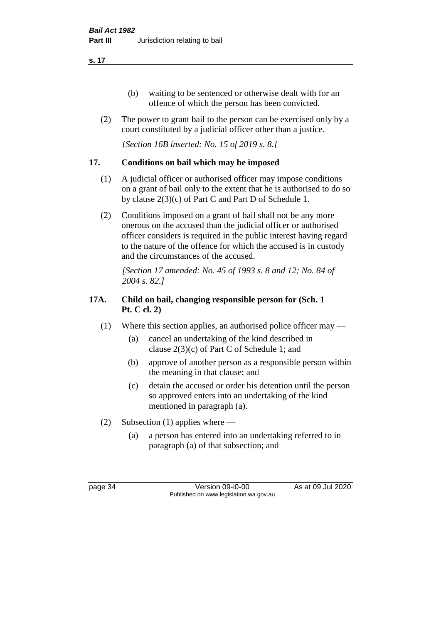- (b) waiting to be sentenced or otherwise dealt with for an offence of which the person has been convicted.
- (2) The power to grant bail to the person can be exercised only by a court constituted by a judicial officer other than a justice.

*[Section 16B inserted: No. 15 of 2019 s. 8.]*

# **17. Conditions on bail which may be imposed**

- (1) A judicial officer or authorised officer may impose conditions on a grant of bail only to the extent that he is authorised to do so by clause 2(3)(c) of Part C and Part D of Schedule 1.
- (2) Conditions imposed on a grant of bail shall not be any more onerous on the accused than the judicial officer or authorised officer considers is required in the public interest having regard to the nature of the offence for which the accused is in custody and the circumstances of the accused.

*[Section 17 amended: No. 45 of 1993 s. 8 and 12; No. 84 of 2004 s. 82.]* 

# **17A. Child on bail, changing responsible person for (Sch. 1 Pt. C cl. 2)**

- (1) Where this section applies, an authorised police officer may
	- (a) cancel an undertaking of the kind described in clause 2(3)(c) of Part C of Schedule 1; and
	- (b) approve of another person as a responsible person within the meaning in that clause; and
	- (c) detain the accused or order his detention until the person so approved enters into an undertaking of the kind mentioned in paragraph (a).
- (2) Subsection (1) applies where
	- (a) a person has entered into an undertaking referred to in paragraph (a) of that subsection; and

page 34 Version 09-i0-00 As at 09 Jul 2020 Published on www.legislation.wa.gov.au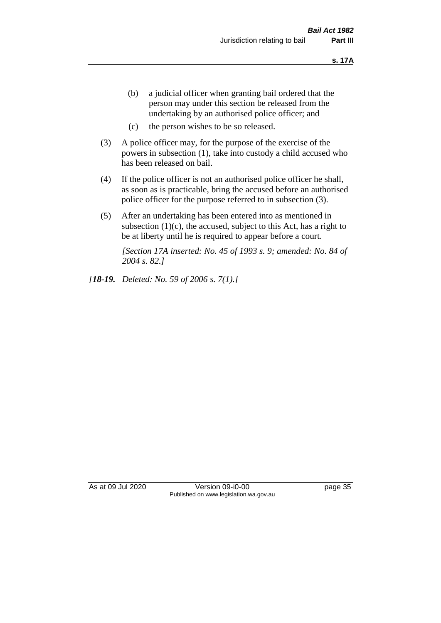- (b) a judicial officer when granting bail ordered that the person may under this section be released from the undertaking by an authorised police officer; and
- (c) the person wishes to be so released.
- (3) A police officer may, for the purpose of the exercise of the powers in subsection (1), take into custody a child accused who has been released on bail.
- (4) If the police officer is not an authorised police officer he shall, as soon as is practicable, bring the accused before an authorised police officer for the purpose referred to in subsection (3).
- (5) After an undertaking has been entered into as mentioned in subsection  $(1)(c)$ , the accused, subject to this Act, has a right to be at liberty until he is required to appear before a court.

*[Section 17A inserted: No. 45 of 1993 s. 9; amended: No. 84 of 2004 s. 82.]* 

*[18-19. Deleted: No. 59 of 2006 s. 7(1).]*

As at 09 Jul 2020 Version 09-i0-00 page 35 Published on www.legislation.wa.gov.au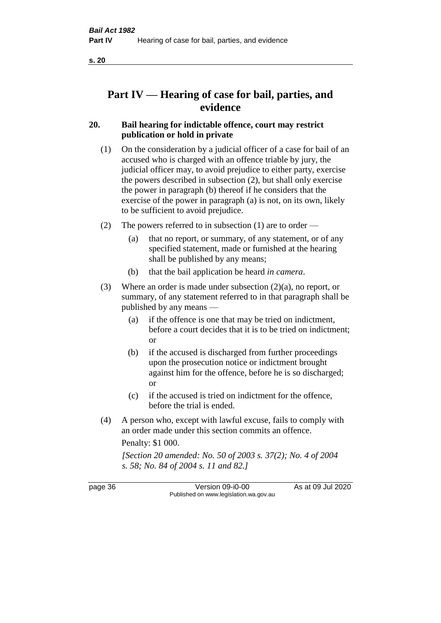# **Part IV — Hearing of case for bail, parties, and evidence**

# **20. Bail hearing for indictable offence, court may restrict publication or hold in private**

- (1) On the consideration by a judicial officer of a case for bail of an accused who is charged with an offence triable by jury, the judicial officer may, to avoid prejudice to either party, exercise the powers described in subsection (2), but shall only exercise the power in paragraph (b) thereof if he considers that the exercise of the power in paragraph (a) is not, on its own, likely to be sufficient to avoid prejudice.
- (2) The powers referred to in subsection (1) are to order
	- (a) that no report, or summary, of any statement, or of any specified statement, made or furnished at the hearing shall be published by any means;
	- (b) that the bail application be heard *in camera*.
- (3) Where an order is made under subsection (2)(a), no report, or summary, of any statement referred to in that paragraph shall be published by any means —
	- (a) if the offence is one that may be tried on indictment, before a court decides that it is to be tried on indictment; or
	- (b) if the accused is discharged from further proceedings upon the prosecution notice or indictment brought against him for the offence, before he is so discharged; or
	- (c) if the accused is tried on indictment for the offence, before the trial is ended.
- (4) A person who, except with lawful excuse, fails to comply with an order made under this section commits an offence.

Penalty: \$1 000.

*[Section 20 amended: No. 50 of 2003 s. 37(2); No. 4 of 2004 s. 58; No. 84 of 2004 s. 11 and 82.]*

page 36 Version 09-i0-00 As at 09 Jul 2020 Published on www.legislation.wa.gov.au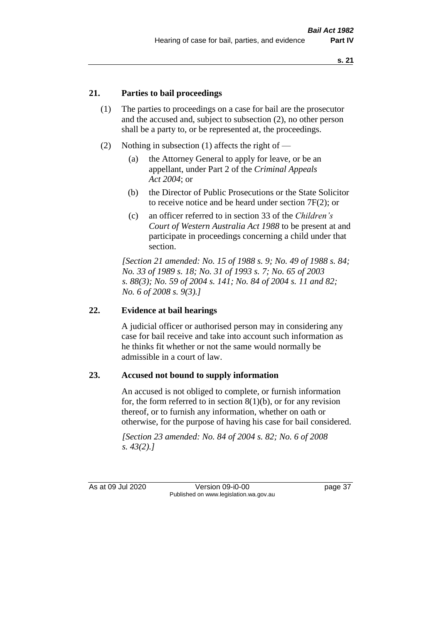## **21. Parties to bail proceedings**

- (1) The parties to proceedings on a case for bail are the prosecutor and the accused and, subject to subsection (2), no other person shall be a party to, or be represented at, the proceedings.
- (2) Nothing in subsection (1) affects the right of
	- (a) the Attorney General to apply for leave, or be an appellant, under Part 2 of the *Criminal Appeals Act 2004*; or
	- (b) the Director of Public Prosecutions or the State Solicitor to receive notice and be heard under section 7F(2); or
	- (c) an officer referred to in section 33 of the *Children's Court of Western Australia Act 1988* to be present at and participate in proceedings concerning a child under that section.

*[Section 21 amended: No. 15 of 1988 s. 9; No. 49 of 1988 s. 84; No. 33 of 1989 s. 18; No. 31 of 1993 s. 7; No. 65 of 2003 s. 88(3); No. 59 of 2004 s. 141; No. 84 of 2004 s. 11 and 82; No. 6 of 2008 s. 9(3).]* 

## **22. Evidence at bail hearings**

A judicial officer or authorised person may in considering any case for bail receive and take into account such information as he thinks fit whether or not the same would normally be admissible in a court of law.

#### **23. Accused not bound to supply information**

An accused is not obliged to complete, or furnish information for, the form referred to in section  $8(1)(b)$ , or for any revision thereof, or to furnish any information, whether on oath or otherwise, for the purpose of having his case for bail considered.

*[Section 23 amended: No. 84 of 2004 s. 82; No. 6 of 2008 s. 43(2).]* 

As at 09 Jul 2020 Version 09-i0-00 page 37 Published on www.legislation.wa.gov.au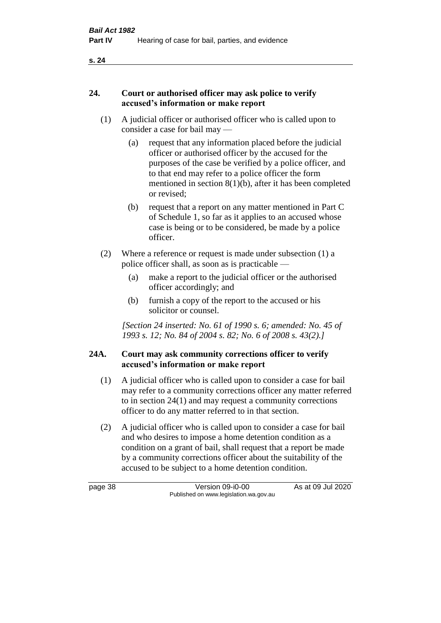## **24. Court or authorised officer may ask police to verify accused's information or make report**

- (1) A judicial officer or authorised officer who is called upon to consider a case for bail may —
	- (a) request that any information placed before the judicial officer or authorised officer by the accused for the purposes of the case be verified by a police officer, and to that end may refer to a police officer the form mentioned in section 8(1)(b), after it has been completed or revised;
	- (b) request that a report on any matter mentioned in Part C of Schedule 1, so far as it applies to an accused whose case is being or to be considered, be made by a police officer.
- (2) Where a reference or request is made under subsection (1) a police officer shall, as soon as is practicable —
	- (a) make a report to the judicial officer or the authorised officer accordingly; and
	- (b) furnish a copy of the report to the accused or his solicitor or counsel.

*[Section 24 inserted: No. 61 of 1990 s. 6; amended: No. 45 of 1993 s. 12; No. 84 of 2004 s. 82; No. 6 of 2008 s. 43(2).]* 

# **24A. Court may ask community corrections officer to verify accused's information or make report**

- (1) A judicial officer who is called upon to consider a case for bail may refer to a community corrections officer any matter referred to in section 24(1) and may request a community corrections officer to do any matter referred to in that section.
- (2) A judicial officer who is called upon to consider a case for bail and who desires to impose a home detention condition as a condition on a grant of bail, shall request that a report be made by a community corrections officer about the suitability of the accused to be subject to a home detention condition.

page 38 Version 09-i0-00 As at 09 Jul 2020 Published on www.legislation.wa.gov.au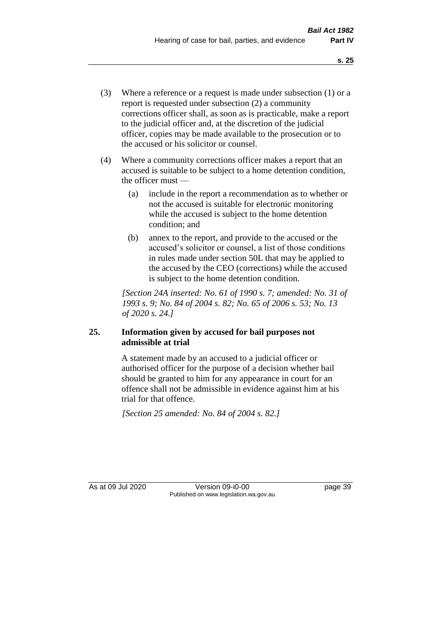- (3) Where a reference or a request is made under subsection (1) or a report is requested under subsection (2) a community corrections officer shall, as soon as is practicable, make a report to the judicial officer and, at the discretion of the judicial officer, copies may be made available to the prosecution or to the accused or his solicitor or counsel.
- (4) Where a community corrections officer makes a report that an accused is suitable to be subject to a home detention condition, the officer must —
	- (a) include in the report a recommendation as to whether or not the accused is suitable for electronic monitoring while the accused is subject to the home detention condition; and
	- (b) annex to the report, and provide to the accused or the accused's solicitor or counsel, a list of those conditions in rules made under section 50L that may be applied to the accused by the CEO (corrections) while the accused is subject to the home detention condition.

*[Section 24A inserted: No. 61 of 1990 s. 7; amended: No. 31 of 1993 s. 9; No. 84 of 2004 s. 82; No. 65 of 2006 s. 53; No. 13 of 2020 s. 24.]* 

# **25. Information given by accused for bail purposes not admissible at trial**

A statement made by an accused to a judicial officer or authorised officer for the purpose of a decision whether bail should be granted to him for any appearance in court for an offence shall not be admissible in evidence against him at his trial for that offence.

*[Section 25 amended: No. 84 of 2004 s. 82.]* 

As at 09 Jul 2020 Version 09-i0-00 page 39 Published on www.legislation.wa.gov.au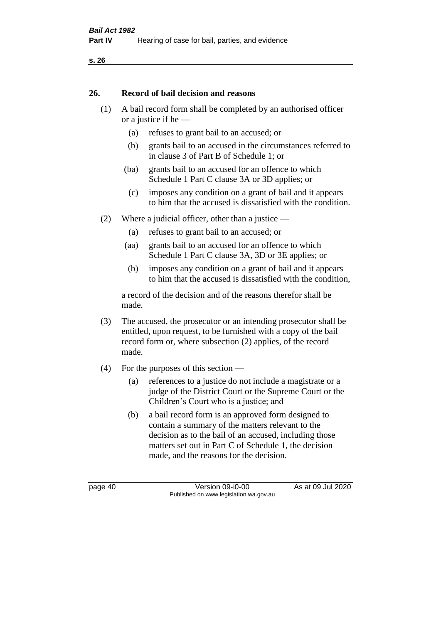#### **26. Record of bail decision and reasons**

- (1) A bail record form shall be completed by an authorised officer or a justice if he —
	- (a) refuses to grant bail to an accused; or
	- (b) grants bail to an accused in the circumstances referred to in clause 3 of Part B of Schedule 1; or
	- (ba) grants bail to an accused for an offence to which Schedule 1 Part C clause 3A or 3D applies; or
	- (c) imposes any condition on a grant of bail and it appears to him that the accused is dissatisfied with the condition.
- (2) Where a judicial officer, other than a justice
	- (a) refuses to grant bail to an accused; or
	- (aa) grants bail to an accused for an offence to which Schedule 1 Part C clause 3A, 3D or 3E applies; or
	- (b) imposes any condition on a grant of bail and it appears to him that the accused is dissatisfied with the condition,

a record of the decision and of the reasons therefor shall be made.

- (3) The accused, the prosecutor or an intending prosecutor shall be entitled, upon request, to be furnished with a copy of the bail record form or, where subsection (2) applies, of the record made.
- (4) For the purposes of this section
	- (a) references to a justice do not include a magistrate or a judge of the District Court or the Supreme Court or the Children's Court who is a justice; and
	- (b) a bail record form is an approved form designed to contain a summary of the matters relevant to the decision as to the bail of an accused, including those matters set out in Part C of Schedule 1, the decision made, and the reasons for the decision.

page 40 Version 09-i0-00 As at 09 Jul 2020 Published on www.legislation.wa.gov.au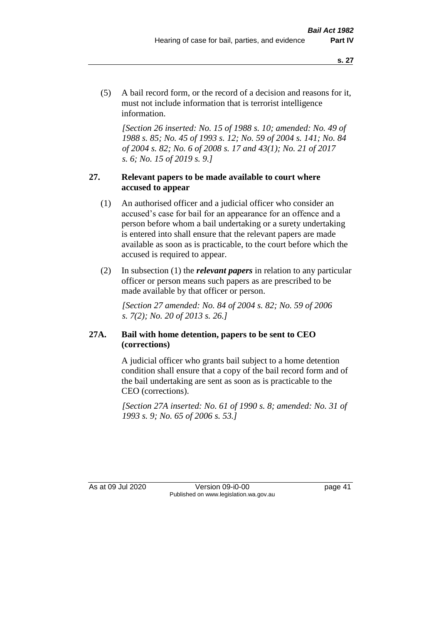(5) A bail record form, or the record of a decision and reasons for it, must not include information that is terrorist intelligence information.

*[Section 26 inserted: No. 15 of 1988 s. 10; amended: No. 49 of 1988 s. 85; No. 45 of 1993 s. 12; No. 59 of 2004 s. 141; No. 84 of 2004 s. 82; No. 6 of 2008 s. 17 and 43(1); No. 21 of 2017 s. 6; No. 15 of 2019 s. 9.]* 

## **27. Relevant papers to be made available to court where accused to appear**

- (1) An authorised officer and a judicial officer who consider an accused's case for bail for an appearance for an offence and a person before whom a bail undertaking or a surety undertaking is entered into shall ensure that the relevant papers are made available as soon as is practicable, to the court before which the accused is required to appear.
- (2) In subsection (1) the *relevant papers* in relation to any particular officer or person means such papers as are prescribed to be made available by that officer or person.

*[Section 27 amended: No. 84 of 2004 s. 82; No. 59 of 2006 s. 7(2); No. 20 of 2013 s. 26.]* 

## **27A. Bail with home detention, papers to be sent to CEO (corrections)**

A judicial officer who grants bail subject to a home detention condition shall ensure that a copy of the bail record form and of the bail undertaking are sent as soon as is practicable to the CEO (corrections).

*[Section 27A inserted: No. 61 of 1990 s. 8; amended: No. 31 of 1993 s. 9; No. 65 of 2006 s. 53.]* 

As at 09 Jul 2020 Version 09-i0-00 page 41 Published on www.legislation.wa.gov.au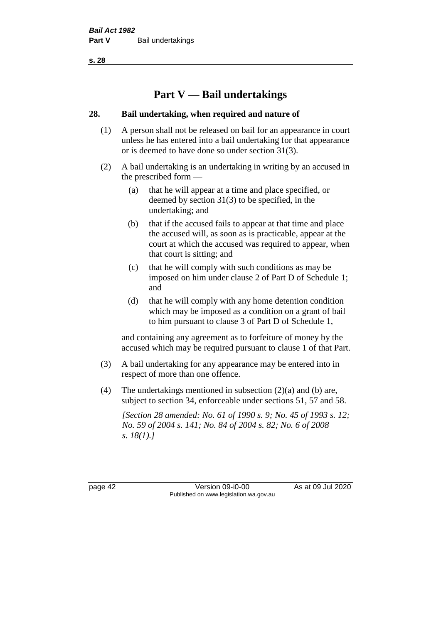# **Part V — Bail undertakings**

## **28. Bail undertaking, when required and nature of**

- (1) A person shall not be released on bail for an appearance in court unless he has entered into a bail undertaking for that appearance or is deemed to have done so under section 31(3).
- (2) A bail undertaking is an undertaking in writing by an accused in the prescribed form —
	- (a) that he will appear at a time and place specified, or deemed by section 31(3) to be specified, in the undertaking; and
	- (b) that if the accused fails to appear at that time and place the accused will, as soon as is practicable, appear at the court at which the accused was required to appear, when that court is sitting; and
	- (c) that he will comply with such conditions as may be imposed on him under clause 2 of Part D of Schedule 1; and
	- (d) that he will comply with any home detention condition which may be imposed as a condition on a grant of bail to him pursuant to clause 3 of Part D of Schedule 1,

and containing any agreement as to forfeiture of money by the accused which may be required pursuant to clause 1 of that Part.

- (3) A bail undertaking for any appearance may be entered into in respect of more than one offence.
- (4) The undertakings mentioned in subsection (2)(a) and (b) are, subject to section 34, enforceable under sections 51, 57 and 58.

*[Section 28 amended: No. 61 of 1990 s. 9; No. 45 of 1993 s. 12; No. 59 of 2004 s. 141; No. 84 of 2004 s. 82; No. 6 of 2008 s. 18(1).]* 

page 42 Version 09-i0-00 As at 09 Jul 2020 Published on www.legislation.wa.gov.au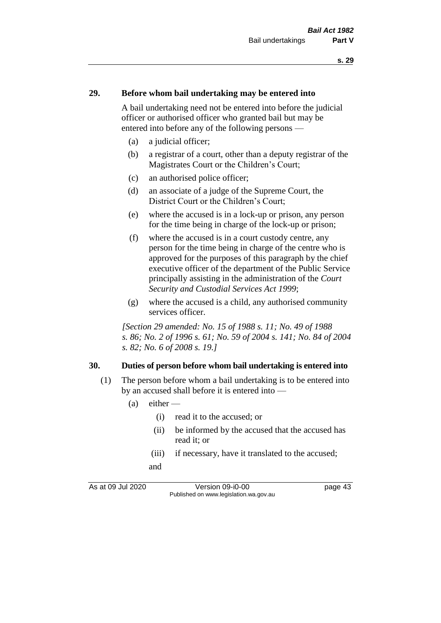#### **29. Before whom bail undertaking may be entered into**

A bail undertaking need not be entered into before the judicial officer or authorised officer who granted bail but may be entered into before any of the following persons —

- (a) a judicial officer;
- (b) a registrar of a court, other than a deputy registrar of the Magistrates Court or the Children's Court;
- (c) an authorised police officer;
- (d) an associate of a judge of the Supreme Court, the District Court or the Children's Court;
- (e) where the accused is in a lock-up or prison, any person for the time being in charge of the lock-up or prison;
- (f) where the accused is in a court custody centre, any person for the time being in charge of the centre who is approved for the purposes of this paragraph by the chief executive officer of the department of the Public Service principally assisting in the administration of the *Court Security and Custodial Services Act 1999*;
- (g) where the accused is a child, any authorised community services officer.

*[Section 29 amended: No. 15 of 1988 s. 11; No. 49 of 1988 s. 86; No. 2 of 1996 s. 61; No. 59 of 2004 s. 141; No. 84 of 2004 s. 82; No. 6 of 2008 s. 19.]* 

#### **30. Duties of person before whom bail undertaking is entered into**

- (1) The person before whom a bail undertaking is to be entered into by an accused shall before it is entered into —
	- $(a)$  either
		- (i) read it to the accused; or
		- (ii) be informed by the accused that the accused has read it; or
		- (iii) if necessary, have it translated to the accused; and

As at 09 Jul 2020 Version 09-i0-00 page 43 Published on www.legislation.wa.gov.au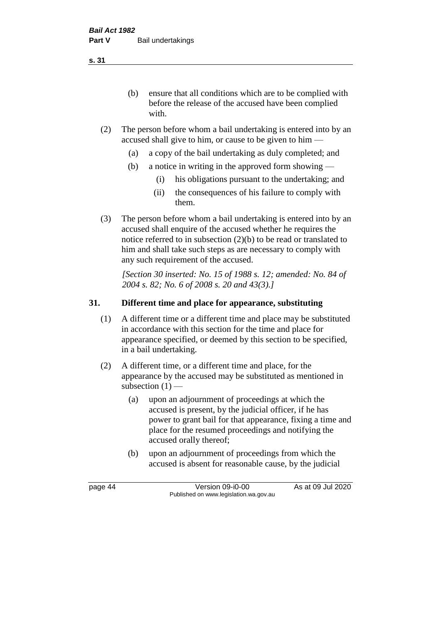(b) ensure that all conditions which are to be complied with before the release of the accused have been complied with.

- (2) The person before whom a bail undertaking is entered into by an accused shall give to him, or cause to be given to him —
	- (a) a copy of the bail undertaking as duly completed; and
	- (b) a notice in writing in the approved form showing
		- (i) his obligations pursuant to the undertaking; and
		- (ii) the consequences of his failure to comply with them.
- (3) The person before whom a bail undertaking is entered into by an accused shall enquire of the accused whether he requires the notice referred to in subsection (2)(b) to be read or translated to him and shall take such steps as are necessary to comply with any such requirement of the accused.

*[Section 30 inserted: No. 15 of 1988 s. 12; amended: No. 84 of 2004 s. 82; No. 6 of 2008 s. 20 and 43(3).]* 

## **31. Different time and place for appearance, substituting**

- (1) A different time or a different time and place may be substituted in accordance with this section for the time and place for appearance specified, or deemed by this section to be specified, in a bail undertaking.
- (2) A different time, or a different time and place, for the appearance by the accused may be substituted as mentioned in subsection  $(1)$  —
	- (a) upon an adjournment of proceedings at which the accused is present, by the judicial officer, if he has power to grant bail for that appearance, fixing a time and place for the resumed proceedings and notifying the accused orally thereof;
	- (b) upon an adjournment of proceedings from which the accused is absent for reasonable cause, by the judicial

page 44 Version 09-i0-00 As at 09 Jul 2020 Published on www.legislation.wa.gov.au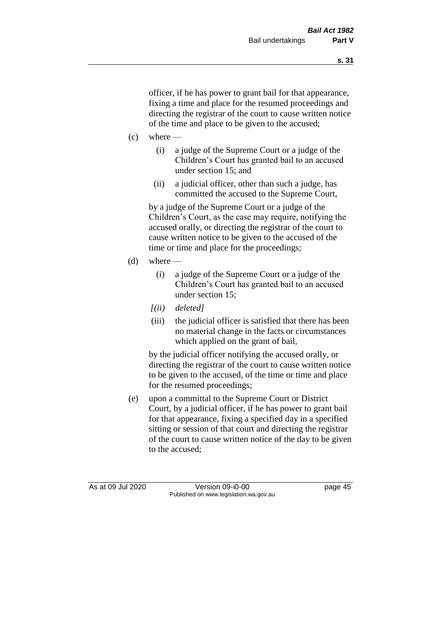officer, if he has power to grant bail for that appearance, fixing a time and place for the resumed proceedings and directing the registrar of the court to cause written notice of the time and place to be given to the accused;

- $(c)$  where
	- (i) a judge of the Supreme Court or a judge of the Children's Court has granted bail to an accused under section 15; and
	- (ii) a judicial officer, other than such a judge, has committed the accused to the Supreme Court,

by a judge of the Supreme Court or a judge of the Children's Court, as the case may require, notifying the accused orally, or directing the registrar of the court to cause written notice to be given to the accused of the time or time and place for the proceedings;

- (d) where  $-$ 
	- (i) a judge of the Supreme Court or a judge of the Children's Court has granted bail to an accused under section 15;
	- *[(ii) deleted]*
	- (iii) the judicial officer is satisfied that there has been no material change in the facts or circumstances which applied on the grant of bail,

by the judicial officer notifying the accused orally, or directing the registrar of the court to cause written notice to be given to the accused, of the time or time and place for the resumed proceedings;

(e) upon a committal to the Supreme Court or District Court, by a judicial officer, if he has power to grant bail for that appearance, fixing a specified day in a specified sitting or session of that court and directing the registrar of the court to cause written notice of the day to be given to the accused;

As at 09 Jul 2020 Version 09-i0-00 page 45 Published on www.legislation.wa.gov.au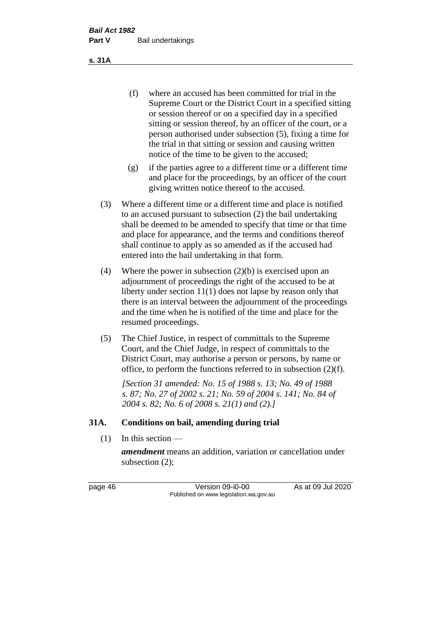(f) where an accused has been committed for trial in the Supreme Court or the District Court in a specified sitting or session thereof or on a specified day in a specified sitting or session thereof, by an officer of the court, or a person authorised under subsection (5), fixing a time for the trial in that sitting or session and causing written notice of the time to be given to the accused;

- (g) if the parties agree to a different time or a different time and place for the proceedings, by an officer of the court giving written notice thereof to the accused.
- (3) Where a different time or a different time and place is notified to an accused pursuant to subsection (2) the bail undertaking shall be deemed to be amended to specify that time or that time and place for appearance, and the terms and conditions thereof shall continue to apply as so amended as if the accused had entered into the bail undertaking in that form.
- (4) Where the power in subsection (2)(b) is exercised upon an adjournment of proceedings the right of the accused to be at liberty under section 11(1) does not lapse by reason only that there is an interval between the adjournment of the proceedings and the time when he is notified of the time and place for the resumed proceedings.
- (5) The Chief Justice, in respect of committals to the Supreme Court, and the Chief Judge, in respect of committals to the District Court, may authorise a person or persons, by name or office, to perform the functions referred to in subsection (2)(f).

*[Section 31 amended: No. 15 of 1988 s. 13; No. 49 of 1988 s. 87; No. 27 of 2002 s. 21; No. 59 of 2004 s. 141; No. 84 of 2004 s. 82; No. 6 of 2008 s. 21(1) and (2).]* 

#### **31A. Conditions on bail, amending during trial**

 $(1)$  In this section —

*amendment* means an addition, variation or cancellation under subsection (2);

page 46 Version 09-i0-00 As at 09 Jul 2020 Published on www.legislation.wa.gov.au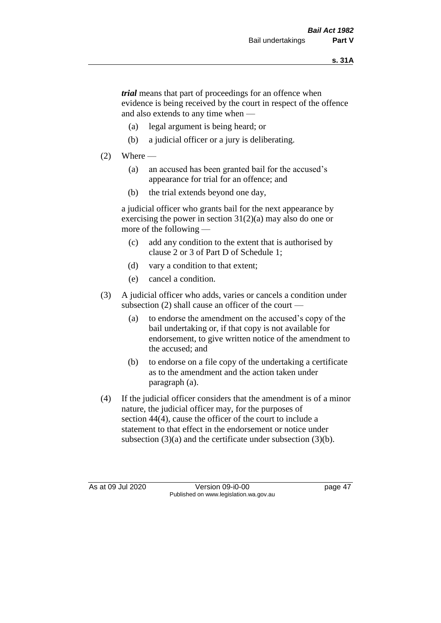*trial* means that part of proceedings for an offence when evidence is being received by the court in respect of the offence and also extends to any time when —

- (a) legal argument is being heard; or
- (b) a judicial officer or a jury is deliberating.

## $(2)$  Where —

- (a) an accused has been granted bail for the accused's appearance for trial for an offence; and
- (b) the trial extends beyond one day,

a judicial officer who grants bail for the next appearance by exercising the power in section  $31(2)(a)$  may also do one or more of the following —

- (c) add any condition to the extent that is authorised by clause 2 or 3 of Part D of Schedule 1;
- (d) vary a condition to that extent;
- (e) cancel a condition.
- (3) A judicial officer who adds, varies or cancels a condition under subsection (2) shall cause an officer of the court —
	- (a) to endorse the amendment on the accused's copy of the bail undertaking or, if that copy is not available for endorsement, to give written notice of the amendment to the accused; and
	- (b) to endorse on a file copy of the undertaking a certificate as to the amendment and the action taken under paragraph (a).
- (4) If the judicial officer considers that the amendment is of a minor nature, the judicial officer may, for the purposes of section 44(4), cause the officer of the court to include a statement to that effect in the endorsement or notice under subsection (3)(a) and the certificate under subsection (3)(b).

As at 09 Jul 2020 Version 09-i0-00 page 47 Published on www.legislation.wa.gov.au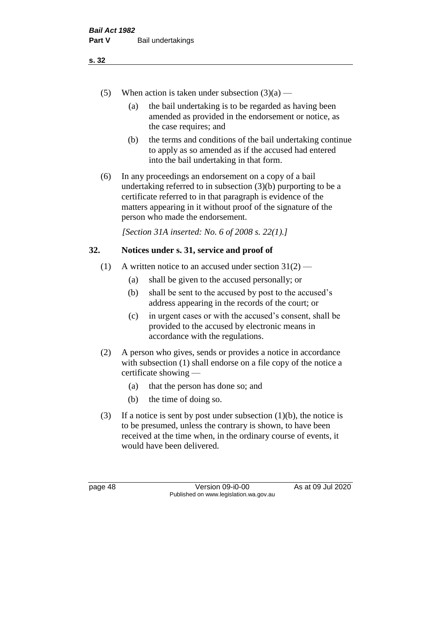- (5) When action is taken under subsection  $(3)(a)$ 
	- (a) the bail undertaking is to be regarded as having been amended as provided in the endorsement or notice, as the case requires; and
	- (b) the terms and conditions of the bail undertaking continue to apply as so amended as if the accused had entered into the bail undertaking in that form.
- (6) In any proceedings an endorsement on a copy of a bail undertaking referred to in subsection (3)(b) purporting to be a certificate referred to in that paragraph is evidence of the matters appearing in it without proof of the signature of the person who made the endorsement.

*[Section 31A inserted: No. 6 of 2008 s. 22(1).]*

## **32. Notices under s. 31, service and proof of**

- (1) A written notice to an accused under section  $31(2)$ 
	- (a) shall be given to the accused personally; or
	- (b) shall be sent to the accused by post to the accused's address appearing in the records of the court; or
	- (c) in urgent cases or with the accused's consent, shall be provided to the accused by electronic means in accordance with the regulations.
- (2) A person who gives, sends or provides a notice in accordance with subsection (1) shall endorse on a file copy of the notice a certificate showing —
	- (a) that the person has done so; and
	- (b) the time of doing so.
- (3) If a notice is sent by post under subsection  $(1)(b)$ , the notice is to be presumed, unless the contrary is shown, to have been received at the time when, in the ordinary course of events, it would have been delivered.

page 48 Version 09-i0-00 As at 09 Jul 2020 Published on www.legislation.wa.gov.au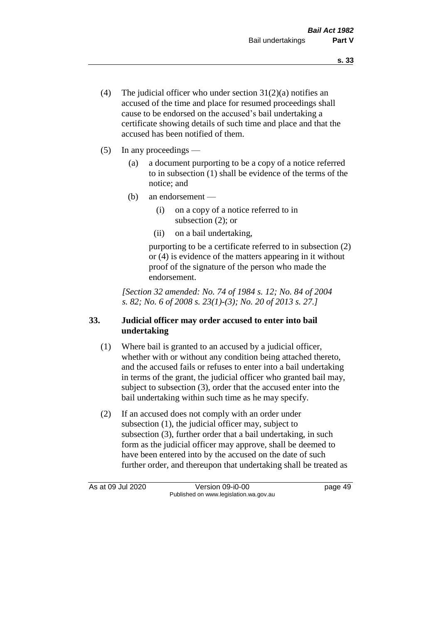- (4) The judicial officer who under section  $31(2)(a)$  notifies an accused of the time and place for resumed proceedings shall cause to be endorsed on the accused's bail undertaking a certificate showing details of such time and place and that the accused has been notified of them.
- (5) In any proceedings
	- (a) a document purporting to be a copy of a notice referred to in subsection (1) shall be evidence of the terms of the notice; and
	- (b) an endorsement
		- (i) on a copy of a notice referred to in subsection (2); or
		- (ii) on a bail undertaking,

purporting to be a certificate referred to in subsection (2) or (4) is evidence of the matters appearing in it without proof of the signature of the person who made the endorsement.

*[Section 32 amended: No. 74 of 1984 s. 12; No. 84 of 2004 s. 82; No. 6 of 2008 s. 23(1)-(3); No. 20 of 2013 s. 27.]* 

# **33. Judicial officer may order accused to enter into bail undertaking**

- (1) Where bail is granted to an accused by a judicial officer, whether with or without any condition being attached thereto, and the accused fails or refuses to enter into a bail undertaking in terms of the grant, the judicial officer who granted bail may, subject to subsection (3), order that the accused enter into the bail undertaking within such time as he may specify.
- (2) If an accused does not comply with an order under subsection (1), the judicial officer may, subject to subsection (3), further order that a bail undertaking, in such form as the judicial officer may approve, shall be deemed to have been entered into by the accused on the date of such further order, and thereupon that undertaking shall be treated as

As at 09 Jul 2020 Version 09-i0-00 Published on www.legislation.wa.gov.au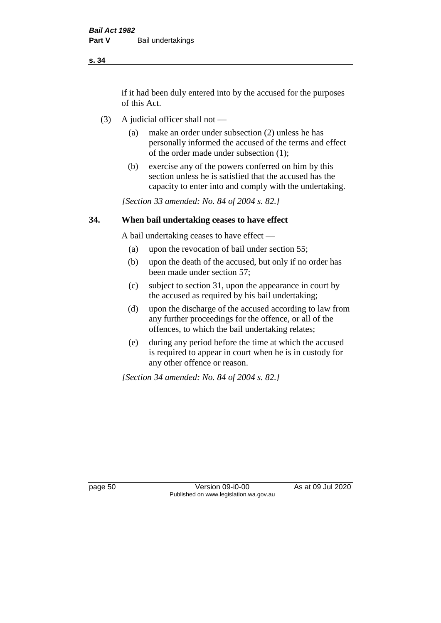if it had been duly entered into by the accused for the purposes of this Act.

- (3) A judicial officer shall not
	- (a) make an order under subsection (2) unless he has personally informed the accused of the terms and effect of the order made under subsection (1);
	- (b) exercise any of the powers conferred on him by this section unless he is satisfied that the accused has the capacity to enter into and comply with the undertaking.

*[Section 33 amended: No. 84 of 2004 s. 82.]* 

#### **34. When bail undertaking ceases to have effect**

A bail undertaking ceases to have effect —

- (a) upon the revocation of bail under section 55;
- (b) upon the death of the accused, but only if no order has been made under section 57;
- (c) subject to section 31, upon the appearance in court by the accused as required by his bail undertaking;
- (d) upon the discharge of the accused according to law from any further proceedings for the offence, or all of the offences, to which the bail undertaking relates;
- (e) during any period before the time at which the accused is required to appear in court when he is in custody for any other offence or reason.

*[Section 34 amended: No. 84 of 2004 s. 82.]* 

page 50 Version 09-i0-00 As at 09 Jul 2020 Published on www.legislation.wa.gov.au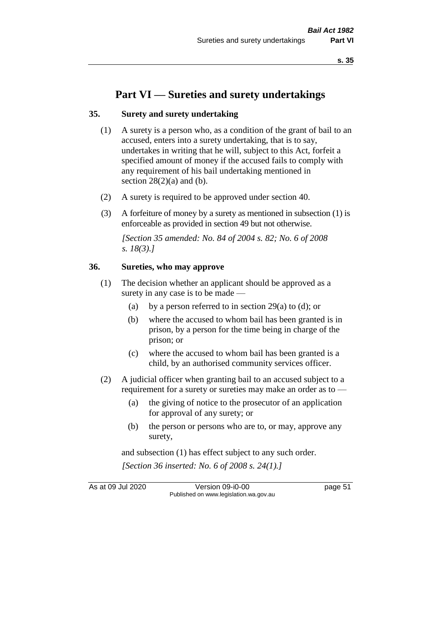# **Part VI — Sureties and surety undertakings**

### **35. Surety and surety undertaking**

- (1) A surety is a person who, as a condition of the grant of bail to an accused, enters into a surety undertaking, that is to say, undertakes in writing that he will, subject to this Act, forfeit a specified amount of money if the accused fails to comply with any requirement of his bail undertaking mentioned in section  $28(2)(a)$  and (b).
- (2) A surety is required to be approved under section 40.
- (3) A forfeiture of money by a surety as mentioned in subsection (1) is enforceable as provided in section 49 but not otherwise.

*[Section 35 amended: No. 84 of 2004 s. 82; No. 6 of 2008 s. 18(3).]* 

### **36. Sureties, who may approve**

- (1) The decision whether an applicant should be approved as a surety in any case is to be made —
	- (a) by a person referred to in section 29(a) to (d); or
	- (b) where the accused to whom bail has been granted is in prison, by a person for the time being in charge of the prison; or
	- (c) where the accused to whom bail has been granted is a child, by an authorised community services officer.
- (2) A judicial officer when granting bail to an accused subject to a requirement for a surety or sureties may make an order as to —
	- (a) the giving of notice to the prosecutor of an application for approval of any surety; or
	- (b) the person or persons who are to, or may, approve any surety,

and subsection (1) has effect subject to any such order. *[Section 36 inserted: No. 6 of 2008 s. 24(1).]*

As at 09 Jul 2020 Version 09-i0-00 page 51 Published on www.legislation.wa.gov.au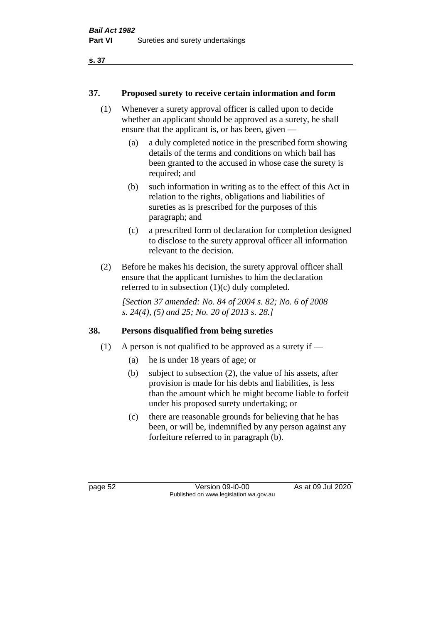## **37. Proposed surety to receive certain information and form**

- (1) Whenever a surety approval officer is called upon to decide whether an applicant should be approved as a surety, he shall ensure that the applicant is, or has been, given —
	- (a) a duly completed notice in the prescribed form showing details of the terms and conditions on which bail has been granted to the accused in whose case the surety is required; and
	- (b) such information in writing as to the effect of this Act in relation to the rights, obligations and liabilities of sureties as is prescribed for the purposes of this paragraph; and
	- (c) a prescribed form of declaration for completion designed to disclose to the surety approval officer all information relevant to the decision.
- (2) Before he makes his decision, the surety approval officer shall ensure that the applicant furnishes to him the declaration referred to in subsection (1)(c) duly completed.

*[Section 37 amended: No. 84 of 2004 s. 82; No. 6 of 2008 s. 24(4), (5) and 25; No. 20 of 2013 s. 28.]* 

# **38. Persons disqualified from being sureties**

- (1) A person is not qualified to be approved as a surety if  $-$ 
	- (a) he is under 18 years of age; or
	- (b) subject to subsection (2), the value of his assets, after provision is made for his debts and liabilities, is less than the amount which he might become liable to forfeit under his proposed surety undertaking; or
	- (c) there are reasonable grounds for believing that he has been, or will be, indemnified by any person against any forfeiture referred to in paragraph (b).

page 52 Version 09-i0-00 As at 09 Jul 2020 Published on www.legislation.wa.gov.au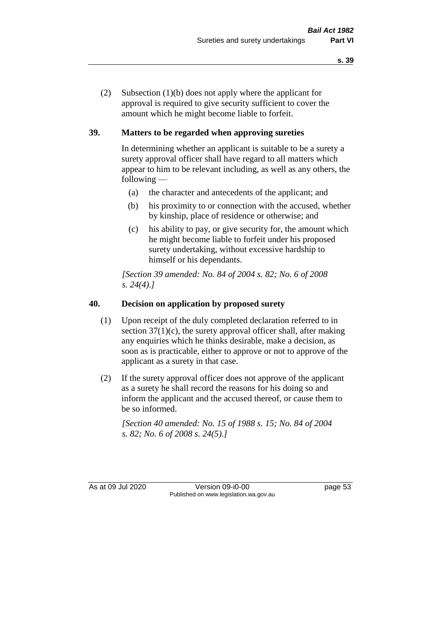(2) Subsection (1)(b) does not apply where the applicant for approval is required to give security sufficient to cover the amount which he might become liable to forfeit.

# **39. Matters to be regarded when approving sureties**

In determining whether an applicant is suitable to be a surety a surety approval officer shall have regard to all matters which appear to him to be relevant including, as well as any others, the following —

- (a) the character and antecedents of the applicant; and
- (b) his proximity to or connection with the accused, whether by kinship, place of residence or otherwise; and
- (c) his ability to pay, or give security for, the amount which he might become liable to forfeit under his proposed surety undertaking, without excessive hardship to himself or his dependants.

*[Section 39 amended: No. 84 of 2004 s. 82; No. 6 of 2008 s. 24(4).]* 

## **40. Decision on application by proposed surety**

- (1) Upon receipt of the duly completed declaration referred to in section  $37(1)(c)$ , the surety approval officer shall, after making any enquiries which he thinks desirable, make a decision, as soon as is practicable, either to approve or not to approve of the applicant as a surety in that case.
- (2) If the surety approval officer does not approve of the applicant as a surety he shall record the reasons for his doing so and inform the applicant and the accused thereof, or cause them to be so informed.

*[Section 40 amended: No. 15 of 1988 s. 15; No. 84 of 2004 s. 82; No. 6 of 2008 s. 24(5).]* 

As at 09 Jul 2020 Version 09-i0-00 page 53 Published on www.legislation.wa.gov.au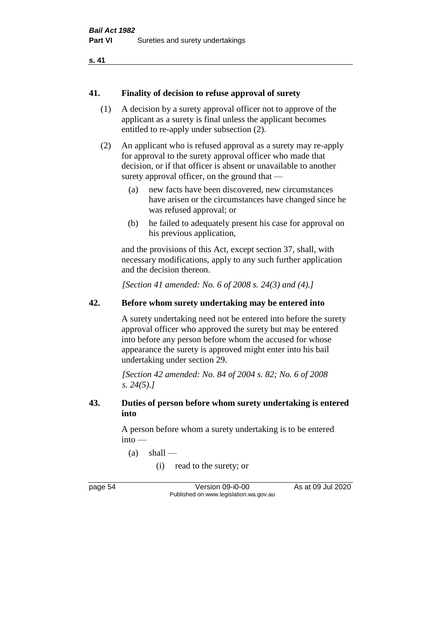#### **41. Finality of decision to refuse approval of surety**

- (1) A decision by a surety approval officer not to approve of the applicant as a surety is final unless the applicant becomes entitled to re-apply under subsection (2).
- (2) An applicant who is refused approval as a surety may re-apply for approval to the surety approval officer who made that decision, or if that officer is absent or unavailable to another surety approval officer, on the ground that —
	- (a) new facts have been discovered, new circumstances have arisen or the circumstances have changed since he was refused approval; or
	- (b) he failed to adequately present his case for approval on his previous application,

and the provisions of this Act, except section 37, shall, with necessary modifications, apply to any such further application and the decision thereon.

*[Section 41 amended: No. 6 of 2008 s. 24(3) and (4).]*

## **42. Before whom surety undertaking may be entered into**

A surety undertaking need not be entered into before the surety approval officer who approved the surety but may be entered into before any person before whom the accused for whose appearance the surety is approved might enter into his bail undertaking under section 29.

*[Section 42 amended: No. 84 of 2004 s. 82; No. 6 of 2008 s. 24(5).]* 

### **43. Duties of person before whom surety undertaking is entered into**

A person before whom a surety undertaking is to be entered into —

 $(a)$  shall —

(i) read to the surety; or

page 54 Version 09-i0-00 As at 09 Jul 2020 Published on www.legislation.wa.gov.au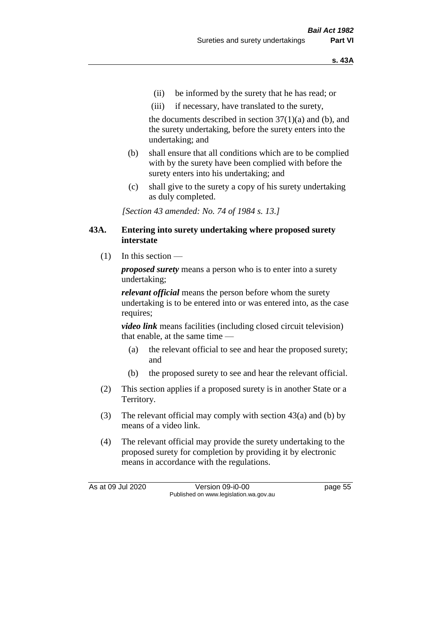- (ii) be informed by the surety that he has read; or
- (iii) if necessary, have translated to the surety,

the documents described in section  $37(1)(a)$  and (b), and the surety undertaking, before the surety enters into the undertaking; and

- (b) shall ensure that all conditions which are to be complied with by the surety have been complied with before the surety enters into his undertaking; and
- (c) shall give to the surety a copy of his surety undertaking as duly completed.

*[Section 43 amended: No. 74 of 1984 s. 13.]* 

#### **43A. Entering into surety undertaking where proposed surety interstate**

(1) In this section —

*proposed surety* means a person who is to enter into a surety undertaking;

*relevant official* means the person before whom the surety undertaking is to be entered into or was entered into, as the case requires;

*video link* means facilities (including closed circuit television) that enable, at the same time —

- (a) the relevant official to see and hear the proposed surety; and
- (b) the proposed surety to see and hear the relevant official.
- (2) This section applies if a proposed surety is in another State or a Territory.
- (3) The relevant official may comply with section 43(a) and (b) by means of a video link.
- (4) The relevant official may provide the surety undertaking to the proposed surety for completion by providing it by electronic means in accordance with the regulations.

As at 09 Jul 2020 Version 09-i0-00 page 55 Published on www.legislation.wa.gov.au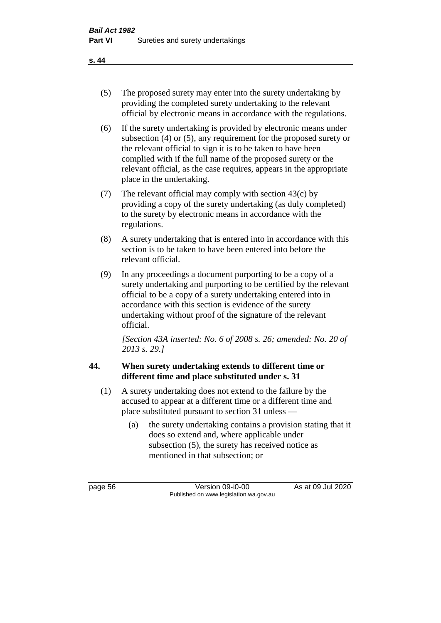- (5) The proposed surety may enter into the surety undertaking by providing the completed surety undertaking to the relevant official by electronic means in accordance with the regulations.
- (6) If the surety undertaking is provided by electronic means under subsection (4) or (5), any requirement for the proposed surety or the relevant official to sign it is to be taken to have been complied with if the full name of the proposed surety or the relevant official, as the case requires, appears in the appropriate place in the undertaking.
- (7) The relevant official may comply with section 43(c) by providing a copy of the surety undertaking (as duly completed) to the surety by electronic means in accordance with the regulations.
- (8) A surety undertaking that is entered into in accordance with this section is to be taken to have been entered into before the relevant official.
- (9) In any proceedings a document purporting to be a copy of a surety undertaking and purporting to be certified by the relevant official to be a copy of a surety undertaking entered into in accordance with this section is evidence of the surety undertaking without proof of the signature of the relevant official.

*[Section 43A inserted: No. 6 of 2008 s. 26; amended: No. 20 of 2013 s. 29.]*

# **44. When surety undertaking extends to different time or different time and place substituted under s. 31**

- (1) A surety undertaking does not extend to the failure by the accused to appear at a different time or a different time and place substituted pursuant to section 31 unless —
	- (a) the surety undertaking contains a provision stating that it does so extend and, where applicable under subsection (5), the surety has received notice as mentioned in that subsection; or

page 56 Version 09-i0-00 As at 09 Jul 2020 Published on www.legislation.wa.gov.au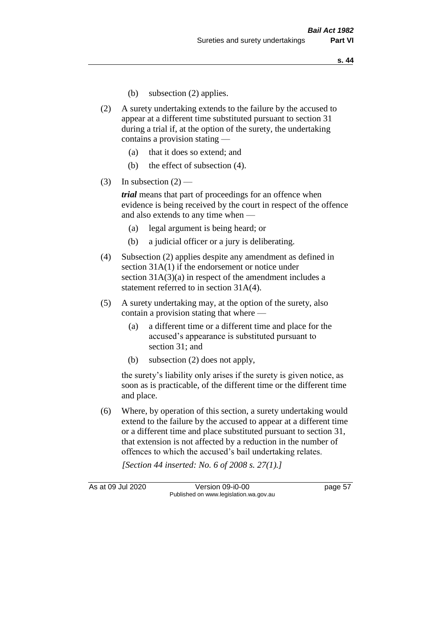- (b) subsection (2) applies.
- (2) A surety undertaking extends to the failure by the accused to appear at a different time substituted pursuant to section 31 during a trial if, at the option of the surety, the undertaking contains a provision stating —
	- (a) that it does so extend; and
	- (b) the effect of subsection (4).
- (3) In subsection  $(2)$  —

*trial* means that part of proceedings for an offence when evidence is being received by the court in respect of the offence and also extends to any time when —

- (a) legal argument is being heard; or
- (b) a judicial officer or a jury is deliberating.
- (4) Subsection (2) applies despite any amendment as defined in section 31A(1) if the endorsement or notice under section 31A(3)(a) in respect of the amendment includes a statement referred to in section 31A(4).
- (5) A surety undertaking may, at the option of the surety, also contain a provision stating that where —
	- (a) a different time or a different time and place for the accused's appearance is substituted pursuant to section 31; and
	- (b) subsection (2) does not apply,

the surety's liability only arises if the surety is given notice, as soon as is practicable, of the different time or the different time and place.

(6) Where, by operation of this section, a surety undertaking would extend to the failure by the accused to appear at a different time or a different time and place substituted pursuant to section 31, that extension is not affected by a reduction in the number of offences to which the accused's bail undertaking relates.

*[Section 44 inserted: No. 6 of 2008 s. 27(1).]*

As at 09 Jul 2020 Version 09-i0-00 page 57 Published on www.legislation.wa.gov.au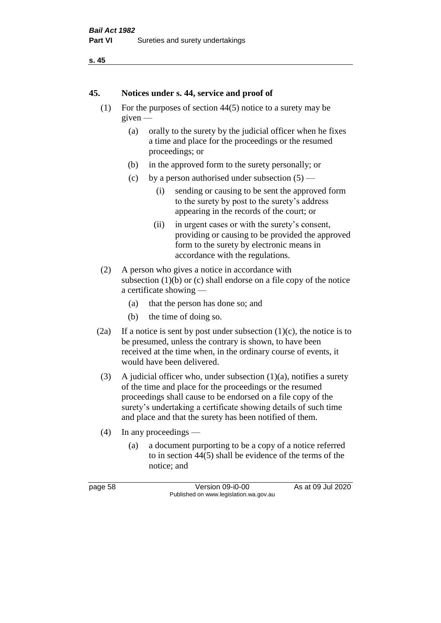```
s. 45
```
#### **45. Notices under s. 44, service and proof of**

- (1) For the purposes of section 44(5) notice to a surety may be given —
	- (a) orally to the surety by the judicial officer when he fixes a time and place for the proceedings or the resumed proceedings; or
	- (b) in the approved form to the surety personally; or
	- (c) by a person authorised under subsection  $(5)$ 
		- (i) sending or causing to be sent the approved form to the surety by post to the surety's address appearing in the records of the court; or
		- (ii) in urgent cases or with the surety's consent, providing or causing to be provided the approved form to the surety by electronic means in accordance with the regulations.
- (2) A person who gives a notice in accordance with subsection  $(1)(b)$  or  $(c)$  shall endorse on a file copy of the notice a certificate showing —
	- (a) that the person has done so; and
	- (b) the time of doing so.
- (2a) If a notice is sent by post under subsection  $(1)(c)$ , the notice is to be presumed, unless the contrary is shown, to have been received at the time when, in the ordinary course of events, it would have been delivered.
- (3) A judicial officer who, under subsection  $(1)(a)$ , notifies a surety of the time and place for the proceedings or the resumed proceedings shall cause to be endorsed on a file copy of the surety's undertaking a certificate showing details of such time and place and that the surety has been notified of them.
- (4) In any proceedings
	- (a) a document purporting to be a copy of a notice referred to in section 44(5) shall be evidence of the terms of the notice; and

page 58 Version 09-i0-00 As at 09 Jul 2020 Published on www.legislation.wa.gov.au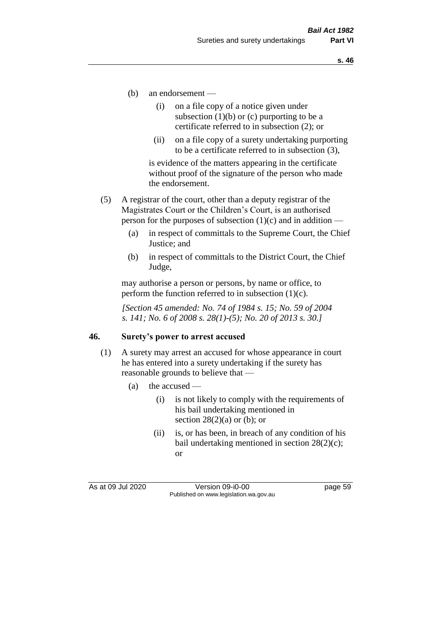- (b) an endorsement
	- (i) on a file copy of a notice given under subsection  $(1)(b)$  or  $(c)$  purporting to be a certificate referred to in subsection (2); or
	- (ii) on a file copy of a surety undertaking purporting to be a certificate referred to in subsection (3),

is evidence of the matters appearing in the certificate without proof of the signature of the person who made the endorsement.

- (5) A registrar of the court, other than a deputy registrar of the Magistrates Court or the Children's Court, is an authorised person for the purposes of subsection  $(1)(c)$  and in addition —
	- (a) in respect of committals to the Supreme Court, the Chief Justice; and
	- (b) in respect of committals to the District Court, the Chief Judge,

may authorise a person or persons, by name or office, to perform the function referred to in subsection  $(1)(c)$ .

*[Section 45 amended: No. 74 of 1984 s. 15; No. 59 of 2004 s. 141; No. 6 of 2008 s. 28(1)-(5); No. 20 of 2013 s. 30.]* 

#### **46. Surety's power to arrest accused**

- (1) A surety may arrest an accused for whose appearance in court he has entered into a surety undertaking if the surety has reasonable grounds to believe that —
	- (a) the accused
		- (i) is not likely to comply with the requirements of his bail undertaking mentioned in section  $28(2)(a)$  or (b); or
		- (ii) is, or has been, in breach of any condition of his bail undertaking mentioned in section 28(2)(c); or

As at 09 Jul 2020 Version 09-i0-00 page 59 Published on www.legislation.wa.gov.au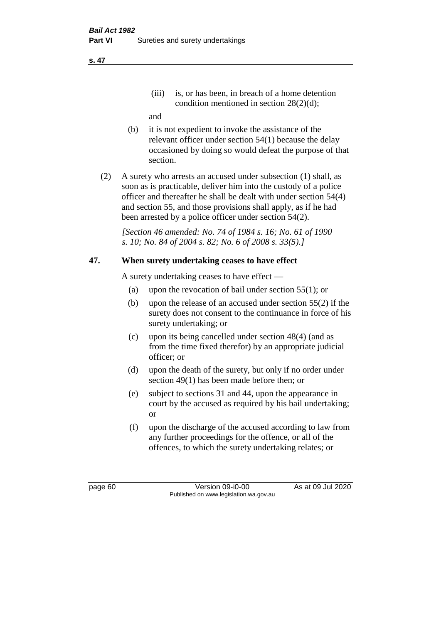(iii) is, or has been, in breach of a home detention condition mentioned in section 28(2)(d);

and

- (b) it is not expedient to invoke the assistance of the relevant officer under section 54(1) because the delay occasioned by doing so would defeat the purpose of that section.
- (2) A surety who arrests an accused under subsection (1) shall, as soon as is practicable, deliver him into the custody of a police officer and thereafter he shall be dealt with under section 54(4) and section 55, and those provisions shall apply, as if he had been arrested by a police officer under section 54(2).

*[Section 46 amended: No. 74 of 1984 s. 16; No. 61 of 1990 s. 10; No. 84 of 2004 s. 82; No. 6 of 2008 s. 33(5).]* 

# **47. When surety undertaking ceases to have effect**

A surety undertaking ceases to have effect —

- (a) upon the revocation of bail under section 55(1); or
- (b) upon the release of an accused under section 55(2) if the surety does not consent to the continuance in force of his surety undertaking; or
- (c) upon its being cancelled under section 48(4) (and as from the time fixed therefor) by an appropriate judicial officer; or
- (d) upon the death of the surety, but only if no order under section 49(1) has been made before then; or
- (e) subject to sections 31 and 44, upon the appearance in court by the accused as required by his bail undertaking; or
- (f) upon the discharge of the accused according to law from any further proceedings for the offence, or all of the offences, to which the surety undertaking relates; or

page 60 Version 09-i0-00 As at 09 Jul 2020 Published on www.legislation.wa.gov.au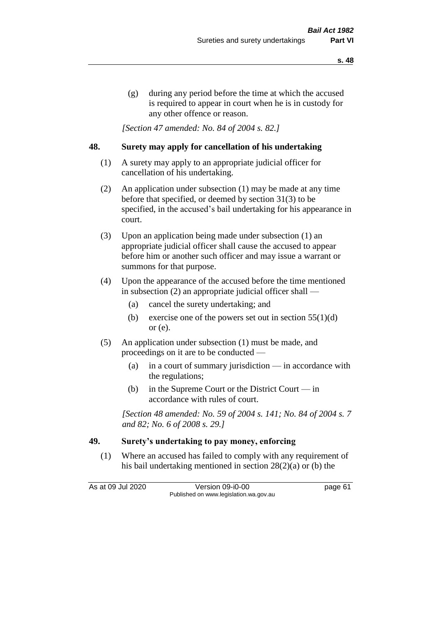(g) during any period before the time at which the accused is required to appear in court when he is in custody for any other offence or reason.

*[Section 47 amended: No. 84 of 2004 s. 82.]* 

### **48. Surety may apply for cancellation of his undertaking**

- (1) A surety may apply to an appropriate judicial officer for cancellation of his undertaking.
- (2) An application under subsection (1) may be made at any time before that specified, or deemed by section 31(3) to be specified, in the accused's bail undertaking for his appearance in court.
- (3) Upon an application being made under subsection (1) an appropriate judicial officer shall cause the accused to appear before him or another such officer and may issue a warrant or summons for that purpose.
- (4) Upon the appearance of the accused before the time mentioned in subsection (2) an appropriate judicial officer shall —
	- (a) cancel the surety undertaking; and
	- (b) exercise one of the powers set out in section  $55(1)(d)$ or (e).
- (5) An application under subsection (1) must be made, and proceedings on it are to be conducted —
	- (a) in a court of summary jurisdiction in accordance with the regulations;
	- (b) in the Supreme Court or the District Court  $-\text{in}$ accordance with rules of court.

*[Section 48 amended: No. 59 of 2004 s. 141; No. 84 of 2004 s. 7 and 82; No. 6 of 2008 s. 29.]* 

## **49. Surety's undertaking to pay money, enforcing**

(1) Where an accused has failed to comply with any requirement of his bail undertaking mentioned in section 28(2)(a) or (b) the

As at 09 Jul 2020 Version 09-i0-00 page 61 Published on www.legislation.wa.gov.au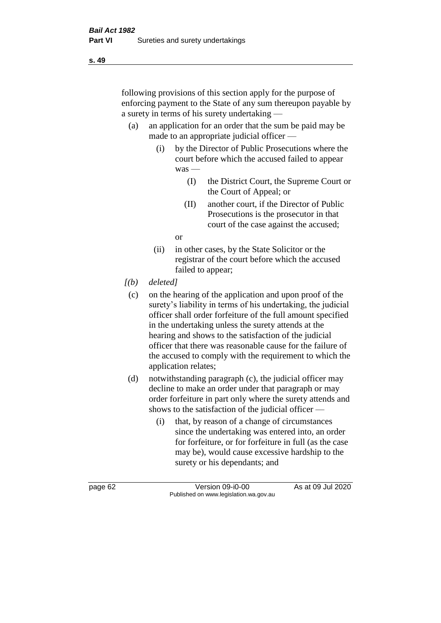following provisions of this section apply for the purpose of enforcing payment to the State of any sum thereupon payable by a surety in terms of his surety undertaking —

- (a) an application for an order that the sum be paid may be made to an appropriate judicial officer —
	- (i) by the Director of Public Prosecutions where the court before which the accused failed to appear was —
		- (I) the District Court, the Supreme Court or the Court of Appeal; or
		- (II) another court, if the Director of Public Prosecutions is the prosecutor in that court of the case against the accused;

or

- (ii) in other cases, by the State Solicitor or the registrar of the court before which the accused failed to appear;
- *[(b) deleted]*
	- (c) on the hearing of the application and upon proof of the surety's liability in terms of his undertaking, the judicial officer shall order forfeiture of the full amount specified in the undertaking unless the surety attends at the hearing and shows to the satisfaction of the judicial officer that there was reasonable cause for the failure of the accused to comply with the requirement to which the application relates;
- (d) notwithstanding paragraph (c), the judicial officer may decline to make an order under that paragraph or may order forfeiture in part only where the surety attends and shows to the satisfaction of the judicial officer —
	- (i) that, by reason of a change of circumstances since the undertaking was entered into, an order for forfeiture, or for forfeiture in full (as the case may be), would cause excessive hardship to the surety or his dependants; and

page 62 Version 09-i0-00 As at 09 Jul 2020 Published on www.legislation.wa.gov.au

**s. 49**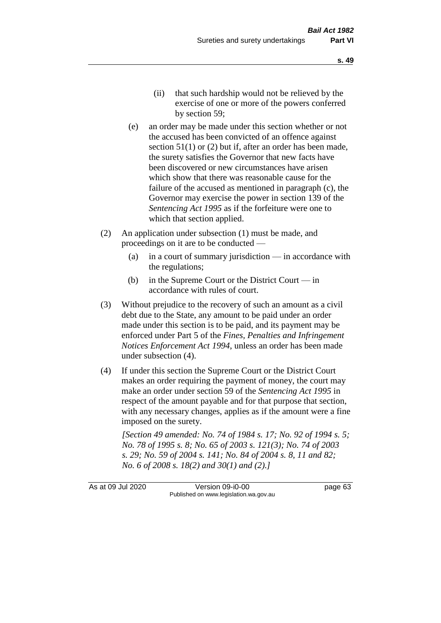- (e) an order may be made under this section whether or not the accused has been convicted of an offence against section 51(1) or (2) but if, after an order has been made, the surety satisfies the Governor that new facts have been discovered or new circumstances have arisen which show that there was reasonable cause for the failure of the accused as mentioned in paragraph (c), the Governor may exercise the power in section 139 of the *Sentencing Act 1995* as if the forfeiture were one to which that section applied.
- (2) An application under subsection (1) must be made, and proceedings on it are to be conducted —
	- (a) in a court of summary jurisdiction in accordance with the regulations;
	- (b) in the Supreme Court or the District Court  $-\text{in}$ accordance with rules of court.
- (3) Without prejudice to the recovery of such an amount as a civil debt due to the State, any amount to be paid under an order made under this section is to be paid, and its payment may be enforced under Part 5 of the *Fines, Penalties and Infringement Notices Enforcement Act 1994*, unless an order has been made under subsection (4).
- (4) If under this section the Supreme Court or the District Court makes an order requiring the payment of money, the court may make an order under section 59 of the *Sentencing Act 1995* in respect of the amount payable and for that purpose that section, with any necessary changes, applies as if the amount were a fine imposed on the surety.

*[Section 49 amended: No. 74 of 1984 s. 17; No. 92 of 1994 s. 5; No. 78 of 1995 s. 8; No. 65 of 2003 s. 121(3); No. 74 of 2003 s. 29; No. 59 of 2004 s. 141; No. 84 of 2004 s. 8, 11 and 82; No. 6 of 2008 s. 18(2) and 30(1) and (2).]* 

As at 09 Jul 2020 Version 09-i0-00 page 63 Published on www.legislation.wa.gov.au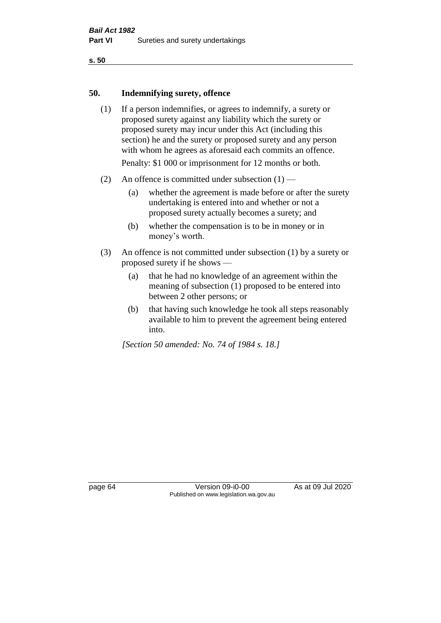**s. 50**

#### **50. Indemnifying surety, offence**

- (1) If a person indemnifies, or agrees to indemnify, a surety or proposed surety against any liability which the surety or proposed surety may incur under this Act (including this section) he and the surety or proposed surety and any person with whom he agrees as aforesaid each commits an offence. Penalty: \$1 000 or imprisonment for 12 months or both.
- (2) An offence is committed under subsection  $(1)$ 
	- (a) whether the agreement is made before or after the surety undertaking is entered into and whether or not a proposed surety actually becomes a surety; and
	- (b) whether the compensation is to be in money or in money's worth.
- (3) An offence is not committed under subsection (1) by a surety or proposed surety if he shows —
	- (a) that he had no knowledge of an agreement within the meaning of subsection (1) proposed to be entered into between 2 other persons; or
	- (b) that having such knowledge he took all steps reasonably available to him to prevent the agreement being entered into.

*[Section 50 amended: No. 74 of 1984 s. 18.]* 

page 64 Version 09-i0-00 As at 09 Jul 2020 Published on www.legislation.wa.gov.au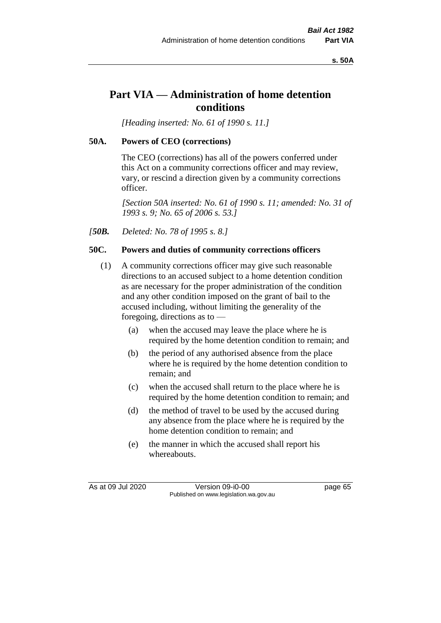**s. 50A**

# **Part VIA — Administration of home detention conditions**

*[Heading inserted: No. 61 of 1990 s. 11.]* 

# **50A. Powers of CEO (corrections)**

The CEO (corrections) has all of the powers conferred under this Act on a community corrections officer and may review, vary, or rescind a direction given by a community corrections officer.

*[Section 50A inserted: No. 61 of 1990 s. 11; amended: No. 31 of 1993 s. 9; No. 65 of 2006 s. 53.]* 

*[50B. Deleted: No. 78 of 1995 s. 8.]* 

# **50C. Powers and duties of community corrections officers**

- (1) A community corrections officer may give such reasonable directions to an accused subject to a home detention condition as are necessary for the proper administration of the condition and any other condition imposed on the grant of bail to the accused including, without limiting the generality of the foregoing, directions as to —
	- (a) when the accused may leave the place where he is required by the home detention condition to remain; and
	- (b) the period of any authorised absence from the place where he is required by the home detention condition to remain; and
	- (c) when the accused shall return to the place where he is required by the home detention condition to remain; and
	- (d) the method of travel to be used by the accused during any absence from the place where he is required by the home detention condition to remain; and
	- (e) the manner in which the accused shall report his whereabouts.

As at 09 Jul 2020 Version 09-i0-00 page 65 Published on www.legislation.wa.gov.au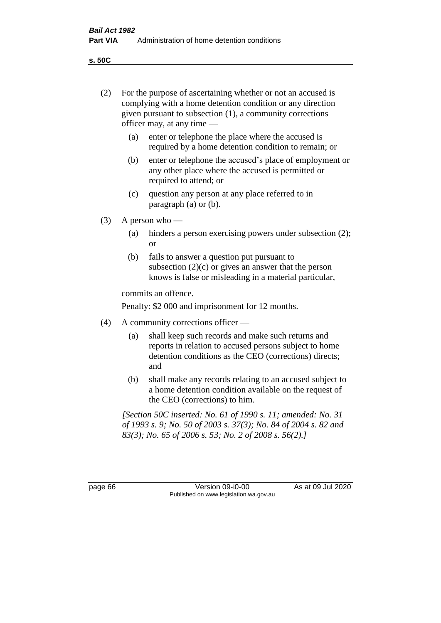(2) For the purpose of ascertaining whether or not an accused is

**s. 50C**

|         | (a)                                                                                                                                                                                       | given pursuant to subsection (1), a community corrections<br>officer may, at any time —<br>enter or telephone the place where the accused is                                                   |  |  |  |
|---------|-------------------------------------------------------------------------------------------------------------------------------------------------------------------------------------------|------------------------------------------------------------------------------------------------------------------------------------------------------------------------------------------------|--|--|--|
|         | (b)                                                                                                                                                                                       | required by a home detention condition to remain; or<br>enter or telephone the accused's place of employment or<br>any other place where the accused is permitted or<br>required to attend; or |  |  |  |
|         | (c)                                                                                                                                                                                       | question any person at any place referred to in<br>paragraph $(a)$ or $(b)$ .                                                                                                                  |  |  |  |
| (3)     | A person who $-$                                                                                                                                                                          |                                                                                                                                                                                                |  |  |  |
|         | (a)                                                                                                                                                                                       | hinders a person exercising powers under subsection (2);<br><sub>or</sub>                                                                                                                      |  |  |  |
|         | (b)                                                                                                                                                                                       | fails to answer a question put pursuant to<br>subsection $(2)(c)$ or gives an answer that the person<br>knows is false or misleading in a material particular,                                 |  |  |  |
|         | commits an offence.                                                                                                                                                                       |                                                                                                                                                                                                |  |  |  |
|         |                                                                                                                                                                                           | Penalty: \$2 000 and imprisonment for 12 months.                                                                                                                                               |  |  |  |
| (4)     | A community corrections officer —                                                                                                                                                         |                                                                                                                                                                                                |  |  |  |
|         | (a)                                                                                                                                                                                       | shall keep such records and make such returns and<br>reports in relation to accused persons subject to home<br>detention conditions as the CEO (corrections) directs;<br>and                   |  |  |  |
|         | (b)                                                                                                                                                                                       | shall make any records relating to an accused subject to<br>a home detention condition available on the request of<br>the CEO (corrections) to him.                                            |  |  |  |
|         | [Section 50C inserted: No. 61 of 1990 s. 11; amended: No. 31]<br>of 1993 s. 9; No. 50 of 2003 s. 37(3); No. 84 of 2004 s. 82 and<br>83(3); No. 65 of 2006 s. 53; No. 2 of 2008 s. 56(2).] |                                                                                                                                                                                                |  |  |  |
|         |                                                                                                                                                                                           |                                                                                                                                                                                                |  |  |  |
| page 66 |                                                                                                                                                                                           | As at 09 Jul 2020<br>Version 09-i0-00<br>Published on www.legislation.wa.gov.au                                                                                                                |  |  |  |
|         |                                                                                                                                                                                           |                                                                                                                                                                                                |  |  |  |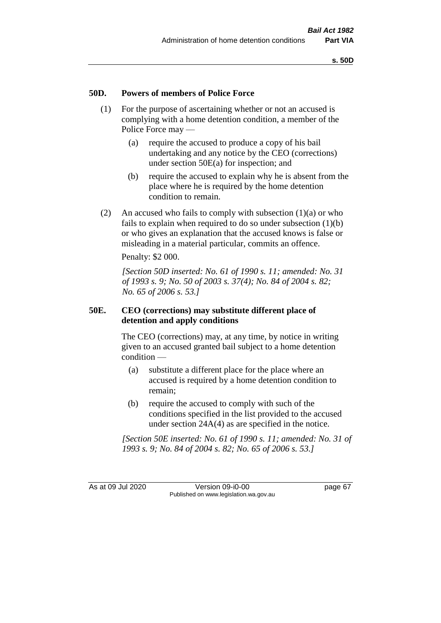#### **50D. Powers of members of Police Force**

- (1) For the purpose of ascertaining whether or not an accused is complying with a home detention condition, a member of the Police Force may —
	- (a) require the accused to produce a copy of his bail undertaking and any notice by the CEO (corrections) under section 50E(a) for inspection; and
	- (b) require the accused to explain why he is absent from the place where he is required by the home detention condition to remain.
- (2) An accused who fails to comply with subsection  $(1)(a)$  or who fails to explain when required to do so under subsection (1)(b) or who gives an explanation that the accused knows is false or misleading in a material particular, commits an offence.

Penalty: \$2 000.

*[Section 50D inserted: No. 61 of 1990 s. 11; amended: No. 31 of 1993 s. 9; No. 50 of 2003 s. 37(4); No. 84 of 2004 s. 82; No. 65 of 2006 s. 53.]* 

#### **50E. CEO (corrections) may substitute different place of detention and apply conditions**

The CEO (corrections) may, at any time, by notice in writing given to an accused granted bail subject to a home detention condition —

- (a) substitute a different place for the place where an accused is required by a home detention condition to remain;
- (b) require the accused to comply with such of the conditions specified in the list provided to the accused under section 24A(4) as are specified in the notice.

*[Section 50E inserted: No. 61 of 1990 s. 11; amended: No. 31 of 1993 s. 9; No. 84 of 2004 s. 82; No. 65 of 2006 s. 53.]* 

As at 09 Jul 2020 Version 09-i0-00 page 67 Published on www.legislation.wa.gov.au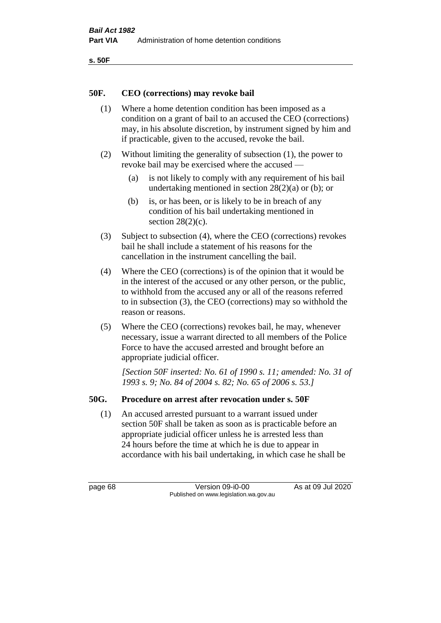```
s. 50F
```
#### **50F. CEO (corrections) may revoke bail**

- (1) Where a home detention condition has been imposed as a condition on a grant of bail to an accused the CEO (corrections) may, in his absolute discretion, by instrument signed by him and if practicable, given to the accused, revoke the bail.
- (2) Without limiting the generality of subsection (1), the power to revoke bail may be exercised where the accused —
	- (a) is not likely to comply with any requirement of his bail undertaking mentioned in section 28(2)(a) or (b); or
	- (b) is, or has been, or is likely to be in breach of any condition of his bail undertaking mentioned in section  $28(2)(c)$ .
- (3) Subject to subsection (4), where the CEO (corrections) revokes bail he shall include a statement of his reasons for the cancellation in the instrument cancelling the bail.
- (4) Where the CEO (corrections) is of the opinion that it would be in the interest of the accused or any other person, or the public, to withhold from the accused any or all of the reasons referred to in subsection (3), the CEO (corrections) may so withhold the reason or reasons.
- (5) Where the CEO (corrections) revokes bail, he may, whenever necessary, issue a warrant directed to all members of the Police Force to have the accused arrested and brought before an appropriate judicial officer.

*[Section 50F inserted: No. 61 of 1990 s. 11; amended: No. 31 of 1993 s. 9; No. 84 of 2004 s. 82; No. 65 of 2006 s. 53.]* 

# **50G. Procedure on arrest after revocation under s. 50F**

(1) An accused arrested pursuant to a warrant issued under section 50F shall be taken as soon as is practicable before an appropriate judicial officer unless he is arrested less than 24 hours before the time at which he is due to appear in accordance with his bail undertaking, in which case he shall be

page 68 Version 09-i0-00 As at 09 Jul 2020 Published on www.legislation.wa.gov.au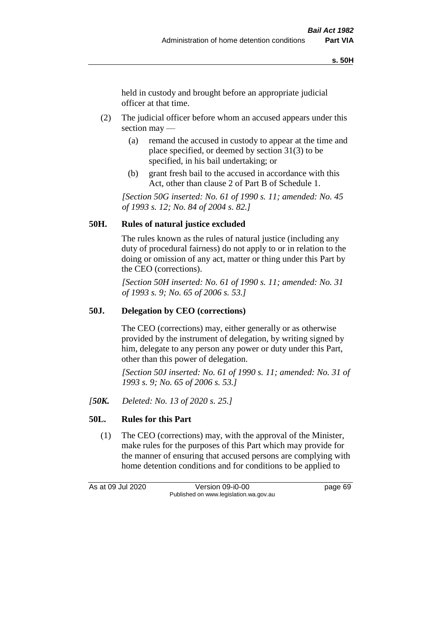held in custody and brought before an appropriate judicial officer at that time.

- (2) The judicial officer before whom an accused appears under this section may —
	- (a) remand the accused in custody to appear at the time and place specified, or deemed by section 31(3) to be specified, in his bail undertaking; or
	- (b) grant fresh bail to the accused in accordance with this Act, other than clause 2 of Part B of Schedule 1.

*[Section 50G inserted: No. 61 of 1990 s. 11; amended: No. 45 of 1993 s. 12; No. 84 of 2004 s. 82.]* 

# **50H. Rules of natural justice excluded**

The rules known as the rules of natural justice (including any duty of procedural fairness) do not apply to or in relation to the doing or omission of any act, matter or thing under this Part by the CEO (corrections).

*[Section 50H inserted: No. 61 of 1990 s. 11; amended: No. 31 of 1993 s. 9; No. 65 of 2006 s. 53.]* 

#### **50J. Delegation by CEO (corrections)**

The CEO (corrections) may, either generally or as otherwise provided by the instrument of delegation, by writing signed by him, delegate to any person any power or duty under this Part, other than this power of delegation.

*[Section 50J inserted: No. 61 of 1990 s. 11; amended: No. 31 of 1993 s. 9; No. 65 of 2006 s. 53.]* 

*[50K. Deleted: No. 13 of 2020 s. 25.]*

# **50L. Rules for this Part**

(1) The CEO (corrections) may, with the approval of the Minister, make rules for the purposes of this Part which may provide for the manner of ensuring that accused persons are complying with home detention conditions and for conditions to be applied to

As at 09 Jul 2020 Version 09-i0-00 page 69 Published on www.legislation.wa.gov.au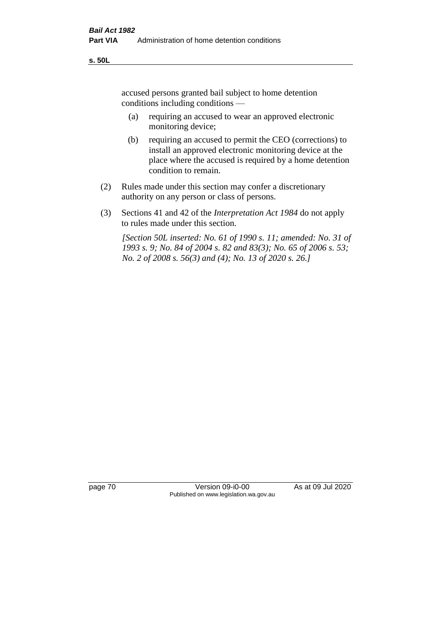accused persons granted bail subject to home detention conditions including conditions —

- (a) requiring an accused to wear an approved electronic monitoring device;
- (b) requiring an accused to permit the CEO (corrections) to install an approved electronic monitoring device at the place where the accused is required by a home detention condition to remain.
- (2) Rules made under this section may confer a discretionary authority on any person or class of persons.
- (3) Sections 41 and 42 of the *Interpretation Act 1984* do not apply to rules made under this section.

*[Section 50L inserted: No. 61 of 1990 s. 11; amended: No. 31 of 1993 s. 9; No. 84 of 2004 s. 82 and 83(3); No. 65 of 2006 s. 53; No. 2 of 2008 s. 56(3) and (4); No. 13 of 2020 s. 26.]* 

page 70 Version 09-i0-00 As at 09 Jul 2020 Published on www.legislation.wa.gov.au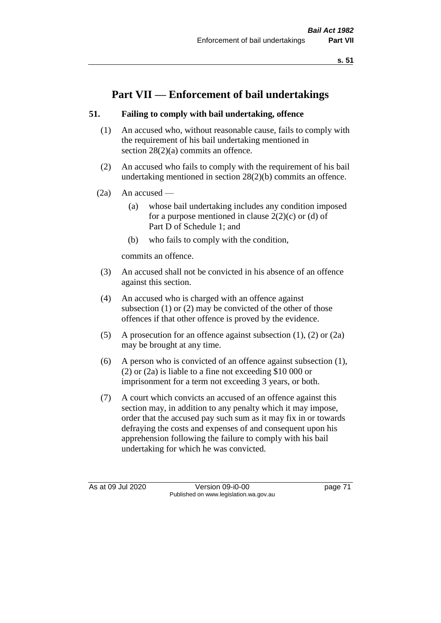**s. 51**

# **Part VII — Enforcement of bail undertakings**

# **51. Failing to comply with bail undertaking, offence**

- (1) An accused who, without reasonable cause, fails to comply with the requirement of his bail undertaking mentioned in section 28(2)(a) commits an offence.
- (2) An accused who fails to comply with the requirement of his bail undertaking mentioned in section 28(2)(b) commits an offence.
- $(2a)$  An accused
	- (a) whose bail undertaking includes any condition imposed for a purpose mentioned in clause  $2(2)(c)$  or (d) of Part D of Schedule 1; and
	- (b) who fails to comply with the condition,

commits an offence.

- (3) An accused shall not be convicted in his absence of an offence against this section.
- (4) An accused who is charged with an offence against subsection (1) or (2) may be convicted of the other of those offences if that other offence is proved by the evidence.
- (5) A prosecution for an offence against subsection (1), (2) or (2a) may be brought at any time.
- (6) A person who is convicted of an offence against subsection (1), (2) or (2a) is liable to a fine not exceeding \$10 000 or imprisonment for a term not exceeding 3 years, or both.
- (7) A court which convicts an accused of an offence against this section may, in addition to any penalty which it may impose, order that the accused pay such sum as it may fix in or towards defraying the costs and expenses of and consequent upon his apprehension following the failure to comply with his bail undertaking for which he was convicted.

As at 09 Jul 2020 Version 09-i0-00 page 71 Published on www.legislation.wa.gov.au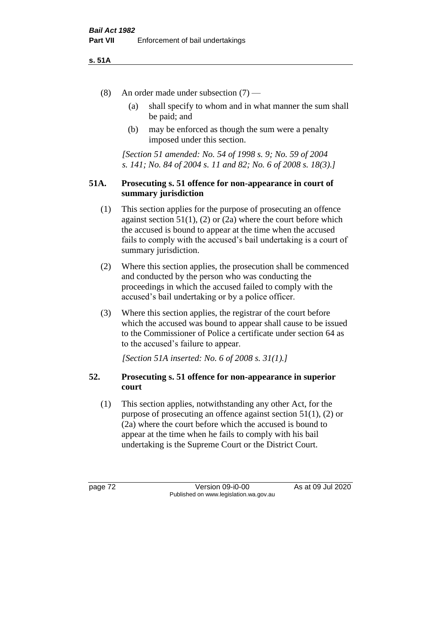#### **s. 51A**

- (8) An order made under subsection (7)
	- (a) shall specify to whom and in what manner the sum shall be paid; and
	- (b) may be enforced as though the sum were a penalty imposed under this section.

*[Section 51 amended: No. 54 of 1998 s. 9; No. 59 of 2004 s. 141; No. 84 of 2004 s. 11 and 82; No. 6 of 2008 s. 18(3).]*

#### **51A. Prosecuting s. 51 offence for non-appearance in court of summary jurisdiction**

- (1) This section applies for the purpose of prosecuting an offence against section  $51(1)$ ,  $(2)$  or  $(2a)$  where the court before which the accused is bound to appear at the time when the accused fails to comply with the accused's bail undertaking is a court of summary jurisdiction.
- (2) Where this section applies, the prosecution shall be commenced and conducted by the person who was conducting the proceedings in which the accused failed to comply with the accused's bail undertaking or by a police officer.
- (3) Where this section applies, the registrar of the court before which the accused was bound to appear shall cause to be issued to the Commissioner of Police a certificate under section 64 as to the accused's failure to appear.

*[Section 51A inserted: No. 6 of 2008 s. 31(1).]*

# **52. Prosecuting s. 51 offence for non-appearance in superior court**

(1) This section applies, notwithstanding any other Act, for the purpose of prosecuting an offence against section 51(1), (2) or (2a) where the court before which the accused is bound to appear at the time when he fails to comply with his bail undertaking is the Supreme Court or the District Court.

page 72 Version 09-i0-00 As at 09 Jul 2020 Published on www.legislation.wa.gov.au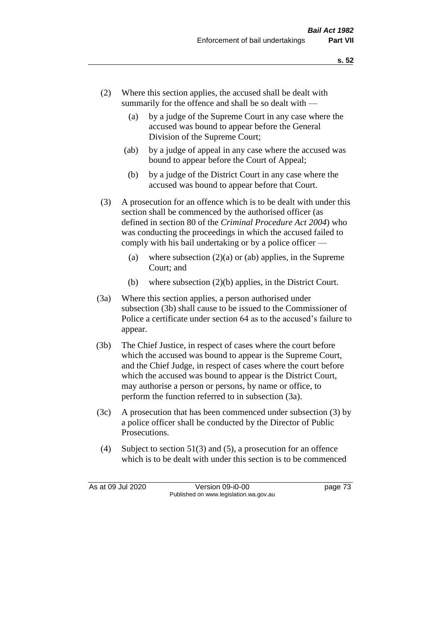- (2) Where this section applies, the accused shall be dealt with summarily for the offence and shall be so dealt with —
	- (a) by a judge of the Supreme Court in any case where the accused was bound to appear before the General Division of the Supreme Court;
	- (ab) by a judge of appeal in any case where the accused was bound to appear before the Court of Appeal;
	- (b) by a judge of the District Court in any case where the accused was bound to appear before that Court.
- (3) A prosecution for an offence which is to be dealt with under this section shall be commenced by the authorised officer (as defined in section 80 of the *Criminal Procedure Act 2004*) who was conducting the proceedings in which the accused failed to comply with his bail undertaking or by a police officer —
	- (a) where subsection  $(2)(a)$  or (ab) applies, in the Supreme Court; and
	- (b) where subsection (2)(b) applies, in the District Court.
- (3a) Where this section applies, a person authorised under subsection (3b) shall cause to be issued to the Commissioner of Police a certificate under section 64 as to the accused's failure to appear.
- (3b) The Chief Justice, in respect of cases where the court before which the accused was bound to appear is the Supreme Court, and the Chief Judge, in respect of cases where the court before which the accused was bound to appear is the District Court, may authorise a person or persons, by name or office, to perform the function referred to in subsection (3a).
- (3c) A prosecution that has been commenced under subsection (3) by a police officer shall be conducted by the Director of Public Prosecutions.
- (4) Subject to section 51(3) and (5), a prosecution for an offence which is to be dealt with under this section is to be commenced

As at 09 Jul 2020 Version 09-i0-00 page 73 Published on www.legislation.wa.gov.au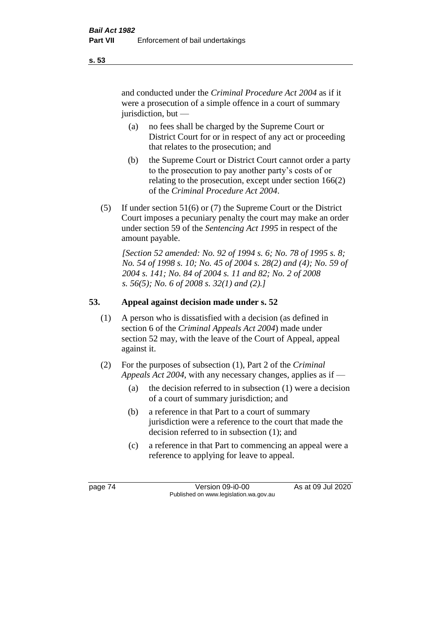and conducted under the *Criminal Procedure Act 2004* as if it were a prosecution of a simple offence in a court of summary jurisdiction, but —

- (a) no fees shall be charged by the Supreme Court or District Court for or in respect of any act or proceeding that relates to the prosecution; and
- (b) the Supreme Court or District Court cannot order a party to the prosecution to pay another party's costs of or relating to the prosecution, except under section 166(2) of the *Criminal Procedure Act 2004*.
- (5) If under section 51(6) or (7) the Supreme Court or the District Court imposes a pecuniary penalty the court may make an order under section 59 of the *Sentencing Act 1995* in respect of the amount payable.

*[Section 52 amended: No. 92 of 1994 s. 6; No. 78 of 1995 s. 8; No. 54 of 1998 s. 10; No. 45 of 2004 s. 28(2) and (4); No. 59 of 2004 s. 141; No. 84 of 2004 s. 11 and 82; No. 2 of 2008 s. 56(5); No. 6 of 2008 s. 32(1) and (2).]* 

# **53. Appeal against decision made under s. 52**

- (1) A person who is dissatisfied with a decision (as defined in section 6 of the *Criminal Appeals Act 2004*) made under section 52 may, with the leave of the Court of Appeal, appeal against it.
- (2) For the purposes of subsection (1), Part 2 of the *Criminal Appeals Act 2004*, with any necessary changes, applies as if —
	- (a) the decision referred to in subsection (1) were a decision of a court of summary jurisdiction; and
	- (b) a reference in that Part to a court of summary jurisdiction were a reference to the court that made the decision referred to in subsection (1); and
	- (c) a reference in that Part to commencing an appeal were a reference to applying for leave to appeal.

**s. 53**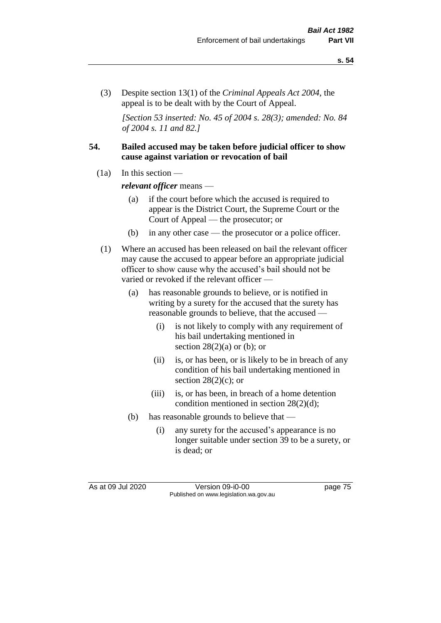(3) Despite section 13(1) of the *Criminal Appeals Act 2004*, the appeal is to be dealt with by the Court of Appeal.

*[Section 53 inserted: No. 45 of 2004 s. 28(3); amended: No. 84 of 2004 s. 11 and 82.]*

#### **54. Bailed accused may be taken before judicial officer to show cause against variation or revocation of bail**

 $(1a)$  In this section —

*relevant officer* means —

- (a) if the court before which the accused is required to appear is the District Court, the Supreme Court or the Court of Appeal — the prosecutor; or
- (b) in any other case the prosecutor or a police officer.
- (1) Where an accused has been released on bail the relevant officer may cause the accused to appear before an appropriate judicial officer to show cause why the accused's bail should not be varied or revoked if the relevant officer —
	- (a) has reasonable grounds to believe, or is notified in writing by a surety for the accused that the surety has reasonable grounds to believe, that the accused —
		- (i) is not likely to comply with any requirement of his bail undertaking mentioned in section  $28(2)(a)$  or (b); or
		- (ii) is, or has been, or is likely to be in breach of any condition of his bail undertaking mentioned in section  $28(2)(c)$ ; or
		- (iii) is, or has been, in breach of a home detention condition mentioned in section 28(2)(d);
	- (b) has reasonable grounds to believe that
		- (i) any surety for the accused's appearance is no longer suitable under section 39 to be a surety, or is dead; or

As at 09 Jul 2020 Version 09-i0-00 page 75 Published on www.legislation.wa.gov.au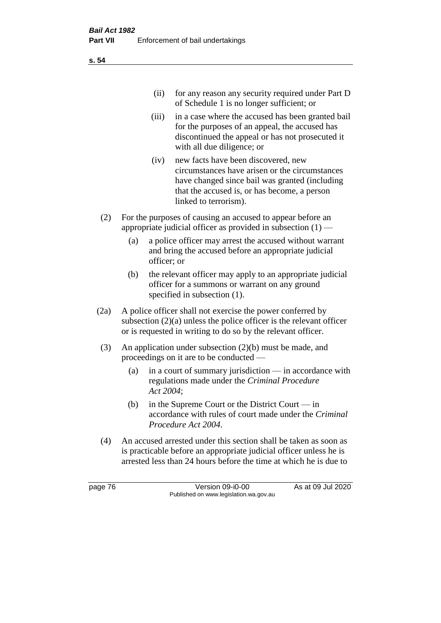| (ii) for any reason any security required under Part D |
|--------------------------------------------------------|
| of Schedule 1 is no longer sufficient; or              |

- (iii) in a case where the accused has been granted bail for the purposes of an appeal, the accused has discontinued the appeal or has not prosecuted it with all due diligence; or
- (iv) new facts have been discovered, new circumstances have arisen or the circumstances have changed since bail was granted (including that the accused is, or has become, a person linked to terrorism).
- (2) For the purposes of causing an accused to appear before an appropriate judicial officer as provided in subsection  $(1)$  —
	- (a) a police officer may arrest the accused without warrant and bring the accused before an appropriate judicial officer; or
	- (b) the relevant officer may apply to an appropriate judicial officer for a summons or warrant on any ground specified in subsection (1).
- (2a) A police officer shall not exercise the power conferred by subsection (2)(a) unless the police officer is the relevant officer or is requested in writing to do so by the relevant officer.
- (3) An application under subsection (2)(b) must be made, and proceedings on it are to be conducted —
	- (a) in a court of summary jurisdiction in accordance with regulations made under the *Criminal Procedure Act 2004*;
	- (b) in the Supreme Court or the District Court  $-\text{in}$ accordance with rules of court made under the *Criminal Procedure Act 2004*.
- (4) An accused arrested under this section shall be taken as soon as is practicable before an appropriate judicial officer unless he is arrested less than 24 hours before the time at which he is due to

page 76 Version 09-i0-00 As at 09 Jul 2020 Published on www.legislation.wa.gov.au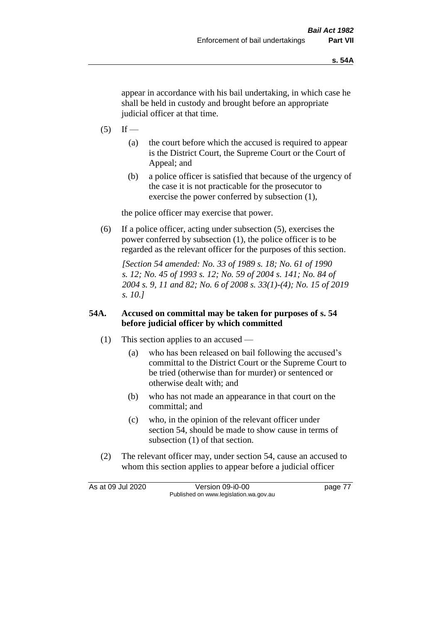appear in accordance with his bail undertaking, in which case he shall be held in custody and brought before an appropriate judicial officer at that time.

- $(5)$  If
	- (a) the court before which the accused is required to appear is the District Court, the Supreme Court or the Court of Appeal; and
	- (b) a police officer is satisfied that because of the urgency of the case it is not practicable for the prosecutor to exercise the power conferred by subsection (1),

the police officer may exercise that power.

(6) If a police officer, acting under subsection (5), exercises the power conferred by subsection (1), the police officer is to be regarded as the relevant officer for the purposes of this section.

*[Section 54 amended: No. 33 of 1989 s. 18; No. 61 of 1990 s. 12; No. 45 of 1993 s. 12; No. 59 of 2004 s. 141; No. 84 of 2004 s. 9, 11 and 82; No. 6 of 2008 s. 33(1)-(4); No. 15 of 2019 s. 10.]* 

#### **54A. Accused on committal may be taken for purposes of s. 54 before judicial officer by which committed**

- (1) This section applies to an accused
	- (a) who has been released on bail following the accused's committal to the District Court or the Supreme Court to be tried (otherwise than for murder) or sentenced or otherwise dealt with; and
	- (b) who has not made an appearance in that court on the committal; and
	- (c) who, in the opinion of the relevant officer under section 54, should be made to show cause in terms of subsection (1) of that section.
- (2) The relevant officer may, under section 54, cause an accused to whom this section applies to appear before a judicial officer

As at 09 Jul 2020 Version 09-i0-00 page 77 Published on www.legislation.wa.gov.au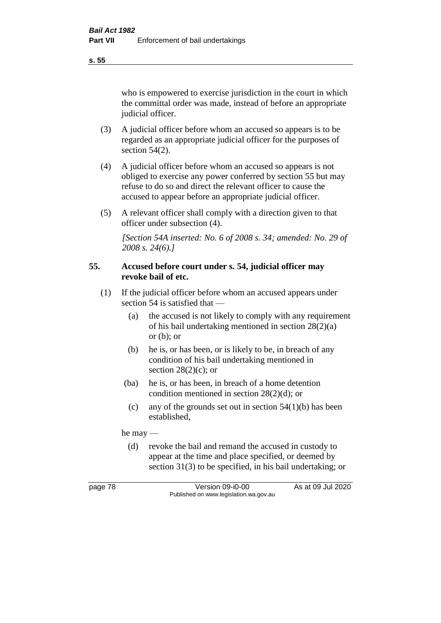**s. 55**

who is empowered to exercise jurisdiction in the court in which the committal order was made, instead of before an appropriate judicial officer.

- (3) A judicial officer before whom an accused so appears is to be regarded as an appropriate judicial officer for the purposes of section 54(2).
- (4) A judicial officer before whom an accused so appears is not obliged to exercise any power conferred by section 55 but may refuse to do so and direct the relevant officer to cause the accused to appear before an appropriate judicial officer.
- (5) A relevant officer shall comply with a direction given to that officer under subsection (4).

*[Section 54A inserted: No. 6 of 2008 s. 34; amended: No. 29 of 2008 s. 24(6).]*

#### **55. Accused before court under s. 54, judicial officer may revoke bail of etc.**

- (1) If the judicial officer before whom an accused appears under section 54 is satisfied that —
	- (a) the accused is not likely to comply with any requirement of his bail undertaking mentioned in section 28(2)(a) or  $(b)$ ; or
	- (b) he is, or has been, or is likely to be, in breach of any condition of his bail undertaking mentioned in section  $28(2)(c)$ ; or
	- (ba) he is, or has been, in breach of a home detention condition mentioned in section 28(2)(d); or
		- (c) any of the grounds set out in section  $54(1)(b)$  has been established,

he may —

(d) revoke the bail and remand the accused in custody to appear at the time and place specified, or deemed by section 31(3) to be specified, in his bail undertaking; or

page 78 Version 09-i0-00 As at 09 Jul 2020 Published on www.legislation.wa.gov.au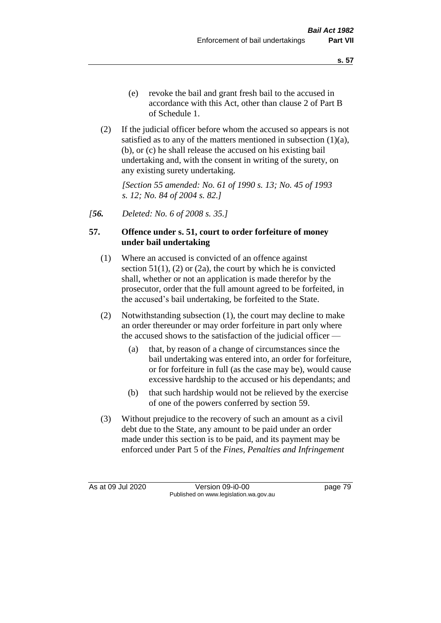- (e) revoke the bail and grant fresh bail to the accused in accordance with this Act, other than clause 2 of Part B of Schedule 1.
- (2) If the judicial officer before whom the accused so appears is not satisfied as to any of the matters mentioned in subsection (1)(a), (b), or (c) he shall release the accused on his existing bail undertaking and, with the consent in writing of the surety, on any existing surety undertaking.

*[Section 55 amended: No. 61 of 1990 s. 13; No. 45 of 1993 s. 12; No. 84 of 2004 s. 82.]* 

*[56. Deleted: No. 6 of 2008 s. 35.]*

#### **57. Offence under s. 51, court to order forfeiture of money under bail undertaking**

- (1) Where an accused is convicted of an offence against section  $51(1)$ ,  $(2)$  or  $(2a)$ , the court by which he is convicted shall, whether or not an application is made therefor by the prosecutor, order that the full amount agreed to be forfeited, in the accused's bail undertaking, be forfeited to the State.
- (2) Notwithstanding subsection (1), the court may decline to make an order thereunder or may order forfeiture in part only where the accused shows to the satisfaction of the judicial officer —
	- (a) that, by reason of a change of circumstances since the bail undertaking was entered into, an order for forfeiture, or for forfeiture in full (as the case may be), would cause excessive hardship to the accused or his dependants; and
	- (b) that such hardship would not be relieved by the exercise of one of the powers conferred by section 59.
- (3) Without prejudice to the recovery of such an amount as a civil debt due to the State, any amount to be paid under an order made under this section is to be paid, and its payment may be enforced under Part 5 of the *Fines, Penalties and Infringement*

As at 09 Jul 2020 Version 09-i0-00 page 79 Published on www.legislation.wa.gov.au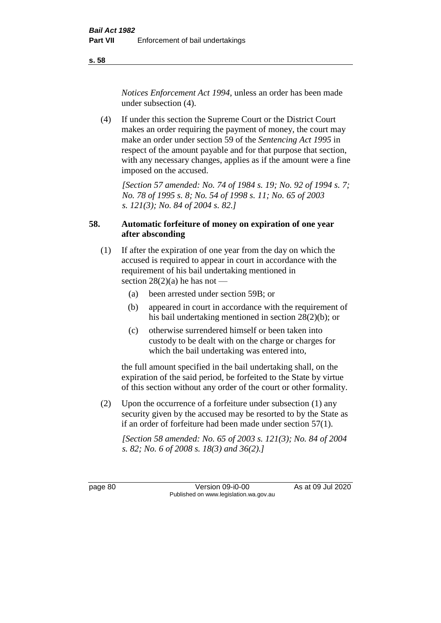**s. 58**

*Notices Enforcement Act 1994*, unless an order has been made under subsection (4).

(4) If under this section the Supreme Court or the District Court makes an order requiring the payment of money, the court may make an order under section 59 of the *Sentencing Act 1995* in respect of the amount payable and for that purpose that section, with any necessary changes, applies as if the amount were a fine imposed on the accused.

*[Section 57 amended: No. 74 of 1984 s. 19; No. 92 of 1994 s. 7; No. 78 of 1995 s. 8; No. 54 of 1998 s. 11; No. 65 of 2003 s. 121(3); No. 84 of 2004 s. 82.]* 

# **58. Automatic forfeiture of money on expiration of one year after absconding**

- (1) If after the expiration of one year from the day on which the accused is required to appear in court in accordance with the requirement of his bail undertaking mentioned in section  $28(2)(a)$  he has not —
	- (a) been arrested under section 59B; or
	- (b) appeared in court in accordance with the requirement of his bail undertaking mentioned in section 28(2)(b); or
	- (c) otherwise surrendered himself or been taken into custody to be dealt with on the charge or charges for which the bail undertaking was entered into,

the full amount specified in the bail undertaking shall, on the expiration of the said period, be forfeited to the State by virtue of this section without any order of the court or other formality.

(2) Upon the occurrence of a forfeiture under subsection (1) any security given by the accused may be resorted to by the State as if an order of forfeiture had been made under section 57(1).

*[Section 58 amended: No. 65 of 2003 s. 121(3); No. 84 of 2004 s. 82; No. 6 of 2008 s. 18(3) and 36(2).]*

page 80 Version 09-i0-00 As at 09 Jul 2020 Published on www.legislation.wa.gov.au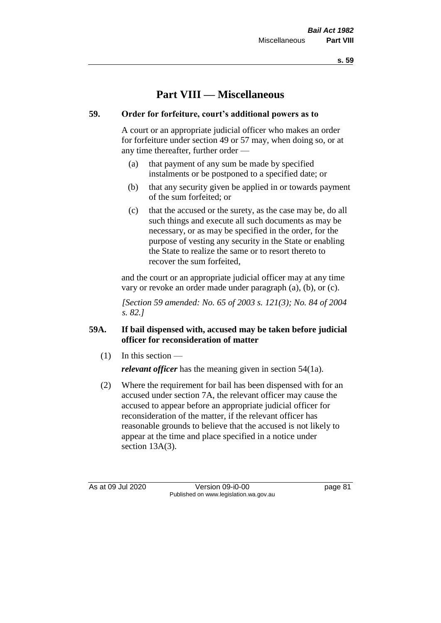**s. 59**

# **Part VIII — Miscellaneous**

# **59. Order for forfeiture, court's additional powers as to**

A court or an appropriate judicial officer who makes an order for forfeiture under section 49 or 57 may, when doing so, or at any time thereafter, further order —

- (a) that payment of any sum be made by specified instalments or be postponed to a specified date; or
- (b) that any security given be applied in or towards payment of the sum forfeited; or
- (c) that the accused or the surety, as the case may be, do all such things and execute all such documents as may be necessary, or as may be specified in the order, for the purpose of vesting any security in the State or enabling the State to realize the same or to resort thereto to recover the sum forfeited,

and the court or an appropriate judicial officer may at any time vary or revoke an order made under paragraph (a), (b), or (c).

*[Section 59 amended: No. 65 of 2003 s. 121(3); No. 84 of 2004 s. 82.]*

# **59A. If bail dispensed with, accused may be taken before judicial officer for reconsideration of matter**

 $(1)$  In this section —

*relevant officer* has the meaning given in section 54(1a).

(2) Where the requirement for bail has been dispensed with for an accused under section 7A, the relevant officer may cause the accused to appear before an appropriate judicial officer for reconsideration of the matter, if the relevant officer has reasonable grounds to believe that the accused is not likely to appear at the time and place specified in a notice under section 13A(3).

As at 09 Jul 2020 Version 09-i0-00 page 81 Published on www.legislation.wa.gov.au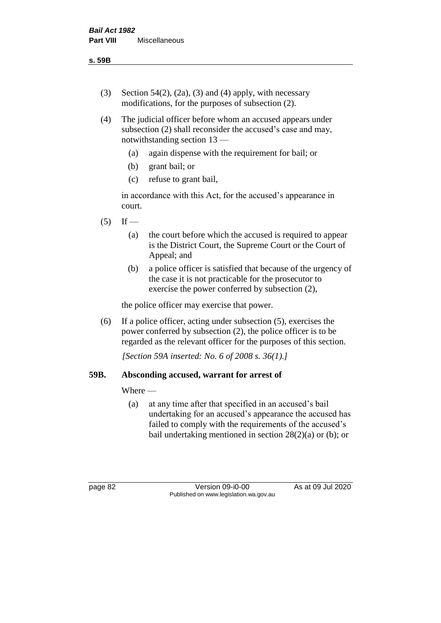- (3) Section 54(2), (2a), (3) and (4) apply, with necessary modifications, for the purposes of subsection (2).
- (4) The judicial officer before whom an accused appears under subsection (2) shall reconsider the accused's case and may, notwithstanding section 13 —
	- (a) again dispense with the requirement for bail; or
	- (b) grant bail; or
	- (c) refuse to grant bail,

in accordance with this Act, for the accused's appearance in court.

- $(5)$  If
	- (a) the court before which the accused is required to appear is the District Court, the Supreme Court or the Court of Appeal; and
	- (b) a police officer is satisfied that because of the urgency of the case it is not practicable for the prosecutor to exercise the power conferred by subsection (2),

the police officer may exercise that power.

(6) If a police officer, acting under subsection (5), exercises the power conferred by subsection (2), the police officer is to be regarded as the relevant officer for the purposes of this section.

*[Section 59A inserted: No. 6 of 2008 s. 36(1).]*

#### **59B. Absconding accused, warrant for arrest of**

#### Where —

(a) at any time after that specified in an accused's bail undertaking for an accused's appearance the accused has failed to comply with the requirements of the accused's bail undertaking mentioned in section  $28(2)(a)$  or (b); or

page 82 Version 09-i0-00 As at 09 Jul 2020 Published on www.legislation.wa.gov.au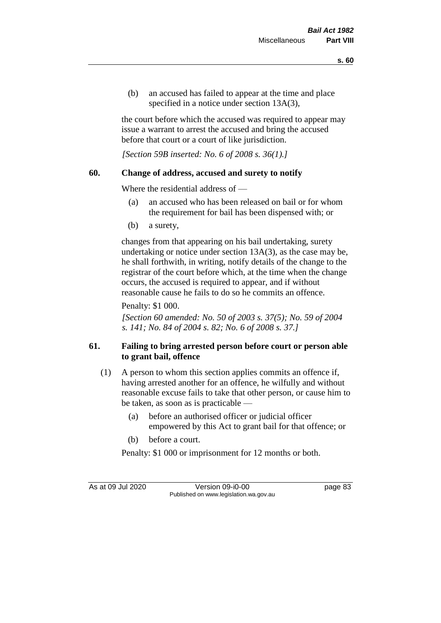(b) an accused has failed to appear at the time and place specified in a notice under section 13A(3),

the court before which the accused was required to appear may issue a warrant to arrest the accused and bring the accused before that court or a court of like jurisdiction.

*[Section 59B inserted: No. 6 of 2008 s. 36(1).]*

# **60. Change of address, accused and surety to notify**

Where the residential address of —

- (a) an accused who has been released on bail or for whom the requirement for bail has been dispensed with; or
- (b) a surety,

changes from that appearing on his bail undertaking, surety undertaking or notice under section 13A(3), as the case may be, he shall forthwith, in writing, notify details of the change to the registrar of the court before which, at the time when the change occurs, the accused is required to appear, and if without reasonable cause he fails to do so he commits an offence.

Penalty: \$1 000.

*[Section 60 amended: No. 50 of 2003 s. 37(5); No. 59 of 2004 s. 141; No. 84 of 2004 s. 82; No. 6 of 2008 s. 37.]*

# **61. Failing to bring arrested person before court or person able to grant bail, offence**

- (1) A person to whom this section applies commits an offence if, having arrested another for an offence, he wilfully and without reasonable excuse fails to take that other person, or cause him to be taken, as soon as is practicable —
	- (a) before an authorised officer or judicial officer empowered by this Act to grant bail for that offence; or
	- (b) before a court.

Penalty: \$1 000 or imprisonment for 12 months or both.

As at 09 Jul 2020 Version 09-i0-00 page 83 Published on www.legislation.wa.gov.au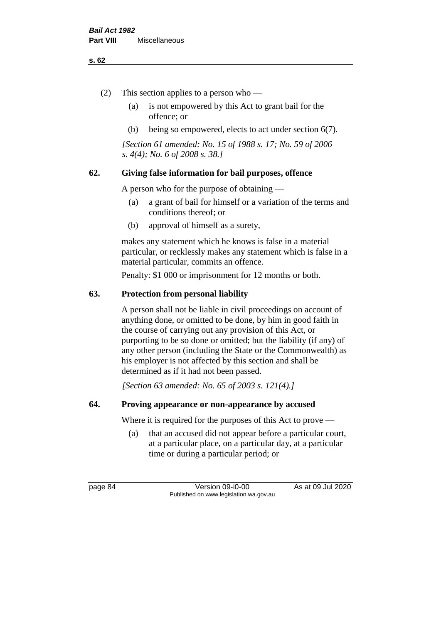#### **s. 62**

- (2) This section applies to a person who
	- (a) is not empowered by this Act to grant bail for the offence; or
	- (b) being so empowered, elects to act under section 6(7).

*[Section 61 amended: No. 15 of 1988 s. 17; No. 59 of 2006 s. 4(4); No. 6 of 2008 s. 38.]* 

# **62. Giving false information for bail purposes, offence**

A person who for the purpose of obtaining —

- (a) a grant of bail for himself or a variation of the terms and conditions thereof; or
- (b) approval of himself as a surety,

makes any statement which he knows is false in a material particular, or recklessly makes any statement which is false in a material particular, commits an offence.

Penalty: \$1 000 or imprisonment for 12 months or both.

# **63. Protection from personal liability**

A person shall not be liable in civil proceedings on account of anything done, or omitted to be done, by him in good faith in the course of carrying out any provision of this Act, or purporting to be so done or omitted; but the liability (if any) of any other person (including the State or the Commonwealth) as his employer is not affected by this section and shall be determined as if it had not been passed.

*[Section 63 amended: No. 65 of 2003 s. 121(4).]*

#### **64. Proving appearance or non-appearance by accused**

Where it is required for the purposes of this Act to prove —

(a) that an accused did not appear before a particular court, at a particular place, on a particular day, at a particular time or during a particular period; or

page 84 Version 09-i0-00 As at 09 Jul 2020 Published on www.legislation.wa.gov.au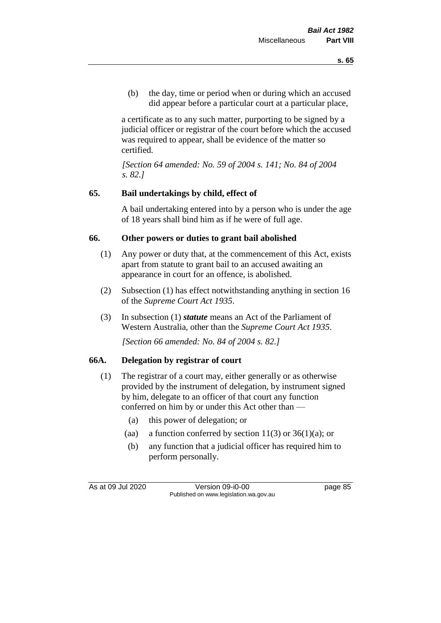(b) the day, time or period when or during which an accused did appear before a particular court at a particular place,

a certificate as to any such matter, purporting to be signed by a judicial officer or registrar of the court before which the accused was required to appear, shall be evidence of the matter so certified.

*[Section 64 amended: No. 59 of 2004 s. 141; No. 84 of 2004 s. 82.]* 

# **65. Bail undertakings by child, effect of**

A bail undertaking entered into by a person who is under the age of 18 years shall bind him as if he were of full age.

# **66. Other powers or duties to grant bail abolished**

- (1) Any power or duty that, at the commencement of this Act, exists apart from statute to grant bail to an accused awaiting an appearance in court for an offence, is abolished.
- (2) Subsection (1) has effect notwithstanding anything in section 16 of the *Supreme Court Act 1935*.
- (3) In subsection (1) *statute* means an Act of the Parliament of Western Australia, other than the *Supreme Court Act 1935*.

*[Section 66 amended: No. 84 of 2004 s. 82.]*

#### **66A. Delegation by registrar of court**

- (1) The registrar of a court may, either generally or as otherwise provided by the instrument of delegation, by instrument signed by him, delegate to an officer of that court any function conferred on him by or under this Act other than —
	- (a) this power of delegation; or
	- (aa) a function conferred by section  $11(3)$  or  $36(1)(a)$ ; or
	- (b) any function that a judicial officer has required him to perform personally.

As at 09 Jul 2020 Version 09-i0-00 page 85 Published on www.legislation.wa.gov.au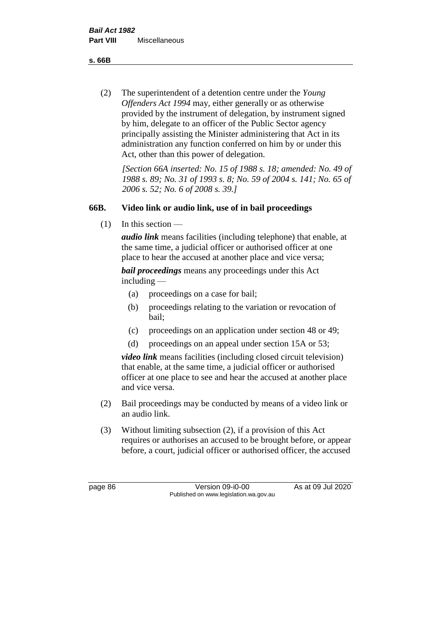**s. 66B**

(2) The superintendent of a detention centre under the *Young Offenders Act 1994* may, either generally or as otherwise provided by the instrument of delegation, by instrument signed by him, delegate to an officer of the Public Sector agency principally assisting the Minister administering that Act in its administration any function conferred on him by or under this Act, other than this power of delegation.

*[Section 66A inserted: No. 15 of 1988 s. 18; amended: No. 49 of 1988 s. 89; No. 31 of 1993 s. 8; No. 59 of 2004 s. 141; No. 65 of 2006 s. 52; No. 6 of 2008 s. 39.]* 

# **66B. Video link or audio link, use of in bail proceedings**

 $(1)$  In this section —

*audio link* means facilities (including telephone) that enable, at the same time, a judicial officer or authorised officer at one place to hear the accused at another place and vice versa;

*bail proceedings* means any proceedings under this Act including —

- (a) proceedings on a case for bail;
- (b) proceedings relating to the variation or revocation of bail;
- (c) proceedings on an application under section 48 or 49;
- (d) proceedings on an appeal under section 15A or 53;

*video link* means facilities (including closed circuit television) that enable, at the same time, a judicial officer or authorised officer at one place to see and hear the accused at another place and vice versa.

- (2) Bail proceedings may be conducted by means of a video link or an audio link.
- (3) Without limiting subsection (2), if a provision of this Act requires or authorises an accused to be brought before, or appear before, a court, judicial officer or authorised officer, the accused

page 86 Version 09-i0-00 As at 09 Jul 2020 Published on www.legislation.wa.gov.au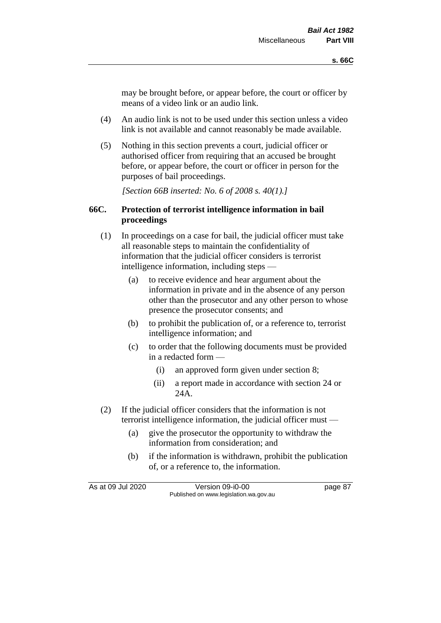may be brought before, or appear before, the court or officer by means of a video link or an audio link.

- (4) An audio link is not to be used under this section unless a video link is not available and cannot reasonably be made available.
- (5) Nothing in this section prevents a court, judicial officer or authorised officer from requiring that an accused be brought before, or appear before, the court or officer in person for the purposes of bail proceedings.

*[Section 66B inserted: No. 6 of 2008 s. 40(1).]*

#### **66C. Protection of terrorist intelligence information in bail proceedings**

- (1) In proceedings on a case for bail, the judicial officer must take all reasonable steps to maintain the confidentiality of information that the judicial officer considers is terrorist intelligence information, including steps —
	- (a) to receive evidence and hear argument about the information in private and in the absence of any person other than the prosecutor and any other person to whose presence the prosecutor consents; and
	- (b) to prohibit the publication of, or a reference to, terrorist intelligence information; and
	- (c) to order that the following documents must be provided in a redacted form —
		- (i) an approved form given under section 8;
		- (ii) a report made in accordance with section 24 or 24A.
- (2) If the judicial officer considers that the information is not terrorist intelligence information, the judicial officer must —
	- (a) give the prosecutor the opportunity to withdraw the information from consideration; and
	- (b) if the information is withdrawn, prohibit the publication of, or a reference to, the information.

As at 09 Jul 2020 Version 09-i0-00 page 87 Published on www.legislation.wa.gov.au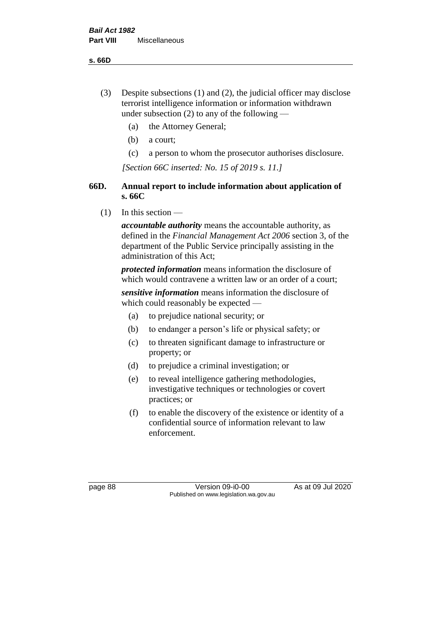**s. 66D**

- (3) Despite subsections (1) and (2), the judicial officer may disclose terrorist intelligence information or information withdrawn under subsection  $(2)$  to any of the following —
	- (a) the Attorney General;
	- (b) a court;
	- (c) a person to whom the prosecutor authorises disclosure.

*[Section 66C inserted: No. 15 of 2019 s. 11.]*

# **66D. Annual report to include information about application of s. 66C**

 $(1)$  In this section —

*accountable authority* means the accountable authority, as defined in the *Financial Management Act 2006* section 3, of the department of the Public Service principally assisting in the administration of this Act;

*protected information* means information the disclosure of which would contravene a written law or an order of a court;

*sensitive information* means information the disclosure of which could reasonably be expected —

- (a) to prejudice national security; or
- (b) to endanger a person's life or physical safety; or
- (c) to threaten significant damage to infrastructure or property; or
- (d) to prejudice a criminal investigation; or
- (e) to reveal intelligence gathering methodologies, investigative techniques or technologies or covert practices; or
- (f) to enable the discovery of the existence or identity of a confidential source of information relevant to law enforcement.

page 88 Version 09-i0-00 As at 09 Jul 2020 Published on www.legislation.wa.gov.au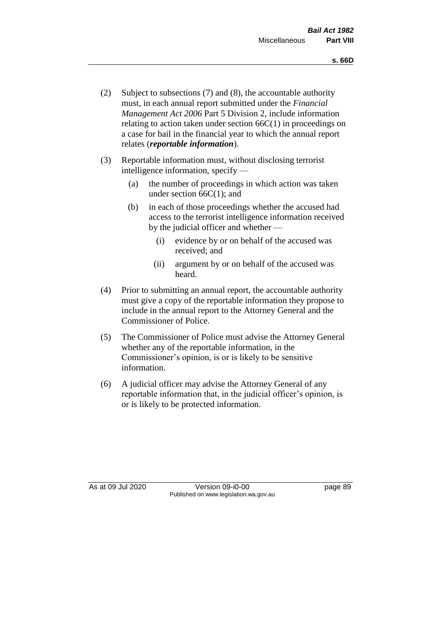- (2) Subject to subsections (7) and (8), the accountable authority must, in each annual report submitted under the *Financial Management Act 2006* Part 5 Division 2, include information relating to action taken under section  $66C(1)$  in proceedings on a case for bail in the financial year to which the annual report relates (*reportable information*).
- (3) Reportable information must, without disclosing terrorist intelligence information, specify —
	- (a) the number of proceedings in which action was taken under section  $66C(1)$ ; and
	- (b) in each of those proceedings whether the accused had access to the terrorist intelligence information received by the judicial officer and whether —
		- (i) evidence by or on behalf of the accused was received; and
		- (ii) argument by or on behalf of the accused was heard.
- (4) Prior to submitting an annual report, the accountable authority must give a copy of the reportable information they propose to include in the annual report to the Attorney General and the Commissioner of Police.
- (5) The Commissioner of Police must advise the Attorney General whether any of the reportable information, in the Commissioner's opinion, is or is likely to be sensitive information.
- (6) A judicial officer may advise the Attorney General of any reportable information that, in the judicial officer's opinion, is or is likely to be protected information.

As at 09 Jul 2020 Version 09-i0-00 page 89 Published on www.legislation.wa.gov.au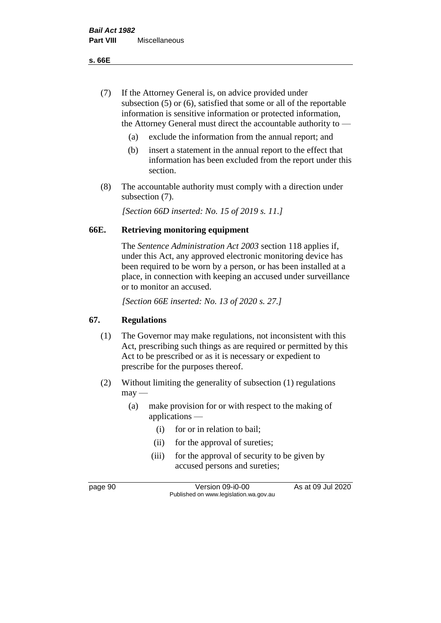**s. 66E**

- (7) If the Attorney General is, on advice provided under subsection (5) or (6), satisfied that some or all of the reportable information is sensitive information or protected information, the Attorney General must direct the accountable authority to —
	- (a) exclude the information from the annual report; and
	- (b) insert a statement in the annual report to the effect that information has been excluded from the report under this section.
- (8) The accountable authority must comply with a direction under subsection (7).

*[Section 66D inserted: No. 15 of 2019 s. 11.]*

# **66E. Retrieving monitoring equipment**

The *Sentence Administration Act 2003* section 118 applies if, under this Act, any approved electronic monitoring device has been required to be worn by a person, or has been installed at a place, in connection with keeping an accused under surveillance or to monitor an accused.

*[Section 66E inserted: No. 13 of 2020 s. 27.]*

# **67. Regulations**

- (1) The Governor may make regulations, not inconsistent with this Act, prescribing such things as are required or permitted by this Act to be prescribed or as it is necessary or expedient to prescribe for the purposes thereof.
- (2) Without limiting the generality of subsection (1) regulations  $may -$ 
	- (a) make provision for or with respect to the making of applications —
		- (i) for or in relation to bail;
		- (ii) for the approval of sureties;
		- (iii) for the approval of security to be given by accused persons and sureties;

page 90 Version 09-i0-00 As at 09 Jul 2020 Published on www.legislation.wa.gov.au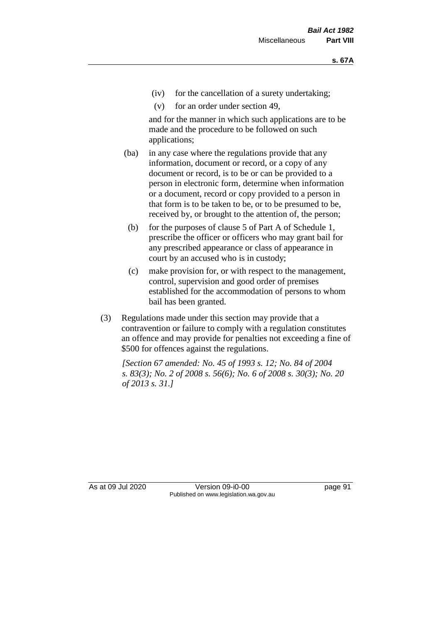- (iv) for the cancellation of a surety undertaking;
- (v) for an order under section 49,

and for the manner in which such applications are to be made and the procedure to be followed on such applications;

- (ba) in any case where the regulations provide that any information, document or record, or a copy of any document or record, is to be or can be provided to a person in electronic form, determine when information or a document, record or copy provided to a person in that form is to be taken to be, or to be presumed to be, received by, or brought to the attention of, the person;
	- (b) for the purposes of clause 5 of Part A of Schedule 1, prescribe the officer or officers who may grant bail for any prescribed appearance or class of appearance in court by an accused who is in custody;
	- (c) make provision for, or with respect to the management, control, supervision and good order of premises established for the accommodation of persons to whom bail has been granted.
- (3) Regulations made under this section may provide that a contravention or failure to comply with a regulation constitutes an offence and may provide for penalties not exceeding a fine of \$500 for offences against the regulations.

*[Section 67 amended: No. 45 of 1993 s. 12; No. 84 of 2004 s. 83(3); No. 2 of 2008 s. 56(6); No. 6 of 2008 s. 30(3); No. 20 of 2013 s. 31.]* 

As at 09 Jul 2020 Version 09-i0-00 page 91 Published on www.legislation.wa.gov.au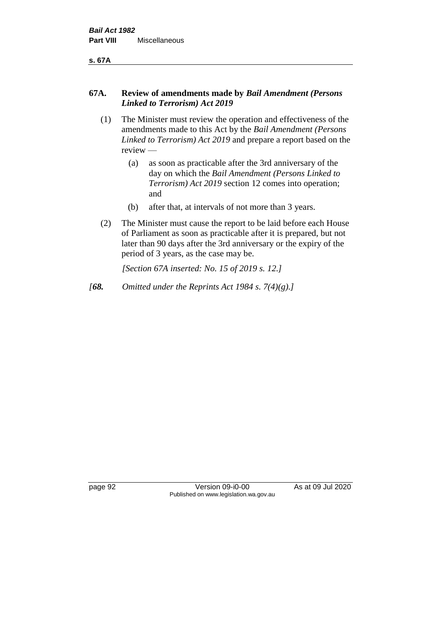**s. 67A**

#### **67A. Review of amendments made by** *Bail Amendment (Persons Linked to Terrorism) Act 2019*

- (1) The Minister must review the operation and effectiveness of the amendments made to this Act by the *Bail Amendment (Persons Linked to Terrorism) Act 2019* and prepare a report based on the review —
	- (a) as soon as practicable after the 3rd anniversary of the day on which the *Bail Amendment (Persons Linked to Terrorism) Act 2019* section 12 comes into operation; and
	- (b) after that, at intervals of not more than 3 years.
- (2) The Minister must cause the report to be laid before each House of Parliament as soon as practicable after it is prepared, but not later than 90 days after the 3rd anniversary or the expiry of the period of 3 years, as the case may be.

*[Section 67A inserted: No. 15 of 2019 s. 12.]*

*[68. Omitted under the Reprints Act 1984 s. 7(4)(g).]*

page 92 Version 09-i0-00 As at 09 Jul 2020 Published on www.legislation.wa.gov.au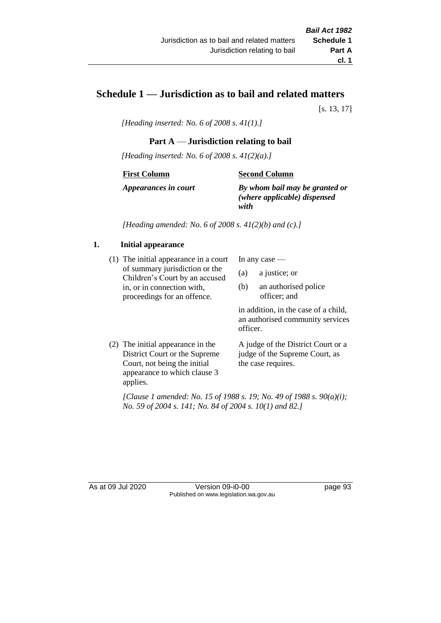# **Schedule 1 — Jurisdiction as to bail and related matters**

[s. 13, 17]

*[Heading inserted: No. 6 of 2008 s. 41(1).]*

#### **Part A** — **Jurisdiction relating to bail**

*[Heading inserted: No. 6 of 2008 s. 41(2)(a).]*

#### **First Column**

**Second Column**

*Appearances in court*

*By whom bail may be granted or (where applicable) dispensed with*

*[Heading amended: No. 6 of 2008 s. 41(2)(b) and (c).]*

#### **1. Initial appearance**

(1) The initial appearance in a court of summary jurisdiction or the Children's Court by an accused in, or in connection with, proceedings for an offence.

In any case —

- (a) a justice; or
- (b) an authorised police officer; and

in addition, in the case of a child, an authorised community services officer.

(2) The initial appearance in the District Court or the Supreme Court, not being the initial appearance to which clause 3 applies. A judge of the District Court or a judge of the Supreme Court, as the case requires.

*[Clause 1 amended: No. 15 of 1988 s. 19; No. 49 of 1988 s. 90(a)(i); No. 59 of 2004 s. 141; No. 84 of 2004 s. 10(1) and 82.]*

As at 09 Jul 2020 Version 09-i0-00 page 93 Published on www.legislation.wa.gov.au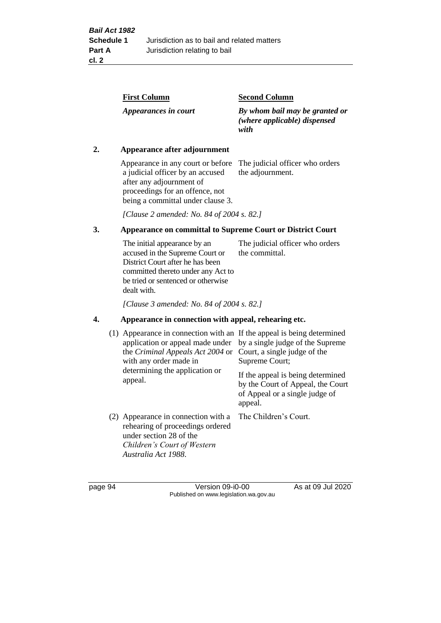| <b>First Column</b>  | <b>Second Column</b>                                                   |
|----------------------|------------------------------------------------------------------------|
| Appearances in court | By whom bail may be granted or<br>(where applicable) dispensed<br>with |

#### **2. Appearance after adjournment**

Appearance in any court or before The judicial officer who orders a judicial officer by an accused after any adjournment of proceedings for an offence, not being a committal under clause 3.

the adjournment.

*[Clause 2 amended: No. 84 of 2004 s. 82.]*

# **3. Appearance on committal to Supreme Court or District Court**

The initial appearance by an accused in the Supreme Court or District Court after he has been committed thereto under any Act to be tried or sentenced or otherwise dealt with. The judicial officer who orders the committal.

*[Clause 3 amended: No. 84 of 2004 s. 82.]*

#### **4. Appearance in connection with appeal, rehearing etc.**

| (1) Appearance in connection with an If the appeal is being determined<br>application or appeal made under<br>the Criminal Appeals Act 2004 or<br>with any order made in<br>determining the application or<br>appeal. | by a single judge of the Supreme<br>Court, a single judge of the<br>Supreme Court;<br>If the appeal is being determined<br>by the Court of Appeal, the Court<br>of Appeal or a single judge of<br>appeal. |
|-----------------------------------------------------------------------------------------------------------------------------------------------------------------------------------------------------------------------|-----------------------------------------------------------------------------------------------------------------------------------------------------------------------------------------------------------|
| (2) Appearance in connection with a<br>rehearing of proceedings ordered<br>under section 28 of the<br>Children's Court of Western<br>Australia Act 1988.                                                              | The Children's Court.                                                                                                                                                                                     |

page 94 Version 09-i0-00 As at 09 Jul 2020 Published on www.legislation.wa.gov.au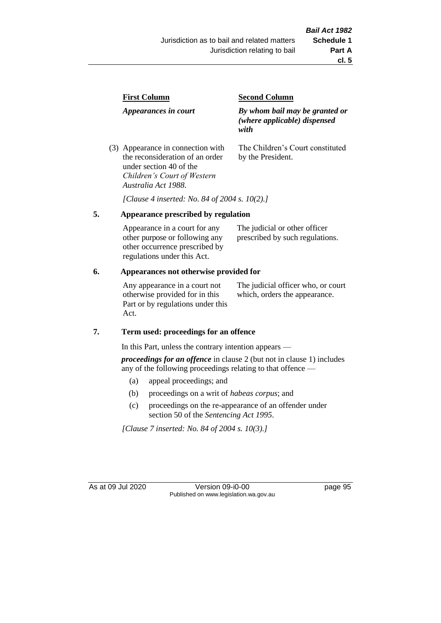| <b>First Column</b>                                                  | <b>Second Column</b>                                                   |  |
|----------------------------------------------------------------------|------------------------------------------------------------------------|--|
| Appearances in court                                                 | By whom bail may be granted or<br>(where applicable) dispensed<br>with |  |
| (3) Appearance in connection with<br>the reconsideration of an order | The Children's Court constituted<br>by the President.                  |  |

*[Clause 4 inserted: No. 84 of 2004 s. 10(2).]*

#### **5. Appearance prescribed by regulation**

under section 40 of the *Children's Court of Western* 

*Australia Act 1988*.

| Appearance in a court for any  | The judicial or other officer   |
|--------------------------------|---------------------------------|
| other purpose or following any | prescribed by such regulations. |
| other occurrence prescribed by |                                 |
| regulations under this Act.    |                                 |

#### **6. Appearances not otherwise provided for**

Any appearance in a court not otherwise provided for in this Part or by regulations under this Act.

The judicial officer who, or court which, orders the appearance.

#### **7. Term used: proceedings for an offence**

In this Part, unless the contrary intention appears —

*proceedings for an offence* in clause 2 (but not in clause 1) includes any of the following proceedings relating to that offence —

- (a) appeal proceedings; and
- (b) proceedings on a writ of *habeas corpus*; and
- (c) proceedings on the re-appearance of an offender under section 50 of the *Sentencing Act 1995*.

*[Clause 7 inserted: No. 84 of 2004 s. 10(3).]*

As at 09 Jul 2020 Version 09-i0-00 page 95 Published on www.legislation.wa.gov.au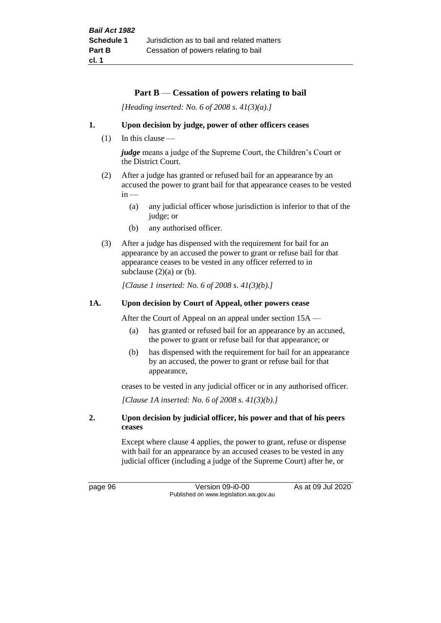#### **Part B** — **Cessation of powers relating to bail**

*[Heading inserted: No. 6 of 2008 s. 41(3)(a).]*

#### **1. Upon decision by judge, power of other officers ceases**

(1) In this clause —

*judge* means a judge of the Supreme Court, the Children's Court or the District Court.

- (2) After a judge has granted or refused bail for an appearance by an accused the power to grant bail for that appearance ceases to be vested  $in -$ 
	- (a) any judicial officer whose jurisdiction is inferior to that of the judge; or
	- (b) any authorised officer.
- (3) After a judge has dispensed with the requirement for bail for an appearance by an accused the power to grant or refuse bail for that appearance ceases to be vested in any officer referred to in subclause  $(2)(a)$  or  $(b)$ .

*[Clause 1 inserted: No. 6 of 2008 s. 41(3)(b).]*

#### **1A. Upon decision by Court of Appeal, other powers cease**

After the Court of Appeal on an appeal under section 15A —

- (a) has granted or refused bail for an appearance by an accused, the power to grant or refuse bail for that appearance; or
- (b) has dispensed with the requirement for bail for an appearance by an accused, the power to grant or refuse bail for that appearance,

ceases to be vested in any judicial officer or in any authorised officer.

*[Clause 1A inserted: No. 6 of 2008 s. 41(3)(b).]*

#### **2. Upon decision by judicial officer, his power and that of his peers ceases**

Except where clause 4 applies, the power to grant, refuse or dispense with bail for an appearance by an accused ceases to be vested in any judicial officer (including a judge of the Supreme Court) after he, or

page 96 Version 09-i0-00 As at 09 Jul 2020 Published on www.legislation.wa.gov.au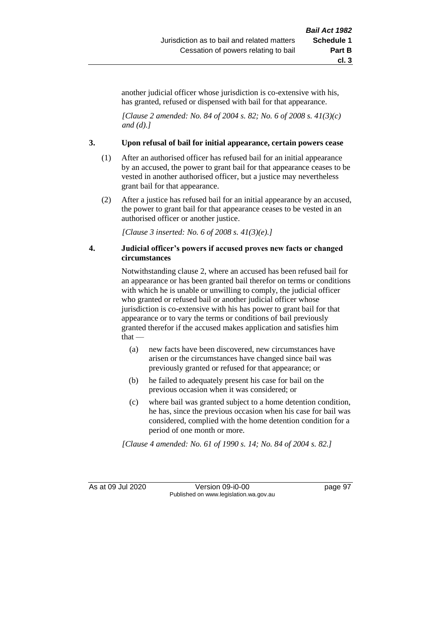another judicial officer whose jurisdiction is co-extensive with his, has granted, refused or dispensed with bail for that appearance.

*[Clause 2 amended: No. 84 of 2004 s. 82; No. 6 of 2008 s. 41(3)(c) and (d).]*

#### **3. Upon refusal of bail for initial appearance, certain powers cease**

- (1) After an authorised officer has refused bail for an initial appearance by an accused, the power to grant bail for that appearance ceases to be vested in another authorised officer, but a justice may nevertheless grant bail for that appearance.
- (2) After a justice has refused bail for an initial appearance by an accused, the power to grant bail for that appearance ceases to be vested in an authorised officer or another justice.

*[Clause 3 inserted: No. 6 of 2008 s. 41(3)(e).]*

#### **4. Judicial officer's powers if accused proves new facts or changed circumstances**

Notwithstanding clause 2, where an accused has been refused bail for an appearance or has been granted bail therefor on terms or conditions with which he is unable or unwilling to comply, the judicial officer who granted or refused bail or another judicial officer whose jurisdiction is co-extensive with his has power to grant bail for that appearance or to vary the terms or conditions of bail previously granted therefor if the accused makes application and satisfies him that —

- (a) new facts have been discovered, new circumstances have arisen or the circumstances have changed since bail was previously granted or refused for that appearance; or
- (b) he failed to adequately present his case for bail on the previous occasion when it was considered; or
- (c) where bail was granted subject to a home detention condition, he has, since the previous occasion when his case for bail was considered, complied with the home detention condition for a period of one month or more.

*[Clause 4 amended: No. 61 of 1990 s. 14; No. 84 of 2004 s. 82.]*

As at 09 Jul 2020 Version 09-i0-00 Published on www.legislation.wa.gov.au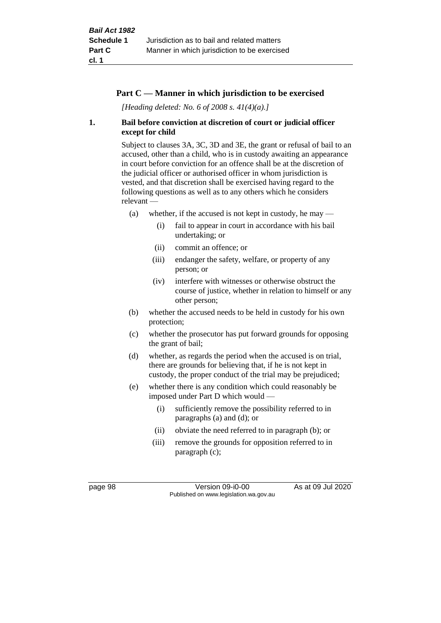#### **Part C — Manner in which jurisdiction to be exercised**

*[Heading deleted: No. 6 of 2008 s. 41(4)(a).]*

#### **1. Bail before conviction at discretion of court or judicial officer except for child**

Subject to clauses 3A, 3C, 3D and 3E, the grant or refusal of bail to an accused, other than a child, who is in custody awaiting an appearance in court before conviction for an offence shall be at the discretion of the judicial officer or authorised officer in whom jurisdiction is vested, and that discretion shall be exercised having regard to the following questions as well as to any others which he considers relevant —

- (a) whether, if the accused is not kept in custody, he may  $-$ 
	- (i) fail to appear in court in accordance with his bail undertaking; or
	- (ii) commit an offence; or
	- (iii) endanger the safety, welfare, or property of any person; or
	- (iv) interfere with witnesses or otherwise obstruct the course of justice, whether in relation to himself or any other person;
- (b) whether the accused needs to be held in custody for his own protection;
- (c) whether the prosecutor has put forward grounds for opposing the grant of bail;
- (d) whether, as regards the period when the accused is on trial, there are grounds for believing that, if he is not kept in custody, the proper conduct of the trial may be prejudiced;
- (e) whether there is any condition which could reasonably be imposed under Part D which would —
	- (i) sufficiently remove the possibility referred to in paragraphs (a) and (d); or
	- (ii) obviate the need referred to in paragraph (b); or
	- (iii) remove the grounds for opposition referred to in paragraph (c);

page 98 Version 09-i0-00 As at 09 Jul 2020 Published on www.legislation.wa.gov.au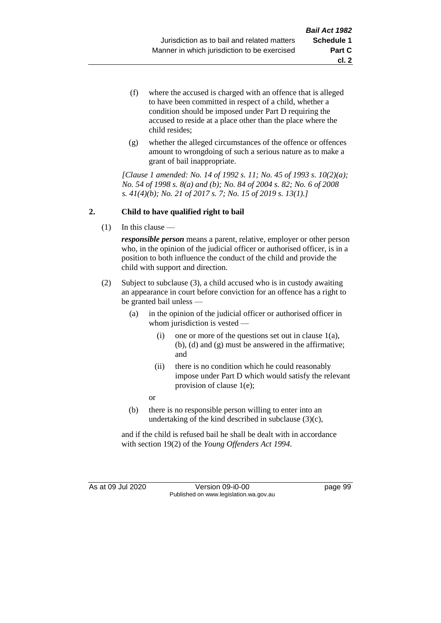- (f) where the accused is charged with an offence that is alleged to have been committed in respect of a child, whether a condition should be imposed under Part D requiring the accused to reside at a place other than the place where the child resides;
- (g) whether the alleged circumstances of the offence or offences amount to wrongdoing of such a serious nature as to make a grant of bail inappropriate.

*[Clause 1 amended: No. 14 of 1992 s. 11; No. 45 of 1993 s. 10(2)(a); No. 54 of 1998 s. 8(a) and (b); No. 84 of 2004 s. 82; No. 6 of 2008 s. 41(4)(b); No. 21 of 2017 s. 7; No. 15 of 2019 s. 13(1).]*

## **2. Child to have qualified right to bail**

(1) In this clause —

*responsible person* means a parent, relative, employer or other person who, in the opinion of the judicial officer or authorised officer, is in a position to both influence the conduct of the child and provide the child with support and direction.

- (2) Subject to subclause (3), a child accused who is in custody awaiting an appearance in court before conviction for an offence has a right to be granted bail unless —
	- (a) in the opinion of the judicial officer or authorised officer in whom jurisdiction is vested —
		- (i) one or more of the questions set out in clause  $1(a)$ , (b), (d) and (g) must be answered in the affirmative; and
		- (ii) there is no condition which he could reasonably impose under Part D which would satisfy the relevant provision of clause 1(e);

or

(b) there is no responsible person willing to enter into an undertaking of the kind described in subclause (3)(c),

and if the child is refused bail he shall be dealt with in accordance with section 19(2) of the *Young Offenders Act 1994*.

As at 09 Jul 2020 Version 09-i0-00 page 99 Published on www.legislation.wa.gov.au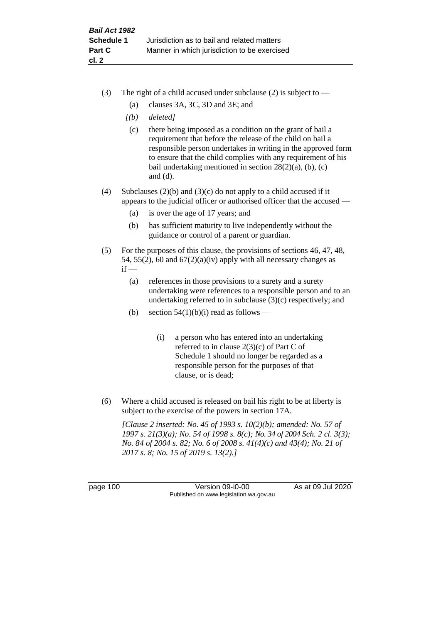- (3) The right of a child accused under subclause (2) is subject to  $-$ 
	- (a) clauses 3A, 3C, 3D and 3E; and
	- *[(b) deleted]*
	- (c) there being imposed as a condition on the grant of bail a requirement that before the release of the child on bail a responsible person undertakes in writing in the approved form to ensure that the child complies with any requirement of his bail undertaking mentioned in section  $28(2)(a)$ , (b), (c) and (d).
- (4) Subclauses (2)(b) and (3)(c) do not apply to a child accused if it appears to the judicial officer or authorised officer that the accused —
	- (a) is over the age of 17 years; and
	- (b) has sufficient maturity to live independently without the guidance or control of a parent or guardian.
- (5) For the purposes of this clause, the provisions of sections 46, 47, 48, 54, 55(2), 60 and  $67(2)(a)(iv)$  apply with all necessary changes as  $if -$ 
	- (a) references in those provisions to a surety and a surety undertaking were references to a responsible person and to an undertaking referred to in subclause (3)(c) respectively; and
	- (b) section  $54(1)(b)(i)$  read as follows
		- (i) a person who has entered into an undertaking referred to in clause 2(3)(c) of Part C of Schedule 1 should no longer be regarded as a responsible person for the purposes of that clause, or is dead;
- (6) Where a child accused is released on bail his right to be at liberty is subject to the exercise of the powers in section 17A.

*[Clause 2 inserted: No. 45 of 1993 s. 10(2)(b); amended: No. 57 of 1997 s. 21(3)(a); No. 54 of 1998 s. 8(c); No. 34 of 2004 Sch. 2 cl. 3(3); No. 84 of 2004 s. 82; No. 6 of 2008 s. 41(4)(c) and 43(4); No. 21 of 2017 s. 8; No. 15 of 2019 s. 13(2).]*

page 100 Version 09-i0-00 As at 09 Jul 2020 Published on www.legislation.wa.gov.au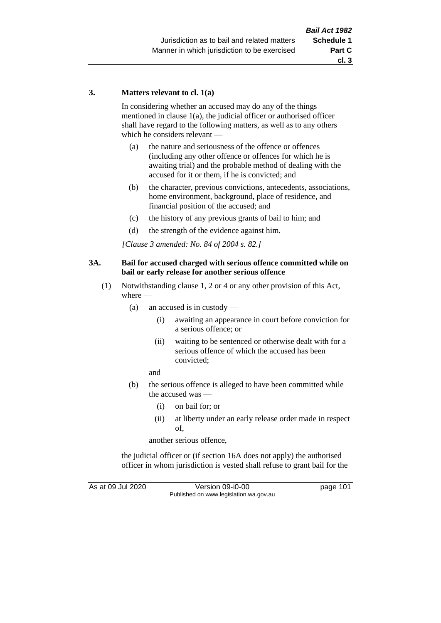#### **3. Matters relevant to cl. 1(a)**

In considering whether an accused may do any of the things mentioned in clause 1(a), the judicial officer or authorised officer shall have regard to the following matters, as well as to any others which he considers relevant —

- (a) the nature and seriousness of the offence or offences (including any other offence or offences for which he is awaiting trial) and the probable method of dealing with the accused for it or them, if he is convicted; and
- (b) the character, previous convictions, antecedents, associations, home environment, background, place of residence, and financial position of the accused; and
- (c) the history of any previous grants of bail to him; and
- (d) the strength of the evidence against him.

*[Clause 3 amended: No. 84 of 2004 s. 82.]*

#### **3A. Bail for accused charged with serious offence committed while on bail or early release for another serious offence**

- (1) Notwithstanding clause 1, 2 or 4 or any other provision of this Act, where —
	- (a) an accused is in custody
		- (i) awaiting an appearance in court before conviction for a serious offence; or
		- (ii) waiting to be sentenced or otherwise dealt with for a serious offence of which the accused has been convicted;

and

- (b) the serious offence is alleged to have been committed while the accused was —
	- (i) on bail for; or
	- (ii) at liberty under an early release order made in respect of,

another serious offence,

the judicial officer or (if section 16A does not apply) the authorised officer in whom jurisdiction is vested shall refuse to grant bail for the

As at 09 Jul 2020 Version 09-i0-00 page 101 Published on www.legislation.wa.gov.au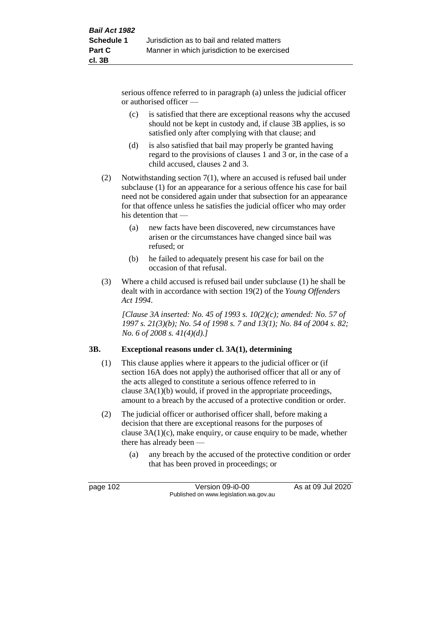serious offence referred to in paragraph (a) unless the judicial officer or authorised officer —

- (c) is satisfied that there are exceptional reasons why the accused should not be kept in custody and, if clause 3B applies, is so satisfied only after complying with that clause; and
- (d) is also satisfied that bail may properly be granted having regard to the provisions of clauses 1 and 3 or, in the case of a child accused, clauses 2 and 3.
- (2) Notwithstanding section 7(1), where an accused is refused bail under subclause (1) for an appearance for a serious offence his case for bail need not be considered again under that subsection for an appearance for that offence unless he satisfies the judicial officer who may order his detention that —
	- (a) new facts have been discovered, new circumstances have arisen or the circumstances have changed since bail was refused; or
	- (b) he failed to adequately present his case for bail on the occasion of that refusal.
- (3) Where a child accused is refused bail under subclause (1) he shall be dealt with in accordance with section 19(2) of the *Young Offenders Act 1994*.

*[Clause 3A inserted: No. 45 of 1993 s. 10(2)(c); amended: No. 57 of 1997 s. 21(3)(b); No. 54 of 1998 s. 7 and 13(1); No. 84 of 2004 s. 82; No. 6 of 2008 s. 41(4)(d).]*

## **3B. Exceptional reasons under cl. 3A(1), determining**

- (1) This clause applies where it appears to the judicial officer or (if section 16A does not apply) the authorised officer that all or any of the acts alleged to constitute a serious offence referred to in clause 3A(1)(b) would, if proved in the appropriate proceedings, amount to a breach by the accused of a protective condition or order.
- (2) The judicial officer or authorised officer shall, before making a decision that there are exceptional reasons for the purposes of clause 3A(1)(c), make enquiry, or cause enquiry to be made, whether there has already been —
	- (a) any breach by the accused of the protective condition or order that has been proved in proceedings; or

page 102 Version 09-i0-00 As at 09 Jul 2020 Published on www.legislation.wa.gov.au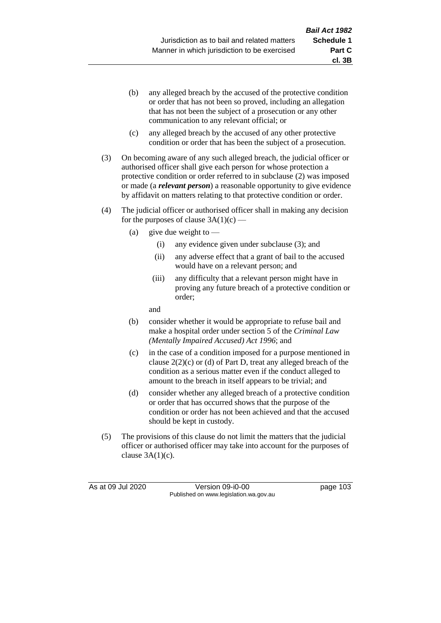- (b) any alleged breach by the accused of the protective condition or order that has not been so proved, including an allegation that has not been the subject of a prosecution or any other communication to any relevant official; or
- (c) any alleged breach by the accused of any other protective condition or order that has been the subject of a prosecution.
- (3) On becoming aware of any such alleged breach, the judicial officer or authorised officer shall give each person for whose protection a protective condition or order referred to in subclause (2) was imposed or made (a *relevant person*) a reasonable opportunity to give evidence by affidavit on matters relating to that protective condition or order.
- (4) The judicial officer or authorised officer shall in making any decision for the purposes of clause  $3A(1)(c)$  —
	- (a) give due weight to  $-$ 
		- (i) any evidence given under subclause (3); and
		- (ii) any adverse effect that a grant of bail to the accused would have on a relevant person; and
		- (iii) any difficulty that a relevant person might have in proving any future breach of a protective condition or order;

and

- (b) consider whether it would be appropriate to refuse bail and make a hospital order under section 5 of the *Criminal Law (Mentally Impaired Accused) Act 1996*; and
- (c) in the case of a condition imposed for a purpose mentioned in clause  $2(2)(c)$  or (d) of Part D, treat any alleged breach of the condition as a serious matter even if the conduct alleged to amount to the breach in itself appears to be trivial; and
- (d) consider whether any alleged breach of a protective condition or order that has occurred shows that the purpose of the condition or order has not been achieved and that the accused should be kept in custody.
- (5) The provisions of this clause do not limit the matters that the judicial officer or authorised officer may take into account for the purposes of clause  $3A(1)(c)$ .

As at 09 Jul 2020 Version 09-i0-00 page 103 Published on www.legislation.wa.gov.au

**cl. 3B**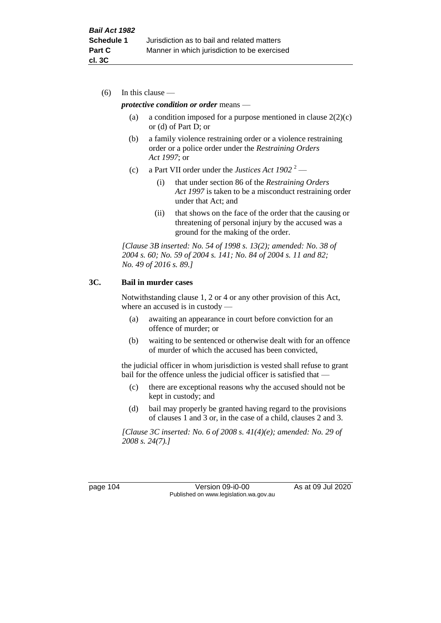(6) In this clause —

#### *protective condition or order* means —

- (a) a condition imposed for a purpose mentioned in clause  $2(2)(c)$ or (d) of Part D; or
- (b) a family violence restraining order or a violence restraining order or a police order under the *Restraining Orders Act 1997*; or
- (c) a Part VII order under the *Justices Act 1902* <sup>2</sup>
	- (i) that under section 86 of the *Restraining Orders Act 1997* is taken to be a misconduct restraining order under that Act; and
	- (ii) that shows on the face of the order that the causing or threatening of personal injury by the accused was a ground for the making of the order.

*[Clause 3B inserted: No. 54 of 1998 s. 13(2); amended: No. 38 of 2004 s. 60; No. 59 of 2004 s. 141; No. 84 of 2004 s. 11 and 82; No. 49 of 2016 s. 89.]*

## **3C. Bail in murder cases**

Notwithstanding clause 1, 2 or 4 or any other provision of this Act, where an accused is in custody —

- (a) awaiting an appearance in court before conviction for an offence of murder; or
- (b) waiting to be sentenced or otherwise dealt with for an offence of murder of which the accused has been convicted,

the judicial officer in whom jurisdiction is vested shall refuse to grant bail for the offence unless the judicial officer is satisfied that —

- (c) there are exceptional reasons why the accused should not be kept in custody; and
- (d) bail may properly be granted having regard to the provisions of clauses 1 and 3 or, in the case of a child, clauses 2 and 3.

*[Clause 3C inserted: No. 6 of 2008 s. 41(4)(e); amended: No. 29 of 2008 s. 24(7).]*

page 104 Version 09-i0-00 As at 09 Jul 2020 Published on www.legislation.wa.gov.au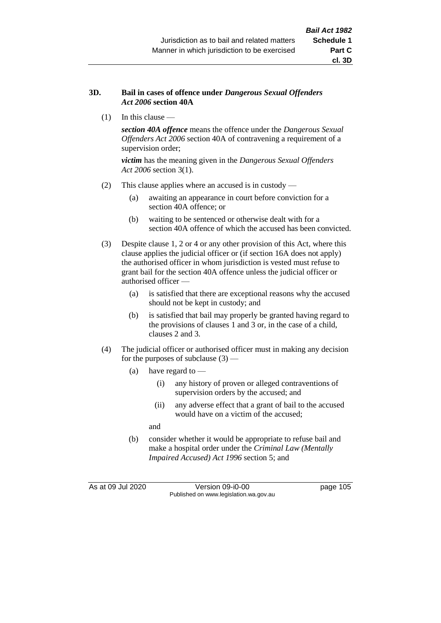## **3D. Bail in cases of offence under** *Dangerous Sexual Offenders Act 2006* **section 40A**

(1) In this clause —

*section 40A offence* means the offence under the *Dangerous Sexual Offenders Act 2006* section 40A of contravening a requirement of a supervision order;

*victim* has the meaning given in the *Dangerous Sexual Offenders Act 2006* section 3(1).

- (2) This clause applies where an accused is in custody
	- (a) awaiting an appearance in court before conviction for a section 40A offence; or
	- (b) waiting to be sentenced or otherwise dealt with for a section 40A offence of which the accused has been convicted.
- (3) Despite clause 1, 2 or 4 or any other provision of this Act, where this clause applies the judicial officer or (if section 16A does not apply) the authorised officer in whom jurisdiction is vested must refuse to grant bail for the section 40A offence unless the judicial officer or authorised officer —
	- (a) is satisfied that there are exceptional reasons why the accused should not be kept in custody; and
	- (b) is satisfied that bail may properly be granted having regard to the provisions of clauses 1 and 3 or, in the case of a child, clauses 2 and 3.
- (4) The judicial officer or authorised officer must in making any decision for the purposes of subclause  $(3)$  —
	- (a) have regard to
		- (i) any history of proven or alleged contraventions of supervision orders by the accused; and
		- (ii) any adverse effect that a grant of bail to the accused would have on a victim of the accused;

and

(b) consider whether it would be appropriate to refuse bail and make a hospital order under the *Criminal Law (Mentally Impaired Accused) Act 1996* section 5; and

As at 09 Jul 2020 Version 09-i0-00 page 105 Published on www.legislation.wa.gov.au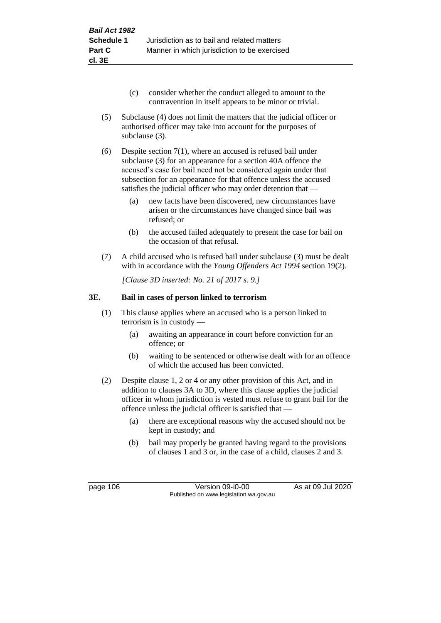- (c) consider whether the conduct alleged to amount to the contravention in itself appears to be minor or trivial.
- (5) Subclause (4) does not limit the matters that the judicial officer or authorised officer may take into account for the purposes of subclause (3).
- (6) Despite section 7(1), where an accused is refused bail under subclause (3) for an appearance for a section 40A offence the accused's case for bail need not be considered again under that subsection for an appearance for that offence unless the accused satisfies the judicial officer who may order detention that —
	- (a) new facts have been discovered, new circumstances have arisen or the circumstances have changed since bail was refused; or
	- (b) the accused failed adequately to present the case for bail on the occasion of that refusal.
- (7) A child accused who is refused bail under subclause (3) must be dealt with in accordance with the *Young Offenders Act 1994* section 19(2).

*[Clause 3D inserted: No. 21 of 2017 s. 9.]*

## **3E. Bail in cases of person linked to terrorism**

- (1) This clause applies where an accused who is a person linked to terrorism is in custody —
	- (a) awaiting an appearance in court before conviction for an offence; or
	- (b) waiting to be sentenced or otherwise dealt with for an offence of which the accused has been convicted.
- (2) Despite clause 1, 2 or 4 or any other provision of this Act, and in addition to clauses 3A to 3D, where this clause applies the judicial officer in whom jurisdiction is vested must refuse to grant bail for the offence unless the judicial officer is satisfied that —
	- (a) there are exceptional reasons why the accused should not be kept in custody; and
	- (b) bail may properly be granted having regard to the provisions of clauses 1 and 3 or, in the case of a child, clauses 2 and 3.

page 106 Version 09-i0-00 As at 09 Jul 2020 Published on www.legislation.wa.gov.au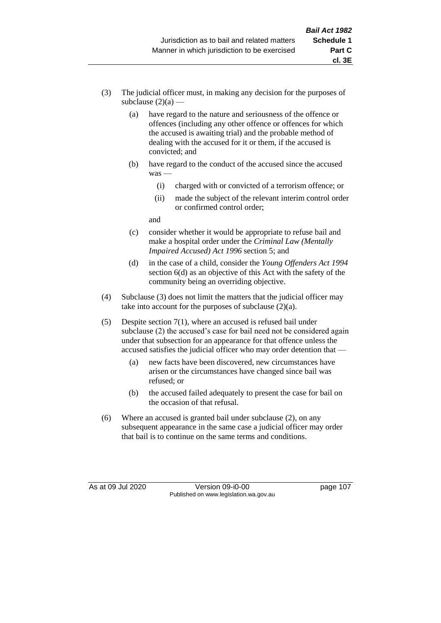- (3) The judicial officer must, in making any decision for the purposes of subclause  $(2)(a)$  —
	- (a) have regard to the nature and seriousness of the offence or offences (including any other offence or offences for which the accused is awaiting trial) and the probable method of dealing with the accused for it or them, if the accused is convicted; and
	- (b) have regard to the conduct of the accused since the accused was —
		- (i) charged with or convicted of a terrorism offence; or
		- (ii) made the subject of the relevant interim control order or confirmed control order;

and

- (c) consider whether it would be appropriate to refuse bail and make a hospital order under the *Criminal Law (Mentally Impaired Accused) Act 1996* section 5; and
- (d) in the case of a child, consider the *Young Offenders Act 1994* section 6(d) as an objective of this Act with the safety of the community being an overriding objective.
- (4) Subclause (3) does not limit the matters that the judicial officer may take into account for the purposes of subclause (2)(a).
- (5) Despite section 7(1), where an accused is refused bail under subclause (2) the accused's case for bail need not be considered again under that subsection for an appearance for that offence unless the accused satisfies the judicial officer who may order detention that —
	- (a) new facts have been discovered, new circumstances have arisen or the circumstances have changed since bail was refused; or
	- (b) the accused failed adequately to present the case for bail on the occasion of that refusal.
- (6) Where an accused is granted bail under subclause (2), on any subsequent appearance in the same case a judicial officer may order that bail is to continue on the same terms and conditions.

As at 09 Jul 2020 Version 09-i0-00 page 107 Published on www.legislation.wa.gov.au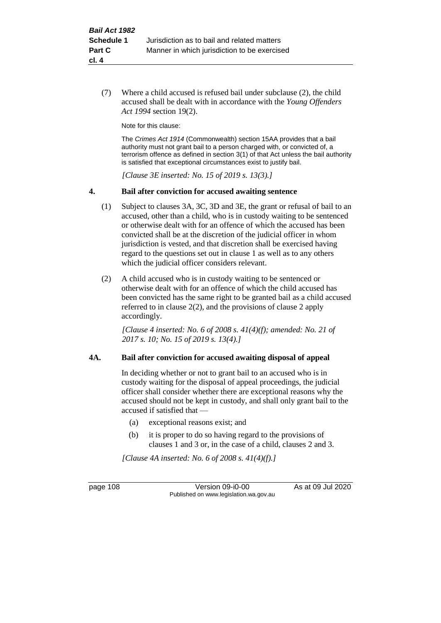(7) Where a child accused is refused bail under subclause (2), the child accused shall be dealt with in accordance with the *Young Offenders Act 1994* section 19(2).

Note for this clause:

The *Crimes Act 1914* (Commonwealth) section 15AA provides that a bail authority must not grant bail to a person charged with, or convicted of, a terrorism offence as defined in section 3(1) of that Act unless the bail authority is satisfied that exceptional circumstances exist to justify bail.

*[Clause 3E inserted: No. 15 of 2019 s. 13(3).]*

#### **4. Bail after conviction for accused awaiting sentence**

- (1) Subject to clauses 3A, 3C, 3D and 3E, the grant or refusal of bail to an accused, other than a child, who is in custody waiting to be sentenced or otherwise dealt with for an offence of which the accused has been convicted shall be at the discretion of the judicial officer in whom jurisdiction is vested, and that discretion shall be exercised having regard to the questions set out in clause 1 as well as to any others which the judicial officer considers relevant.
- (2) A child accused who is in custody waiting to be sentenced or otherwise dealt with for an offence of which the child accused has been convicted has the same right to be granted bail as a child accused referred to in clause 2(2), and the provisions of clause 2 apply accordingly.

*[Clause 4 inserted: No. 6 of 2008 s. 41(4)(f); amended: No. 21 of 2017 s. 10; No. 15 of 2019 s. 13(4).]*

#### **4A. Bail after conviction for accused awaiting disposal of appeal**

In deciding whether or not to grant bail to an accused who is in custody waiting for the disposal of appeal proceedings, the judicial officer shall consider whether there are exceptional reasons why the accused should not be kept in custody, and shall only grant bail to the accused if satisfied that —

- (a) exceptional reasons exist; and
- (b) it is proper to do so having regard to the provisions of clauses 1 and 3 or, in the case of a child, clauses 2 and 3.

*[Clause 4A inserted: No. 6 of 2008 s. 41(4)(f).]*

page 108 Version 09-i0-00 As at 09 Jul 2020 Published on www.legislation.wa.gov.au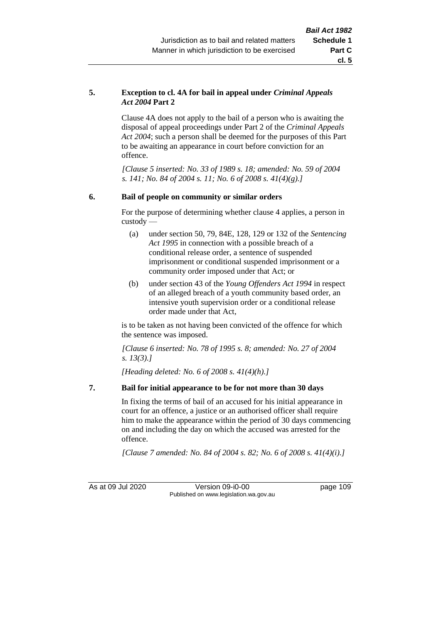## **5. Exception to cl. 4A for bail in appeal under** *Criminal Appeals Act 2004* **Part 2**

Clause 4A does not apply to the bail of a person who is awaiting the disposal of appeal proceedings under Part 2 of the *Criminal Appeals Act 2004*; such a person shall be deemed for the purposes of this Part to be awaiting an appearance in court before conviction for an offence.

*[Clause 5 inserted: No. 33 of 1989 s. 18; amended: No. 59 of 2004 s. 141; No. 84 of 2004 s. 11; No. 6 of 2008 s. 41(4)(g).]*

## **6. Bail of people on community or similar orders**

For the purpose of determining whether clause 4 applies, a person in custody —

- (a) under section 50, 79, 84E, 128, 129 or 132 of the *Sentencing Act 1995* in connection with a possible breach of a conditional release order, a sentence of suspended imprisonment or conditional suspended imprisonment or a community order imposed under that Act; or
- (b) under section 43 of the *Young Offenders Act 1994* in respect of an alleged breach of a youth community based order, an intensive youth supervision order or a conditional release order made under that Act,

is to be taken as not having been convicted of the offence for which the sentence was imposed.

*[Clause 6 inserted: No. 78 of 1995 s. 8; amended: No. 27 of 2004 s. 13(3).]*

*[Heading deleted: No. 6 of 2008 s. 41(4)(h).]*

## **7. Bail for initial appearance to be for not more than 30 days**

In fixing the terms of bail of an accused for his initial appearance in court for an offence, a justice or an authorised officer shall require him to make the appearance within the period of 30 days commencing on and including the day on which the accused was arrested for the offence.

*[Clause 7 amended: No. 84 of 2004 s. 82; No. 6 of 2008 s. 41(4)(i).]*

As at 09 Jul 2020 Version 09-i0-00 page 109 Published on www.legislation.wa.gov.au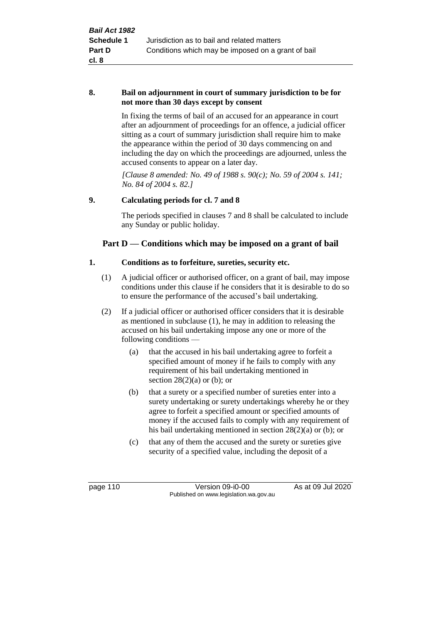#### **8. Bail on adjournment in court of summary jurisdiction to be for not more than 30 days except by consent**

In fixing the terms of bail of an accused for an appearance in court after an adjournment of proceedings for an offence, a judicial officer sitting as a court of summary jurisdiction shall require him to make the appearance within the period of 30 days commencing on and including the day on which the proceedings are adjourned, unless the accused consents to appear on a later day.

*[Clause 8 amended: No. 49 of 1988 s. 90(c); No. 59 of 2004 s. 141; No. 84 of 2004 s. 82.]*

## **9. Calculating periods for cl. 7 and 8**

The periods specified in clauses 7 and 8 shall be calculated to include any Sunday or public holiday.

## **Part D — Conditions which may be imposed on a grant of bail**

## **1. Conditions as to forfeiture, sureties, security etc.**

- (1) A judicial officer or authorised officer, on a grant of bail, may impose conditions under this clause if he considers that it is desirable to do so to ensure the performance of the accused's bail undertaking.
- (2) If a judicial officer or authorised officer considers that it is desirable as mentioned in subclause (1), he may in addition to releasing the accused on his bail undertaking impose any one or more of the following conditions —
	- (a) that the accused in his bail undertaking agree to forfeit a specified amount of money if he fails to comply with any requirement of his bail undertaking mentioned in section  $28(2)(a)$  or (b); or
	- (b) that a surety or a specified number of sureties enter into a surety undertaking or surety undertakings whereby he or they agree to forfeit a specified amount or specified amounts of money if the accused fails to comply with any requirement of his bail undertaking mentioned in section 28(2)(a) or (b); or
	- (c) that any of them the accused and the surety or sureties give security of a specified value, including the deposit of a

page 110 Version 09-i0-00 As at 09 Jul 2020 Published on www.legislation.wa.gov.au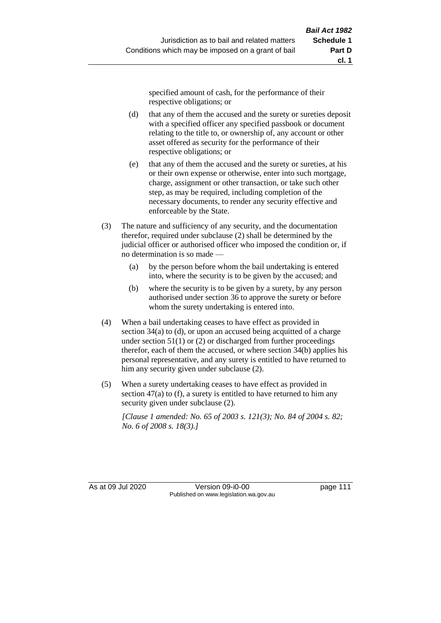specified amount of cash, for the performance of their respective obligations; or

- (d) that any of them the accused and the surety or sureties deposit with a specified officer any specified passbook or document relating to the title to, or ownership of, any account or other asset offered as security for the performance of their respective obligations; or
- (e) that any of them the accused and the surety or sureties, at his or their own expense or otherwise, enter into such mortgage, charge, assignment or other transaction, or take such other step, as may be required, including completion of the necessary documents, to render any security effective and enforceable by the State.
- (3) The nature and sufficiency of any security, and the documentation therefor, required under subclause (2) shall be determined by the judicial officer or authorised officer who imposed the condition or, if no determination is so made —
	- (a) by the person before whom the bail undertaking is entered into, where the security is to be given by the accused; and
	- (b) where the security is to be given by a surety, by any person authorised under section 36 to approve the surety or before whom the surety undertaking is entered into.
- (4) When a bail undertaking ceases to have effect as provided in section 34(a) to (d), or upon an accused being acquitted of a charge under section  $51(1)$  or (2) or discharged from further proceedings therefor, each of them the accused, or where section 34(b) applies his personal representative, and any surety is entitled to have returned to him any security given under subclause (2).
- (5) When a surety undertaking ceases to have effect as provided in section 47(a) to (f), a surety is entitled to have returned to him any security given under subclause (2).

*[Clause 1 amended: No. 65 of 2003 s. 121(3); No. 84 of 2004 s. 82; No. 6 of 2008 s. 18(3).]*

As at 09 Jul 2020 Version 09-i0-00 page 111 Published on www.legislation.wa.gov.au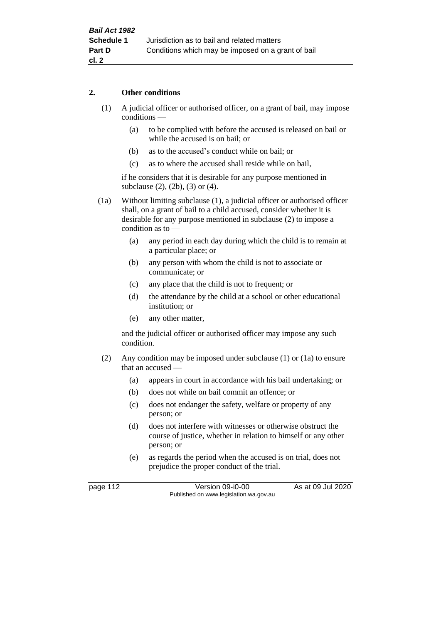## **2. Other conditions**

- (1) A judicial officer or authorised officer, on a grant of bail, may impose conditions —
	- (a) to be complied with before the accused is released on bail or while the accused is on bail; or
	- (b) as to the accused's conduct while on bail; or
	- (c) as to where the accused shall reside while on bail,

if he considers that it is desirable for any purpose mentioned in subclause (2), (2b), (3) or (4).

(1a) Without limiting subclause (1), a judicial officer or authorised officer shall, on a grant of bail to a child accused, consider whether it is desirable for any purpose mentioned in subclause (2) to impose a condition as to —

- (a) any period in each day during which the child is to remain at a particular place; or
- (b) any person with whom the child is not to associate or communicate; or
- (c) any place that the child is not to frequent; or
- (d) the attendance by the child at a school or other educational institution; or
- (e) any other matter,

and the judicial officer or authorised officer may impose any such condition.

- (2) Any condition may be imposed under subclause (1) or (1a) to ensure that an accused —
	- (a) appears in court in accordance with his bail undertaking; or
	- (b) does not while on bail commit an offence; or
	- (c) does not endanger the safety, welfare or property of any person; or
	- (d) does not interfere with witnesses or otherwise obstruct the course of justice, whether in relation to himself or any other person; or
	- (e) as regards the period when the accused is on trial, does not prejudice the proper conduct of the trial.

page 112 Version 09-i0-00 As at 09 Jul 2020 Published on www.legislation.wa.gov.au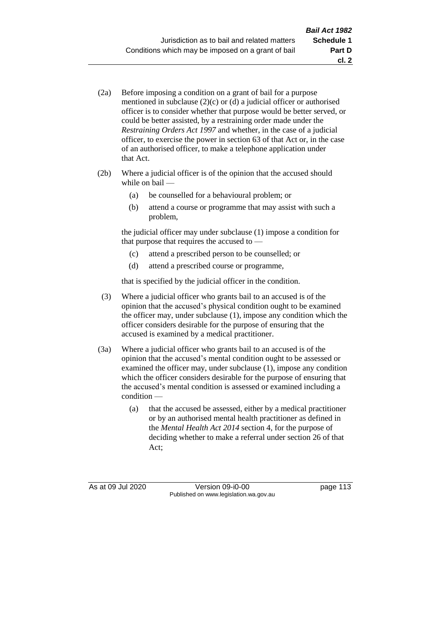- (2a) Before imposing a condition on a grant of bail for a purpose mentioned in subclause (2)(c) or (d) a judicial officer or authorised officer is to consider whether that purpose would be better served, or could be better assisted, by a restraining order made under the *Restraining Orders Act 1997* and whether, in the case of a judicial officer, to exercise the power in section 63 of that Act or, in the case of an authorised officer, to make a telephone application under that Act.
- (2b) Where a judicial officer is of the opinion that the accused should while on bail —
	- (a) be counselled for a behavioural problem; or
	- (b) attend a course or programme that may assist with such a problem,

the judicial officer may under subclause (1) impose a condition for that purpose that requires the accused to —

- (c) attend a prescribed person to be counselled; or
- (d) attend a prescribed course or programme,

that is specified by the judicial officer in the condition.

- (3) Where a judicial officer who grants bail to an accused is of the opinion that the accused's physical condition ought to be examined the officer may, under subclause (1), impose any condition which the officer considers desirable for the purpose of ensuring that the accused is examined by a medical practitioner.
- (3a) Where a judicial officer who grants bail to an accused is of the opinion that the accused's mental condition ought to be assessed or examined the officer may, under subclause (1), impose any condition which the officer considers desirable for the purpose of ensuring that the accused's mental condition is assessed or examined including a condition —
	- (a) that the accused be assessed, either by a medical practitioner or by an authorised mental health practitioner as defined in the *Mental Health Act 2014* section 4, for the purpose of deciding whether to make a referral under section 26 of that Act;

As at 09 Jul 2020 Version 09-i0-00 page 113 Published on www.legislation.wa.gov.au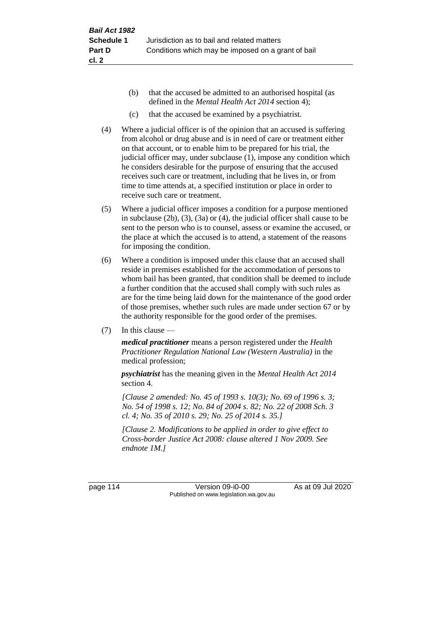- (b) that the accused be admitted to an authorised hospital (as defined in the *Mental Health Act 2014* section 4);
- (c) that the accused be examined by a psychiatrist.
- (4) Where a judicial officer is of the opinion that an accused is suffering from alcohol or drug abuse and is in need of care or treatment either on that account, or to enable him to be prepared for his trial, the judicial officer may, under subclause (1), impose any condition which he considers desirable for the purpose of ensuring that the accused receives such care or treatment, including that he lives in, or from time to time attends at, a specified institution or place in order to receive such care or treatment.
- (5) Where a judicial officer imposes a condition for a purpose mentioned in subclause (2b), (3), (3a) or (4), the judicial officer shall cause to be sent to the person who is to counsel, assess or examine the accused, or the place at which the accused is to attend, a statement of the reasons for imposing the condition.
- (6) Where a condition is imposed under this clause that an accused shall reside in premises established for the accommodation of persons to whom bail has been granted, that condition shall be deemed to include a further condition that the accused shall comply with such rules as are for the time being laid down for the maintenance of the good order of those premises, whether such rules are made under section 67 or by the authority responsible for the good order of the premises.
- (7) In this clause —

*medical practitioner* means a person registered under the *Health Practitioner Regulation National Law (Western Australia)* in the medical profession;

*psychiatrist* has the meaning given in the *Mental Health Act 2014* section 4.

*[Clause 2 amended: No. 45 of 1993 s. 10(3); No. 69 of 1996 s. 3; No. 54 of 1998 s. 12; No. 84 of 2004 s. 82; No. 22 of 2008 Sch. 3 cl. 4; No. 35 of 2010 s. 29; No. 25 of 2014 s. 35.]*

*[Clause 2. Modifications to be applied in order to give effect to Cross-border Justice Act 2008: clause altered 1 Nov 2009. See endnote 1M.]*

page 114 Version 09-i0-00 As at 09 Jul 2020 Published on www.legislation.wa.gov.au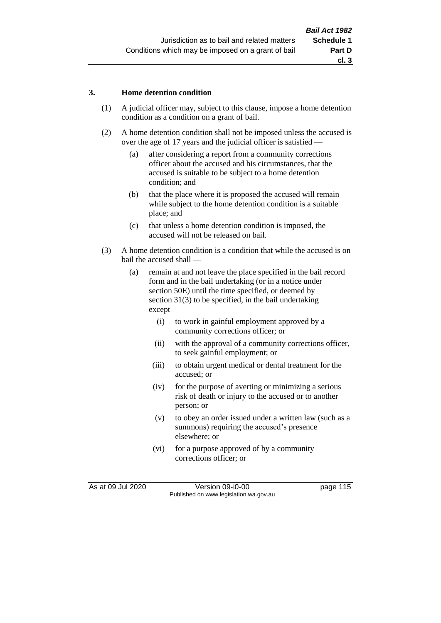#### **3. Home detention condition**

- (1) A judicial officer may, subject to this clause, impose a home detention condition as a condition on a grant of bail.
- (2) A home detention condition shall not be imposed unless the accused is over the age of 17 years and the judicial officer is satisfied —
	- (a) after considering a report from a community corrections officer about the accused and his circumstances, that the accused is suitable to be subject to a home detention condition; and
	- (b) that the place where it is proposed the accused will remain while subject to the home detention condition is a suitable place; and
	- (c) that unless a home detention condition is imposed, the accused will not be released on bail.
- (3) A home detention condition is a condition that while the accused is on bail the accused shall —
	- (a) remain at and not leave the place specified in the bail record form and in the bail undertaking (or in a notice under section 50E) until the time specified, or deemed by section 31(3) to be specified, in the bail undertaking except —
		- (i) to work in gainful employment approved by a community corrections officer; or
		- (ii) with the approval of a community corrections officer, to seek gainful employment; or
		- (iii) to obtain urgent medical or dental treatment for the accused; or
		- (iv) for the purpose of averting or minimizing a serious risk of death or injury to the accused or to another person; or
		- (v) to obey an order issued under a written law (such as a summons) requiring the accused's presence elsewhere; or
		- (vi) for a purpose approved of by a community corrections officer; or

As at 09 Jul 2020 Version 09-i0-00 page 115 Published on www.legislation.wa.gov.au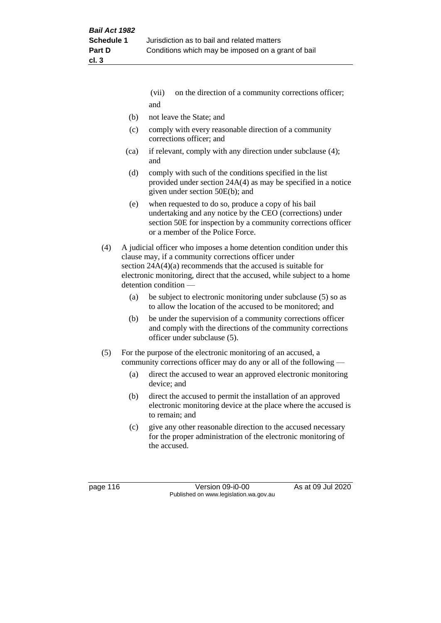- (vii) on the direction of a community corrections officer; and
- (b) not leave the State; and
- (c) comply with every reasonable direction of a community corrections officer; and
- (ca) if relevant, comply with any direction under subclause (4); and
- (d) comply with such of the conditions specified in the list provided under section 24A(4) as may be specified in a notice given under section 50E(b); and
- (e) when requested to do so, produce a copy of his bail undertaking and any notice by the CEO (corrections) under section 50E for inspection by a community corrections officer or a member of the Police Force.
- (4) A judicial officer who imposes a home detention condition under this clause may, if a community corrections officer under section 24A(4)(a) recommends that the accused is suitable for electronic monitoring, direct that the accused, while subject to a home detention condition —
	- (a) be subject to electronic monitoring under subclause (5) so as to allow the location of the accused to be monitored; and
	- (b) be under the supervision of a community corrections officer and comply with the directions of the community corrections officer under subclause (5).
- (5) For the purpose of the electronic monitoring of an accused, a community corrections officer may do any or all of the following —
	- (a) direct the accused to wear an approved electronic monitoring device; and
	- (b) direct the accused to permit the installation of an approved electronic monitoring device at the place where the accused is to remain; and
	- (c) give any other reasonable direction to the accused necessary for the proper administration of the electronic monitoring of the accused.

page 116 Version 09-i0-00 As at 09 Jul 2020 Published on www.legislation.wa.gov.au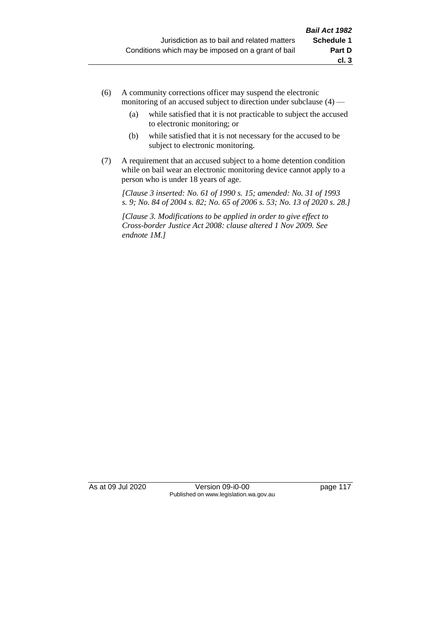- (6) A community corrections officer may suspend the electronic monitoring of an accused subject to direction under subclause (4) —
	- (a) while satisfied that it is not practicable to subject the accused to electronic monitoring; or
	- (b) while satisfied that it is not necessary for the accused to be subject to electronic monitoring.
- (7) A requirement that an accused subject to a home detention condition while on bail wear an electronic monitoring device cannot apply to a person who is under 18 years of age.

*[Clause 3 inserted: No. 61 of 1990 s. 15; amended: No. 31 of 1993 s. 9; No. 84 of 2004 s. 82; No. 65 of 2006 s. 53; No. 13 of 2020 s. 28.]*

*[Clause 3. Modifications to be applied in order to give effect to Cross-border Justice Act 2008: clause altered 1 Nov 2009. See endnote 1M.]*

As at 09 Jul 2020 Version 09-i0-00 page 117 Published on www.legislation.wa.gov.au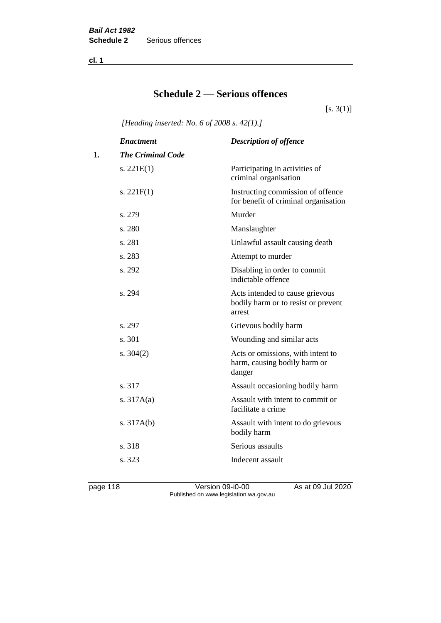**cl. 1**

## **Schedule 2 — Serious offences**

 $[s. 3(1)]$ 

*[Heading inserted: No. 6 of 2008 s. 42(1).]*

|    | <b>Enactment</b>         | <b>Description of offence</b>                                                    |
|----|--------------------------|----------------------------------------------------------------------------------|
| 1. | <b>The Criminal Code</b> |                                                                                  |
|    | s. $221E(1)$             | Participating in activities of<br>criminal organisation                          |
|    | s. $221F(1)$             | Instructing commission of offence<br>for benefit of criminal organisation        |
|    | s. 279                   | Murder                                                                           |
|    | s. 280                   | Manslaughter                                                                     |
|    | s. 281                   | Unlawful assault causing death                                                   |
|    | s. 283                   | Attempt to murder                                                                |
|    | s. 292                   | Disabling in order to commit<br>indictable offence                               |
|    | s. 294                   | Acts intended to cause grievous<br>bodily harm or to resist or prevent<br>arrest |
|    | s. 297                   | Grievous bodily harm                                                             |
|    | s. 301                   | Wounding and similar acts                                                        |
|    | s. $304(2)$              | Acts or omissions, with intent to<br>harm, causing bodily harm or<br>danger      |
|    | s. 317                   | Assault occasioning bodily harm                                                  |
|    | s. $317A(a)$             | Assault with intent to commit or<br>facilitate a crime                           |
|    | s. $317A(b)$             | Assault with intent to do grievous<br>bodily harm                                |
|    | s. 318                   | Serious assaults                                                                 |
|    | s. 323                   | Indecent assault                                                                 |
|    |                          |                                                                                  |

page 118 Version 09-i0-00 As at 09 Jul 2020 Published on www.legislation.wa.gov.au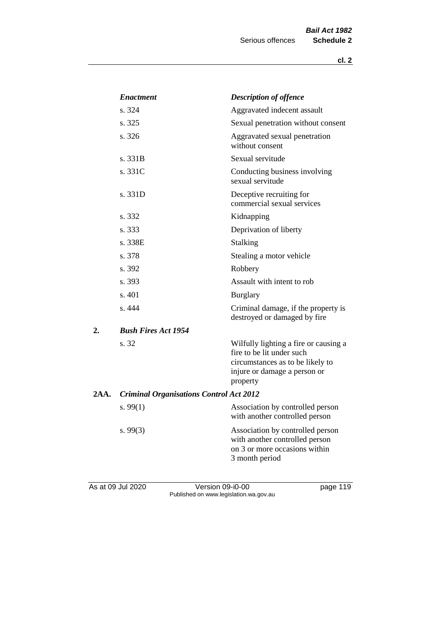|      | <b>Enactment</b>                               | <b>Description of offence</b>                                                                                                                      |
|------|------------------------------------------------|----------------------------------------------------------------------------------------------------------------------------------------------------|
|      | s. 324                                         | Aggravated indecent assault                                                                                                                        |
|      | s. 325                                         | Sexual penetration without consent                                                                                                                 |
|      | s. 326                                         | Aggravated sexual penetration<br>without consent                                                                                                   |
|      | s. 331B                                        | Sexual servitude                                                                                                                                   |
|      | s. 331C                                        | Conducting business involving<br>sexual servitude                                                                                                  |
|      | s. 331D                                        | Deceptive recruiting for<br>commercial sexual services                                                                                             |
|      | s. 332                                         | Kidnapping                                                                                                                                         |
|      | s. 333                                         | Deprivation of liberty                                                                                                                             |
|      | s. 338E                                        | <b>Stalking</b>                                                                                                                                    |
|      | s. 378                                         | Stealing a motor vehicle                                                                                                                           |
|      | s. 392                                         | Robbery                                                                                                                                            |
|      | s. 393                                         | Assault with intent to rob                                                                                                                         |
|      | s. 401                                         | <b>Burglary</b>                                                                                                                                    |
|      | s. 444                                         | Criminal damage, if the property is<br>destroyed or damaged by fire                                                                                |
| 2.   | <b>Bush Fires Act 1954</b>                     |                                                                                                                                                    |
|      | s. 32                                          | Wilfully lighting a fire or causing a<br>fire to be lit under such<br>circumstances as to be likely to<br>injure or damage a person or<br>property |
| 2AA. | <b>Criminal Organisations Control Act 2012</b> |                                                                                                                                                    |
|      | s. $99(1)$                                     | Association by controlled person<br>with another controlled person                                                                                 |
|      | s. $99(3)$                                     | Association by controlled person<br>with another controlled person<br>on 3 or more occasions within<br>3 month period                              |
|      |                                                |                                                                                                                                                    |

As at 09 Jul 2020 Version 09-i0-00 page 119 Published on www.legislation.wa.gov.au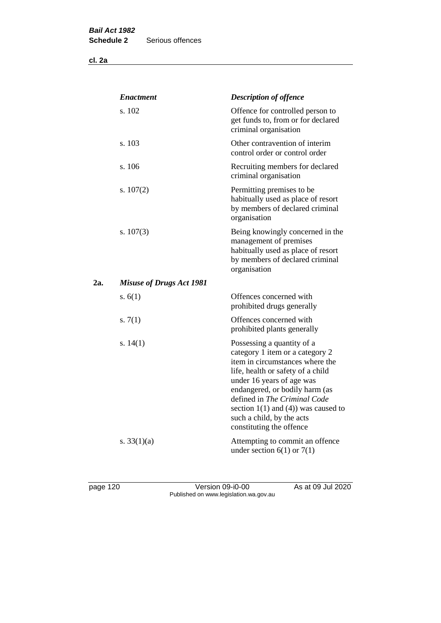**cl. 2a**

|     | <b>Enactment</b>                | <b>Description of offence</b>                                                                                                                                                                                                                                                                                                             |
|-----|---------------------------------|-------------------------------------------------------------------------------------------------------------------------------------------------------------------------------------------------------------------------------------------------------------------------------------------------------------------------------------------|
|     | s. 102                          | Offence for controlled person to<br>get funds to, from or for declared<br>criminal organisation                                                                                                                                                                                                                                           |
|     | s. 103                          | Other contravention of interim<br>control order or control order                                                                                                                                                                                                                                                                          |
|     | s. 106                          | Recruiting members for declared<br>criminal organisation                                                                                                                                                                                                                                                                                  |
|     | s. $107(2)$                     | Permitting premises to be<br>habitually used as place of resort<br>by members of declared criminal<br>organisation                                                                                                                                                                                                                        |
|     | s. $107(3)$                     | Being knowingly concerned in the<br>management of premises<br>habitually used as place of resort<br>by members of declared criminal<br>organisation                                                                                                                                                                                       |
| 2a. | <b>Misuse of Drugs Act 1981</b> |                                                                                                                                                                                                                                                                                                                                           |
|     | s. $6(1)$                       | Offences concerned with<br>prohibited drugs generally                                                                                                                                                                                                                                                                                     |
|     | s. $7(1)$                       | Offences concerned with<br>prohibited plants generally                                                                                                                                                                                                                                                                                    |
|     | s. $14(1)$                      | Possessing a quantity of a<br>category 1 item or a category 2<br>item in circumstances where the<br>life, health or safety of a child<br>under 16 years of age was<br>endangered, or bodily harm (as<br>defined in The Criminal Code<br>section $1(1)$ and $(4)$ ) was caused to<br>such a child, by the acts<br>constituting the offence |
|     | s. $33(1)(a)$                   | Attempting to commit an offence<br>under section $6(1)$ or $7(1)$                                                                                                                                                                                                                                                                         |

page 120 Version 09-i0-00 As at 09 Jul 2020 Published on www.legislation.wa.gov.au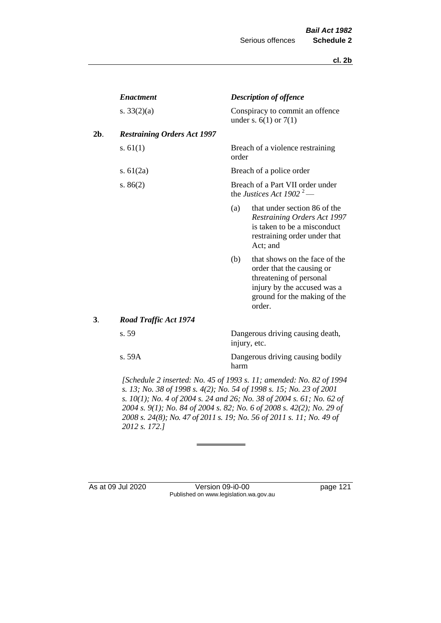|     | <b>Enactment</b>                   |       | <b>Description of offence</b>                                                                                                                                  |
|-----|------------------------------------|-------|----------------------------------------------------------------------------------------------------------------------------------------------------------------|
|     | s. $33(2)(a)$                      |       | Conspiracy to commit an offence<br>under s. $6(1)$ or $7(1)$                                                                                                   |
| 2b. | <b>Restraining Orders Act 1997</b> |       |                                                                                                                                                                |
|     | s. $61(1)$                         | order | Breach of a violence restraining                                                                                                                               |
|     | s. $61(2a)$                        |       | Breach of a police order                                                                                                                                       |
|     | s. $86(2)$                         |       | Breach of a Part VII order under<br>the Justices Act 1902 <sup>2</sup> —                                                                                       |
|     |                                    | (a)   | that under section 86 of the<br>Restraining Orders Act 1997<br>is taken to be a misconduct<br>restraining order under that<br>Act; and                         |
|     |                                    | (b)   | that shows on the face of the<br>order that the causing or<br>threatening of personal<br>injury by the accused was a<br>ground for the making of the<br>order. |
| 3.  | Road Traffic Act 1974              |       |                                                                                                                                                                |
|     | s. 59                              |       | Dangerous driving causing death,<br>injury, etc.                                                                                                               |
|     | s. 59A                             | harm  | Dangerous driving causing bodily                                                                                                                               |
|     |                                    |       |                                                                                                                                                                |

*[Schedule 2 inserted: No. 45 of 1993 s. 11; amended: No. 82 of 1994 s. 13; No. 38 of 1998 s. 4(2); No. 54 of 1998 s. 15; No. 23 of 2001 s. 10(1); No. 4 of 2004 s. 24 and 26; No. 38 of 2004 s. 61; No. 62 of 2004 s. 9(1); No. 84 of 2004 s. 82; No. 6 of 2008 s. 42(2); No. 29 of 2008 s. 24(8); No. 47 of 2011 s. 19; No. 56 of 2011 s. 11; No. 49 of 2012 s. 172.]* 

As at 09 Jul 2020 Version 09-i0-00 page 121 Published on www.legislation.wa.gov.au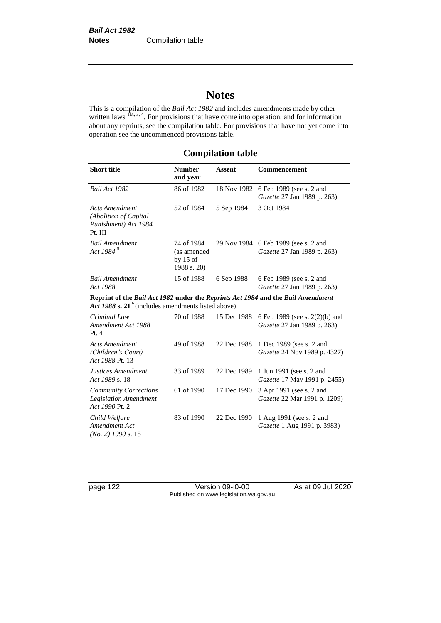# **Notes**

This is a compilation of the *Bail Act 1982* and includes amendments made by other written laws  $1M$ ,  $3, 4$ . For provisions that have come into operation, and for information about any reprints, see the compilation table. For provisions that have not yet come into operation see the uncommenced provisions table.

## **Compilation table**

| <b>Short title</b>                                                                                                                       | <b>Number</b><br>and year                              | <b>Assent</b> | <b>Commencement</b>                                                 |
|------------------------------------------------------------------------------------------------------------------------------------------|--------------------------------------------------------|---------------|---------------------------------------------------------------------|
| Bail Act 1982                                                                                                                            | 86 of 1982                                             | 18 Nov 1982   | 6 Feb 1989 (see s. 2 and<br>Gazette 27 Jan 1989 p. 263)             |
| <b>Acts Amendment</b><br>(Abolition of Capital<br>Punishment) Act 1984<br>Pt. III                                                        | 52 of 1984                                             | 5 Sep 1984    | 3 Oct 1984                                                          |
| <b>Bail Amendment</b><br>Act 1984 <sup>5</sup>                                                                                           | 74 of 1984<br>(as amended<br>by $15$ of<br>1988 s. 20) |               | 29 Nov 1984 6 Feb 1989 (see s. 2 and<br>Gazette 27 Jan 1989 p. 263) |
| <b>Bail Amendment</b><br>Act 1988                                                                                                        | 15 of 1988                                             | 6 Sep 1988    | 6 Feb 1989 (see s. 2 and<br>Gazette 27 Jan 1989 p. 263)             |
| Reprint of the Bail Act 1982 under the Reprints Act 1984 and the Bail Amendment<br>Act 1988 s. $21^6$ (includes amendments listed above) |                                                        |               |                                                                     |
| Criminal Law<br>Amendment Act 1988<br>Pt.4                                                                                               | 70 of 1988                                             | 15 Dec 1988   | 6 Feb 1989 (see s. 2(2)(b) and<br>Gazette 27 Jan 1989 p. 263)       |
| <b>Acts Amendment</b><br>(Children's Court)<br>Act 1988 Pt. 13                                                                           | 49 of 1988                                             | 22 Dec 1988   | 1 Dec 1989 (see s. 2 and<br>Gazette 24 Nov 1989 p. 4327)            |
| Justices Amendment<br>Act 1989 s. 18                                                                                                     | 33 of 1989                                             | 22 Dec 1989   | 1 Jun 1991 (see s. 2 and<br>Gazette 17 May 1991 p. 2455)            |
| <b>Community Corrections</b><br><b>Legislation Amendment</b><br>Act 1990 Pt. 2                                                           | 61 of 1990                                             | 17 Dec 1990   | 3 Apr 1991 (see s. 2 and<br>Gazette 22 Mar 1991 p. 1209)            |
| Child Welfare<br>Amendment Act<br>$(No. 2)$ 1990 s. 15                                                                                   | 83 of 1990                                             | 22 Dec 1990   | 1 Aug 1991 (see s. 2 and<br>Gazette 1 Aug 1991 p. 3983)             |

page 122 Version 09-i0-00 As at 09 Jul 2020 Published on www.legislation.wa.gov.au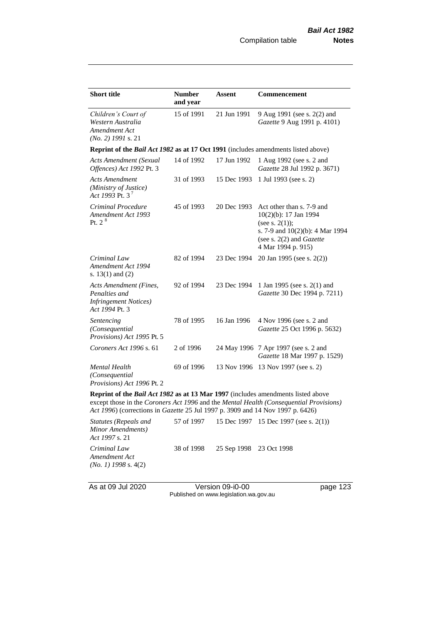| <b>Short title</b>                                                                                                                                                                                                                                           | <b>Number</b> | <b>Assent</b> | Commencement                                                                                                                                                          |  |  |
|--------------------------------------------------------------------------------------------------------------------------------------------------------------------------------------------------------------------------------------------------------------|---------------|---------------|-----------------------------------------------------------------------------------------------------------------------------------------------------------------------|--|--|
|                                                                                                                                                                                                                                                              | and year      |               |                                                                                                                                                                       |  |  |
| Children's Court of<br>Western Australia<br>Amendment Act<br>$(No. 2)$ 1991 s. 21                                                                                                                                                                            | 15 of 1991    | 21 Jun 1991   | 9 Aug 1991 (see s. 2(2) and<br>Gazette 9 Aug 1991 p. 4101)                                                                                                            |  |  |
| Reprint of the <i>Bail Act 1982</i> as at 17 Oct 1991 (includes amendments listed above)                                                                                                                                                                     |               |               |                                                                                                                                                                       |  |  |
| <b>Acts Amendment (Sexual</b><br>Offences) Act 1992 Pt. 3                                                                                                                                                                                                    | 14 of 1992    | 17 Jun 1992   | 1 Aug 1992 (see s. 2 and<br>Gazette 28 Jul 1992 p. 3671)                                                                                                              |  |  |
| Acts Amendment<br>(Ministry of Justice)<br>Act 1993 Pt. 3 <sup>7</sup>                                                                                                                                                                                       | 31 of 1993    | 15 Dec 1993   | 1 Jul 1993 (see s. 2)                                                                                                                                                 |  |  |
| Criminal Procedure<br>Amendment Act 1993<br>Pt. $2^8$                                                                                                                                                                                                        | 45 of 1993    | 20 Dec 1993   | Act other than s. 7-9 and<br>10(2)(b): 17 Jan 1994<br>(see s. $2(1)$ );<br>s. 7-9 and 10(2)(b): 4 Mar 1994<br>(see s. $2(2)$ and <i>Gazette</i><br>4 Mar 1994 p. 915) |  |  |
| Criminal Law<br>Amendment Act 1994<br>s. $13(1)$ and $(2)$                                                                                                                                                                                                   | 82 of 1994    | 23 Dec 1994   | 20 Jan 1995 (see s. 2(2))                                                                                                                                             |  |  |
| Acts Amendment (Fines,<br>Penalties and<br><b>Infringement Notices</b> )<br>Act 1994 Pt. 3                                                                                                                                                                   | 92 of 1994    | 23 Dec 1994   | 1 Jan 1995 (see s. 2(1) and<br>Gazette 30 Dec 1994 p. 7211)                                                                                                           |  |  |
| Sentencing<br>(Consequential<br>Provisions) Act 1995 Pt. 5                                                                                                                                                                                                   | 78 of 1995    | 16 Jan 1996   | 4 Nov 1996 (see s. 2 and<br>Gazette 25 Oct 1996 p. 5632)                                                                                                              |  |  |
| Coroners Act 1996 s. 61                                                                                                                                                                                                                                      | 2 of 1996     |               | 24 May 1996 7 Apr 1997 (see s. 2 and<br>Gazette 18 Mar 1997 p. 1529)                                                                                                  |  |  |
| <b>Mental Health</b><br>(Consequential<br>Provisions) Act 1996 Pt. 2                                                                                                                                                                                         | 69 of 1996    |               | 13 Nov 1996 13 Nov 1997 (see s. 2)                                                                                                                                    |  |  |
| Reprint of the Bail Act 1982 as at 13 Mar 1997 (includes amendments listed above<br>except those in the Coroners Act 1996 and the Mental Health (Consequential Provisions)<br>Act 1996) (corrections in Gazette 25 Jul 1997 p. 3909 and 14 Nov 1997 p. 6426) |               |               |                                                                                                                                                                       |  |  |

| Statutes (Repeals and<br>Minor Amendments)<br><i>Act 1997 s.</i> 21 |            |                         | 57 of 1997 15 Dec 1997 15 Dec 1997 (see s. 2(1)) |
|---------------------------------------------------------------------|------------|-------------------------|--------------------------------------------------|
| Criminal Law<br>Amendment Act<br>$(No. 1)$ 1998 s. 4(2)             | 38 of 1998 | 25 Sep 1998 23 Oct 1998 |                                                  |

As at 09 Jul 2020 Version 09-i0-00 page 123 Published on www.legislation.wa.gov.au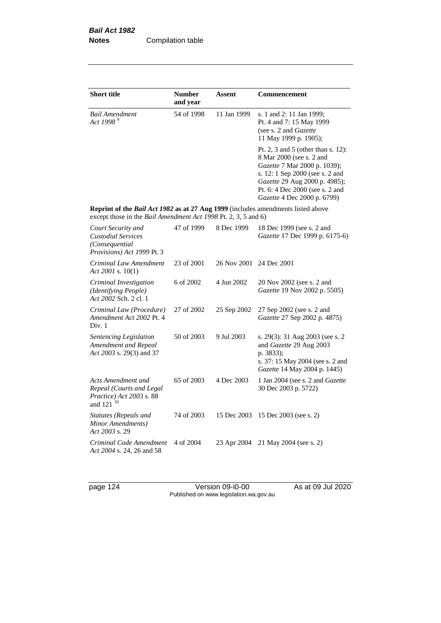| <b>Short title</b>                                                                                                                                 | <b>Number</b><br>and year | Assent      | <b>Commencement</b>                                                                                                                                                                                                                  |
|----------------------------------------------------------------------------------------------------------------------------------------------------|---------------------------|-------------|--------------------------------------------------------------------------------------------------------------------------------------------------------------------------------------------------------------------------------------|
| Bail Amendment<br>Act 1998 <sup>9</sup>                                                                                                            | 54 of 1998                | 11 Jan 1999 | s. 1 and 2: 11 Jan 1999;<br>Pt. 4 and 7: 15 May 1999<br>(see s. 2 and Gazette<br>11 May 1999 p. 1905);                                                                                                                               |
|                                                                                                                                                    |                           |             | Pt. 2, 3 and 5 (other than s. 12):<br>8 Mar 2000 (see s. 2 and<br>Gazette 7 Mar 2000 p. 1039);<br>s. 12: 1 Sep 2000 (see s. 2 and<br>Gazette 29 Aug 2000 p. 4985);<br>Pt. 6: 4 Dec 2000 (see s. 2 and<br>Gazette 4 Dec 2000 p. 6799) |
| Reprint of the Bail Act 1982 as at 27 Aug 1999 (includes amendments listed above<br>except those in the Bail Amendment Act 1998 Pt. 2, 3, 5 and 6) |                           |             |                                                                                                                                                                                                                                      |
| Court Security and<br><b>Custodial Services</b><br>(Consequential<br>Provisions) Act 1999 Pt. 3                                                    | 47 of 1999                | 8 Dec 1999  | 18 Dec 1999 (see s. 2 and<br>Gazette 17 Dec 1999 p. 6175-6)                                                                                                                                                                          |
| Criminal Law Amendment<br>Act 2001 s. $10(1)$                                                                                                      | 23 of 2001                | 26 Nov 2001 | 24 Dec 2001                                                                                                                                                                                                                          |
| Criminal Investigation<br>(Identifying People)<br>Act 2002 Sch. 2 cl. 1                                                                            | 6 of 2002                 | 4 Jun 2002  | 20 Nov 2002 (see s. 2 and<br>Gazette 19 Nov 2002 p. 5505)                                                                                                                                                                            |
| Criminal Law (Procedure)<br>Amendment Act 2002 Pt. 4<br>Div. 1                                                                                     | 27 of 2002                | 25 Sep 2002 | 27 Sep 2002 (see s. 2 and<br>Gazette 27 Sep 2002 p. 4875)                                                                                                                                                                            |
| Sentencing Legislation<br>Amendment and Repeal<br>Act 2003 s. 29(3) and 37                                                                         | 50 of 2003                | 9 Jul 2003  | s. 29(3): 31 Aug 2003 (see s. 2<br>and Gazette 29 Aug 2003<br>p. 3833);<br>s. 37: 15 May 2004 (see s. 2 and<br>Gazette 14 May 2004 p. 1445)                                                                                          |
| Acts Amendment and<br>Repeal (Courts and Legal<br>Practice) Act 2003 s. 88<br>and 121 <sup>10</sup>                                                | 65 of 2003                | 4 Dec 2003  | 1 Jan 2004 (see s. 2 and Gazette<br>30 Dec 2003 p. 5722)                                                                                                                                                                             |
| <b>Statutes (Repeals and</b><br>Minor Amendments)<br>Act 2003 s. 29                                                                                | 74 of 2003                | 15 Dec 2003 | 15 Dec 2003 (see s. 2)                                                                                                                                                                                                               |
| Criminal Code Amendment<br>Act 2004 s. 24, 26 and 58                                                                                               | 4 of 2004                 | 23 Apr 2004 | 21 May 2004 (see s. 2)                                                                                                                                                                                                               |

page 124 Version 09-i0-00 As at 09 Jul 2020 Published on www.legislation.wa.gov.au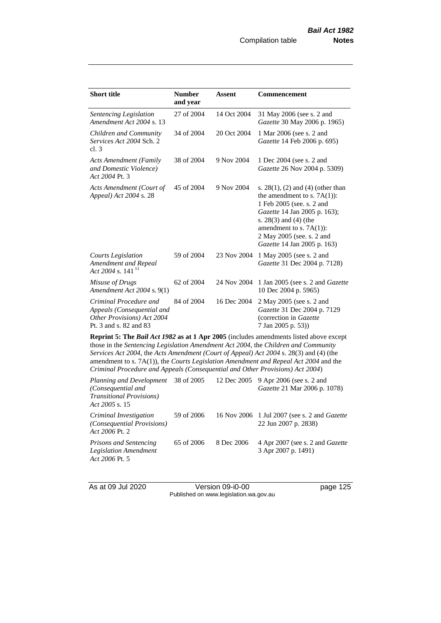| <b>Short title</b>                                                                                                                                                                                                                                                                                                                                                                                                                                                                                                                                   | <b>Number</b><br>and year | <b>Assent</b> | <b>Commencement</b>                                                                                                                                                                                                                                      |  |
|------------------------------------------------------------------------------------------------------------------------------------------------------------------------------------------------------------------------------------------------------------------------------------------------------------------------------------------------------------------------------------------------------------------------------------------------------------------------------------------------------------------------------------------------------|---------------------------|---------------|----------------------------------------------------------------------------------------------------------------------------------------------------------------------------------------------------------------------------------------------------------|--|
| Sentencing Legislation<br>Amendment Act 2004 s. 13                                                                                                                                                                                                                                                                                                                                                                                                                                                                                                   | 27 of 2004                | 14 Oct 2004   | 31 May 2006 (see s. 2 and<br>Gazette 30 May 2006 p. 1965)                                                                                                                                                                                                |  |
| Children and Community<br>Services Act 2004 Sch. 2<br>cl.3                                                                                                                                                                                                                                                                                                                                                                                                                                                                                           | 34 of 2004                | 20 Oct 2004   | 1 Mar 2006 (see s. 2 and<br>Gazette 14 Feb 2006 p. 695)                                                                                                                                                                                                  |  |
| <b>Acts Amendment (Family</b><br>and Domestic Violence)<br>Act 2004 Pt. 3                                                                                                                                                                                                                                                                                                                                                                                                                                                                            | 38 of 2004                | 9 Nov 2004    | 1 Dec 2004 (see s. 2 and<br>Gazette 26 Nov 2004 p. 5309)                                                                                                                                                                                                 |  |
| Acts Amendment (Court of<br>Appeal) Act 2004 s. 28                                                                                                                                                                                                                                                                                                                                                                                                                                                                                                   | 45 of 2004                | 9 Nov 2004    | s. $28(1)$ , (2) and (4) (other than<br>the amendment to s. $7A(1)$ :<br>1 Feb 2005 (see. s. 2 and<br>Gazette 14 Jan 2005 p. 163);<br>s. $28(3)$ and $(4)$ (the<br>amendment to s. $7A(1)$ :<br>2 May 2005 (see. s. 2 and<br>Gazette 14 Jan 2005 p. 163) |  |
| <b>Courts Legislation</b><br>Amendment and Repeal<br>Act 2004 s. 141 <sup>11</sup>                                                                                                                                                                                                                                                                                                                                                                                                                                                                   | 59 of 2004                | 23 Nov 2004   | 1 May 2005 (see s. 2 and<br>Gazette 31 Dec 2004 p. 7128)                                                                                                                                                                                                 |  |
| Misuse of Drugs<br>Amendment Act 2004 s. 9(1)                                                                                                                                                                                                                                                                                                                                                                                                                                                                                                        | 62 of 2004                | 24 Nov 2004   | 1 Jan 2005 (see s. 2 and <i>Gazette</i><br>10 Dec 2004 p. 5965)                                                                                                                                                                                          |  |
| Criminal Procedure and<br>Appeals (Consequential and<br>Other Provisions) Act 2004<br>Pt. 3 and s. 82 and 83                                                                                                                                                                                                                                                                                                                                                                                                                                         | 84 of 2004                | 16 Dec 2004   | 2 May 2005 (see s. 2 and<br>Gazette 31 Dec 2004 p. 7129<br>(correction in Gazette<br>7 Jan 2005 p. 53))                                                                                                                                                  |  |
| <b>Reprint 5: The Bail Act 1982 as at 1 Apr 2005</b> (includes amendments listed above except<br>those in the Sentencing Legislation Amendment Act 2004, the Children and Community<br>Services Act 2004, the Acts Amendment (Court of Appeal) Act 2004 s. 28(3) and (4) (the<br>amendment to s. $7A(1)$ , the <i>Courts Legislation Amendment and Repeal Act</i> 2004 and the<br>Criminal Procedure and Appeals (Consequential and Other Provisions) Act 2004)<br>Planning and Development<br>38 of 2005<br>12 Dec 2005<br>9 Apr 2006 (see s. 2 and |                           |               |                                                                                                                                                                                                                                                          |  |

| $\mu$ randomly and Development - 50 of 2005 - - 12 Dee 2005 - 7 Hpt 2000 (500 s. 2 and<br>(Consequential and<br><i>Transitional Provisions</i> )<br>Act 2005 s. 15 |            |            | <i>Gazette</i> 21 Mar 2006 p. 1078)                                         |
|--------------------------------------------------------------------------------------------------------------------------------------------------------------------|------------|------------|-----------------------------------------------------------------------------|
| Criminal Investigation<br>(Consequential Provisions)<br>Act 2006 Pt. 2                                                                                             | 59 of 2006 |            | 16 Nov 2006 1 Jul 2007 (see s. 2 and <i>Gazette</i><br>22 Jun 2007 p. 2838) |
| <b>Prisons and Sentencing</b><br>Legislation Amendment<br>Act 2006 Pt. 5                                                                                           | 65 of 2006 | 8 Dec 2006 | 4 Apr 2007 (see s. 2 and <i>Gazette</i><br>3 Apr 2007 p. 1491)              |

As at 09 Jul 2020 Version 09-i0-00 page 125 Published on www.legislation.wa.gov.au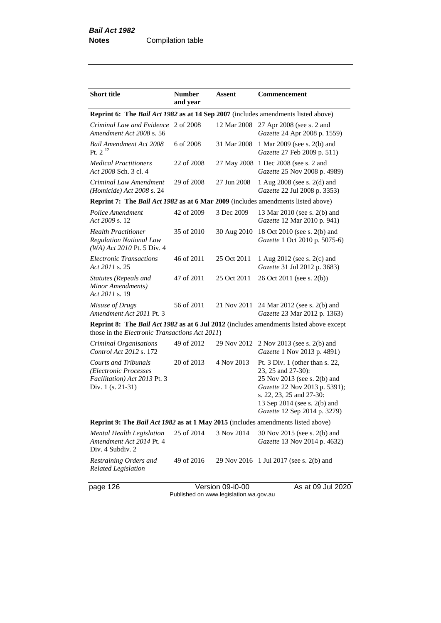| <b>Short title</b>                                                                                                                                      | <b>Number</b><br>and year | Assent      | Commencement                                                                                                                                                                                                         |  |  |
|---------------------------------------------------------------------------------------------------------------------------------------------------------|---------------------------|-------------|----------------------------------------------------------------------------------------------------------------------------------------------------------------------------------------------------------------------|--|--|
| <b>Reprint 6: The Bail Act 1982 as at 14 Sep 2007</b> (includes amendments listed above)                                                                |                           |             |                                                                                                                                                                                                                      |  |  |
| Criminal Law and Evidence<br>Amendment Act 2008 s. 56                                                                                                   | 2 of 2008                 | 12 Mar 2008 | 27 Apr 2008 (see s. 2 and<br>Gazette 24 Apr 2008 p. 1559)                                                                                                                                                            |  |  |
| <b>Bail Amendment Act 2008</b><br>Pt. $2^{12}$                                                                                                          | 6 of 2008                 | 31 Mar 2008 | 1 Mar 2009 (see s. 2(b) and<br>Gazette 27 Feb 2009 p. 511)                                                                                                                                                           |  |  |
| <b>Medical Practitioners</b><br>Act 2008 Sch. 3 cl. 4                                                                                                   | 22 of 2008                | 27 May 2008 | 1 Dec 2008 (see s. 2 and<br>Gazette 25 Nov 2008 p. 4989)                                                                                                                                                             |  |  |
| Criminal Law Amendment<br>(Homicide) Act 2008 s. 24                                                                                                     | 29 of 2008                | 27 Jun 2008 | 1 Aug 2008 (see s. 2(d) and<br>Gazette 22 Jul 2008 p. 3353)                                                                                                                                                          |  |  |
| Reprint 7: The Bail Act 1982 as at 6 Mar 2009 (includes amendments listed above)                                                                        |                           |             |                                                                                                                                                                                                                      |  |  |
| Police Amendment<br>Act 2009 s. 12                                                                                                                      | 42 of 2009                | 3 Dec 2009  | 13 Mar 2010 (see s. 2(b) and<br>Gazette 12 Mar 2010 p. 941)                                                                                                                                                          |  |  |
| <b>Health Practitioner</b><br><b>Regulation National Law</b><br>$(WA)$ Act 2010 Pt. 5 Div. 4                                                            | 35 of 2010                | 30 Aug 2010 | 18 Oct 2010 (see s. 2(b) and<br>Gazette 1 Oct 2010 p. 5075-6)                                                                                                                                                        |  |  |
| <b>Electronic Transactions</b><br>Act 2011 s. 25                                                                                                        | 46 of 2011                | 25 Oct 2011 | 1 Aug 2012 (see s. 2(c) and<br>Gazette 31 Jul 2012 p. 3683)                                                                                                                                                          |  |  |
| <b>Statutes (Repeals and</b><br>Minor Amendments)<br>Act 2011 s. 19                                                                                     | 47 of 2011                | 25 Oct 2011 | 26 Oct 2011 (see s. 2(b))                                                                                                                                                                                            |  |  |
| Misuse of Drugs<br>Amendment Act 2011 Pt. 3                                                                                                             | 56 of 2011                | 21 Nov 2011 | 24 Mar 2012 (see s. 2(b) and<br>Gazette 23 Mar 2012 p. 1363)                                                                                                                                                         |  |  |
| <b>Reprint 8: The Bail Act 1982 as at 6 Jul 2012</b> (includes amendments listed above except<br>those in the <i>Electronic Transactions Act 2011</i> ) |                           |             |                                                                                                                                                                                                                      |  |  |
| Criminal Organisations<br>Control Act 2012 s. 172                                                                                                       | 49 of 2012                | 29 Nov 2012 | 2 Nov 2013 (see s. 2(b) and<br>Gazette 1 Nov 2013 p. 4891)                                                                                                                                                           |  |  |
| <b>Courts and Tribunals</b><br>(Electronic Processes<br>Facilitation) Act 2013 Pt. 3<br>Div. 1 (s. 21-31)                                               | 20 of 2013                | 4 Nov 2013  | Pt. $3$ Div. 1 (other than s. 22,<br>23, 25 and 27-30):<br>25 Nov 2013 (see s. 2(b) and<br>Gazette 22 Nov 2013 p. 5391);<br>s. 22, 23, 25 and 27-30:<br>13 Sep 2014 (see s. 2(b) and<br>Gazette 12 Sep 2014 p. 3279) |  |  |
| Reprint 9: The Bail Act 1982 as at 1 May 2015 (includes amendments listed above)                                                                        |                           |             |                                                                                                                                                                                                                      |  |  |
| Mental Health Legislation<br>Amendment Act 2014 Pt. 4<br>Div. 4 Subdiv. 2                                                                               | 25 of 2014                | 3 Nov 2014  | 30 Nov 2015 (see s. 2(b) and<br><i>Gazette</i> 13 Nov 2014 p. 4632)                                                                                                                                                  |  |  |
| Restraining Orders and<br><b>Related Legislation</b>                                                                                                    | 49 of 2016                |             | 29 Nov 2016 1 Jul 2017 (see s. 2(b) and                                                                                                                                                                              |  |  |

page 126 Version 09-i0-00 As at 09 Jul 2020 Published on www.legislation.wa.gov.au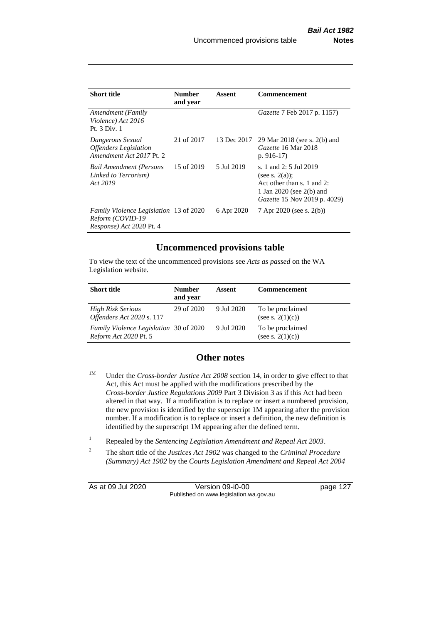| <b>Short title</b>                                                                     | <b>Number</b><br>and year | Assent      | Commencement                                                                                                                                     |
|----------------------------------------------------------------------------------------|---------------------------|-------------|--------------------------------------------------------------------------------------------------------------------------------------------------|
| Amendment (Family<br>Violence) Act 2016<br>Pt. 3 Div. 1                                |                           |             | <i>Gazette</i> 7 Feb 2017 p. 1157)                                                                                                               |
| Dangerous Sexual<br><b>Offenders</b> Legislation<br>Amendment Act 2017 Pt. 2           | 21 of 2017                | 13 Dec 2017 | 29 Mar 2018 (see s. 2(b) and<br>Gazette 16 Mar 2018<br>p. $916-17$                                                                               |
| <b>Bail Amendment (Persons</b><br>Linked to Terrorism)<br>Act 2019                     | 15 of 2019                | 5 Jul 2019  | s. 1 and 2: 5 Jul 2019<br>(see s. $2(a)$ );<br>Act other than s. 1 and 2:<br>1 Jan 2020 (see $2(b)$ ) and<br><i>Gazette</i> 15 Nov 2019 p. 4029) |
| Family Violence Legislation 13 of 2020<br>Reform (COVID-19<br>Response) Act 2020 Pt. 4 |                           | 6 Apr 2020  | 7 Apr 2020 (see s. 2(b))                                                                                                                         |

## **Uncommenced provisions table**

To view the text of the uncommenced provisions see *Acts as passed* on the WA Legislation website.

| <b>Short title</b>                                                     | <b>Number</b><br>and year | Assent     | <b>Commencement</b>                     |
|------------------------------------------------------------------------|---------------------------|------------|-----------------------------------------|
| <b>High Risk Serious</b><br>Offenders Act 2020 s. 117                  | 29 of 2020                | 9 Jul 2020 | To be proclaimed<br>(see s. $2(1)(c)$ ) |
| Family Violence Legislation 30 of 2020<br><i>Reform Act 2020 Pt. 5</i> |                           | 9 Jul 2020 | To be proclaimed<br>(see s. $2(1)(c)$ ) |

## **Other notes**

- <sup>1M</sup> Under the *Cross-border Justice Act 2008* section 14, in order to give effect to that Act, this Act must be applied with the modifications prescribed by the *Cross-border Justice Regulations 2009* Part 3 Division 3 as if this Act had been altered in that way. If a modification is to replace or insert a numbered provision, the new provision is identified by the superscript 1M appearing after the provision number. If a modification is to replace or insert a definition, the new definition is identified by the superscript 1M appearing after the defined term.
- <sup>1</sup> Repealed by the *Sentencing Legislation Amendment and Repeal Act 2003*.
- 2 The short title of the *Justices Act 1902* was changed to the *Criminal Procedure (Summary) Act 1902* by the *Courts Legislation Amendment and Repeal Act 2004*

As at 09 Jul 2020 Version 09-i0-00 page 127 Published on www.legislation.wa.gov.au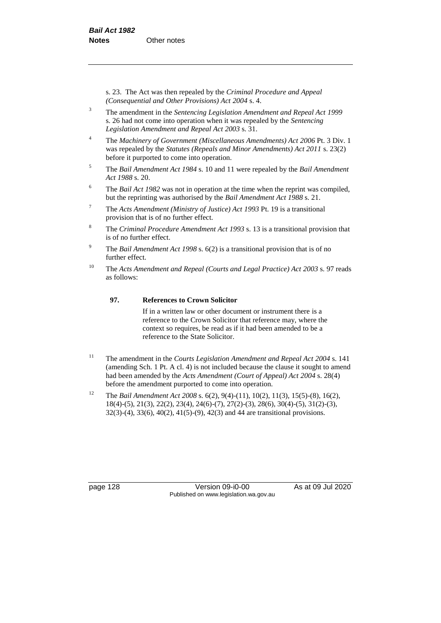s. 23. The Act was then repealed by the *Criminal Procedure and Appeal (Consequential and Other Provisions) Act 2004* s. 4.

- <sup>3</sup> The amendment in the *Sentencing Legislation Amendment and Repeal Act 1999* s. 26 had not come into operation when it was repealed by the *Sentencing Legislation Amendment and Repeal Act 2003* s. 31.
- <sup>4</sup> The *Machinery of Government (Miscellaneous Amendments) Act 2006* Pt. 3 Div. 1 was repealed by the *Statutes (Repeals and Minor Amendments) Act 2011* s. 23(2) before it purported to come into operation.
- <sup>5</sup> The *Bail Amendment Act 1984* s. 10 and 11 were repealed by the *Bail Amendment Act 1988* s. 20.
- <sup>6</sup> The *Bail Act 1982* was not in operation at the time when the reprint was compiled, but the reprinting was authorised by the *Bail Amendment Act 1988* s. 21.
- <sup>7</sup> The *Acts Amendment (Ministry of Justice) Act 1993* Pt. 19 is a transitional provision that is of no further effect.
- <sup>8</sup> The *Criminal Procedure Amendment Act 1993* s. 13 is a transitional provision that is of no further effect.
- <sup>9</sup> The *Bail Amendment Act 1998* s. 6(2) is a transitional provision that is of no further effect.
- <sup>10</sup> The *Acts Amendment and Repeal (Courts and Legal Practice) Act 2003* s. 97 reads as follows:

#### **97. References to Crown Solicitor**

If in a written law or other document or instrument there is a reference to the Crown Solicitor that reference may, where the context so requires, be read as if it had been amended to be a reference to the State Solicitor.

- <sup>11</sup> The amendment in the *Courts Legislation Amendment and Repeal Act 2004* s. 141 (amending Sch. 1 Pt. A cl. 4) is not included because the clause it sought to amend had been amended by the *Acts Amendment (Court of Appeal) Act 2004* s. 28(4) before the amendment purported to come into operation.
- <sup>12</sup> The *Bail Amendment Act 2008* s. 6(2), 9(4)-(11), 10(2), 11(3), 15(5)-(8), 16(2), 18(4)-(5), 21(3), 22(2), 23(4), 24(6)-(7), 27(2)-(3), 28(6), 30(4)-(5), 31(2)-(3), 32(3)-(4), 33(6), 40(2), 41(5)-(9), 42(3) and 44 are transitional provisions.

page 128 Version 09-i0-00 As at 09 Jul 2020 Published on www.legislation.wa.gov.au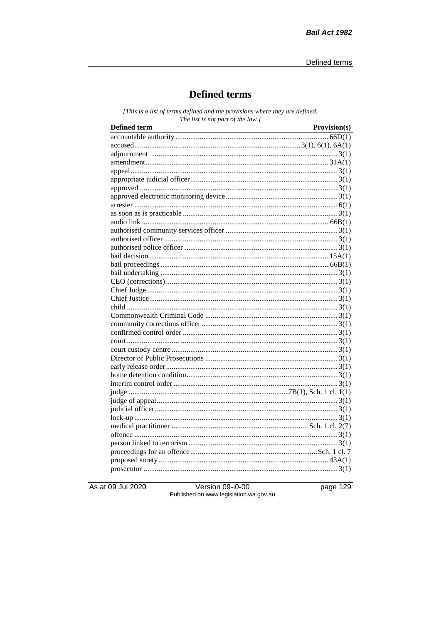## **Defined terms**

[This is a list of terms defined and the provisions where they are defined. The list is not part of the law.]

| <b>Defined term</b> | Provision(s) |
|---------------------|--------------|
|                     |              |
|                     |              |
|                     |              |
|                     |              |
|                     |              |
|                     |              |
|                     |              |
|                     |              |
|                     |              |
|                     |              |
|                     |              |
|                     |              |
|                     |              |
|                     |              |
|                     |              |
|                     |              |
|                     |              |
|                     |              |
|                     |              |
|                     |              |
|                     |              |
|                     |              |
|                     |              |
|                     |              |
|                     |              |
|                     |              |
|                     |              |
|                     |              |
|                     |              |
|                     |              |
|                     |              |
|                     |              |
|                     |              |
|                     |              |
|                     |              |
|                     |              |
|                     |              |
|                     |              |
|                     |              |
|                     |              |
|                     |              |

As at 09 Jul 2020

Version 09-i0-00 Published on www.legislation.wa.gov.au page 129